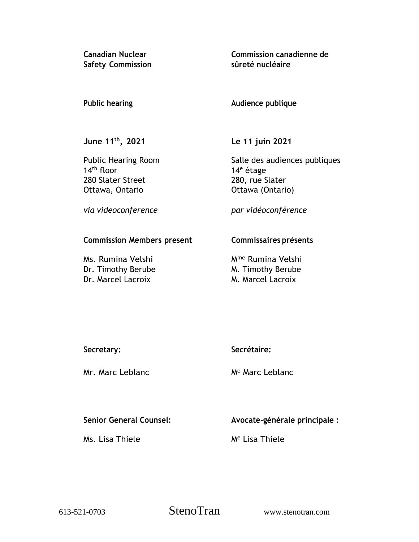**Canadian Nuclear Safety Commission** **Commission canadienne de sûreté nucléaire**

## **Public hearing**

## **Audience publique**

**June 11 th , 2021**

Public Hearing Room 14th floor 280 Slater Street Ottawa, Ontario

**Le 11 juin 2021**

Salle des audiences publiques 14<sup>e</sup> étage 280, rue Slater Ottawa (Ontario)

*via videoconference*

*par vidéoconférence*

## **Commission Members present**

Ms. Rumina Velshi Dr. Timothy Berube Dr. Marcel Lacroix

## **Commissaires présents**

Mme Rumina Velshi M. Timothy Berube M. Marcel Lacroix

**Secretary:**

Mr. Marc Leblanc

**Secrétaire:**

M<sup>e</sup> Marc Leblanc

# **Senior General Counsel:**

Ms. Lisa Thiele

**Avocate-générale principale :**

M<sup>e</sup> Lisa Thiele

613-521-0703 StenoTran www.stenotran.com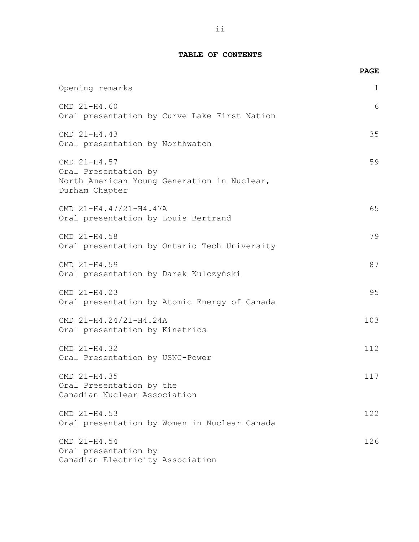### **TABLE OF CONTENTS**

|                                                                                                       | <b>PAGE</b> |
|-------------------------------------------------------------------------------------------------------|-------------|
| Opening remarks                                                                                       | 1           |
| CMD 21-H4.60<br>Oral presentation by Curve Lake First Nation                                          | 6           |
| CMD 21-H4.43<br>Oral presentation by Northwatch                                                       | 35          |
| CMD 21-H4.57<br>Oral Presentation by<br>North American Young Generation in Nuclear,<br>Durham Chapter | 59          |
| CMD 21-H4.47/21-H4.47A<br>Oral presentation by Louis Bertrand                                         | 65          |
| CMD 21-H4.58<br>Oral presentation by Ontario Tech University                                          | 79          |
| CMD 21-H4.59<br>Oral presentation by Darek Kulczyński                                                 | 87          |
| CMD 21-H4.23<br>Oral presentation by Atomic Energy of Canada                                          | 95          |
| CMD 21-H4.24/21-H4.24A<br>Oral presentation by Kinetrics                                              | 103         |
| CMD 21-H4.32<br>Oral Presentation by USNC-Power                                                       | 112         |
| CMD 21-H4.35<br>Oral Presentation by the<br>Canadian Nuclear Association                              | 117         |
| CMD 21-H4.53<br>Oral presentation by Women in Nuclear Canada                                          | 122         |
| CMD 21-H4.54<br>Oral presentation by<br>Canadian Electricity Association                              | 126         |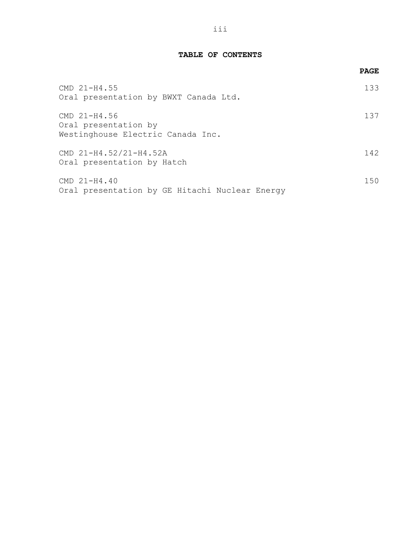### **TABLE OF CONTENTS**

|                                                                           | <b>PAGE</b> |
|---------------------------------------------------------------------------|-------------|
| $CMD 21-H4.55$<br>Oral presentation by BWXT Canada Ltd.                   | 133         |
| CMD 21-H4.56<br>Oral presentation by<br>Westinghouse Electric Canada Inc. | 137         |
| CMD 21-H4.52/21-H4.52A<br>Oral presentation by Hatch                      | 142.        |
| $CMD 21-H4.40$<br>Oral presentation by GE Hitachi Nuclear Energy          | 150         |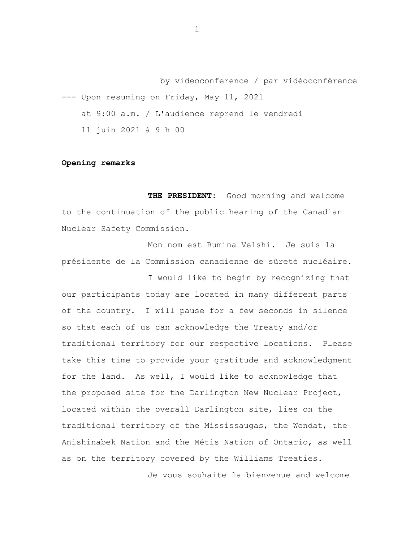by videoconference / par vidéoconférence --- Upon resuming on Friday, May 11, 2021 at 9:00 a.m. / L'audience reprend le vendredi 11 juin 2021 à 9 h 00

### **Opening remarks**

**THE PRESIDENT:** Good morning and welcome to the continuation of the public hearing of the Canadian Nuclear Safety Commission.

Mon nom est Rumina Velshi. Je suis la présidente de la Commission canadienne de sûreté nucléaire.

I would like to begin by recognizing that our participants today are located in many different parts of the country. I will pause for a few seconds in silence so that each of us can acknowledge the Treaty and/or traditional territory for our respective locations. Please take this time to provide your gratitude and acknowledgment for the land. As well, I would like to acknowledge that the proposed site for the Darlington New Nuclear Project, located within the overall Darlington site, lies on the traditional territory of the Mississaugas, the Wendat, the Anishinabek Nation and the Métis Nation of Ontario, as well as on the territory covered by the Williams Treaties.

Je vous souhaite la bienvenue and welcome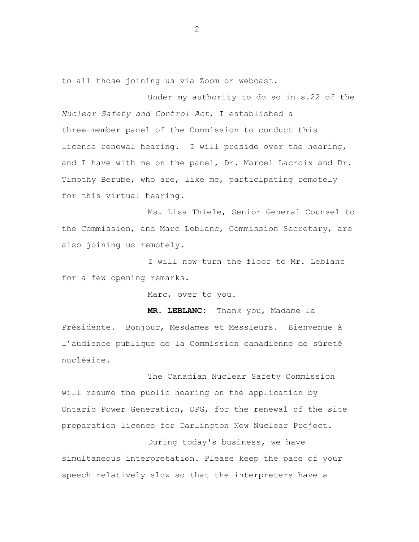to all those joining us via Zoom or webcast.

Under my authority to do so in s.22 of the *Nuclear Safety and Control Act*, I established a three-member panel of the Commission to conduct this licence renewal hearing. I will preside over the hearing, and I have with me on the panel, Dr. Marcel Lacroix and Dr. Timothy Berube, who are, like me, participating remotely for this virtual hearing.

Ms. Lisa Thiele, Senior General Counsel to the Commission, and Marc Leblanc, Commission Secretary, are also joining us remotely.

I will now turn the floor to Mr. Leblanc for a few opening remarks.

Marc, over to you.

**MR. LEBLANC:** Thank you, Madame la Présidente. Bonjour, Mesdames et Messieurs. Bienvenue à l'audience publique de la Commission canadienne de sûreté nucléaire.

The Canadian Nuclear Safety Commission will resume the public hearing on the application by Ontario Power Generation, OPG, for the renewal of the site preparation licence for Darlington New Nuclear Project.

During today's business, we have simultaneous interpretation. Please keep the pace of your speech relatively slow so that the interpreters have a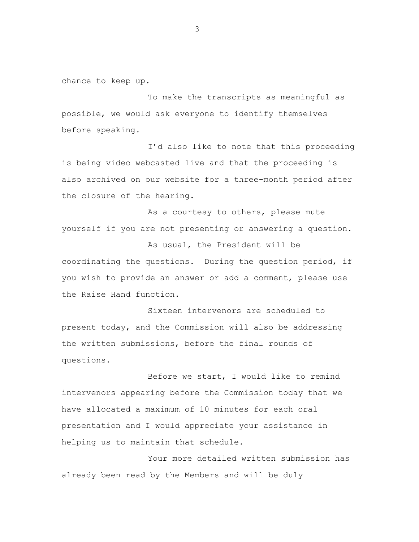chance to keep up.

To make the transcripts as meaningful as possible, we would ask everyone to identify themselves before speaking.

I'd also like to note that this proceeding is being video webcasted live and that the proceeding is also archived on our website for a three-month period after the closure of the hearing.

As a courtesy to others, please mute yourself if you are not presenting or answering a question.

As usual, the President will be coordinating the questions. During the question period, if you wish to provide an answer or add a comment, please use the Raise Hand function.

Sixteen intervenors are scheduled to present today, and the Commission will also be addressing the written submissions, before the final rounds of questions.

Before we start, I would like to remind intervenors appearing before the Commission today that we have allocated a maximum of 10 minutes for each oral presentation and I would appreciate your assistance in helping us to maintain that schedule.

Your more detailed written submission has already been read by the Members and will be duly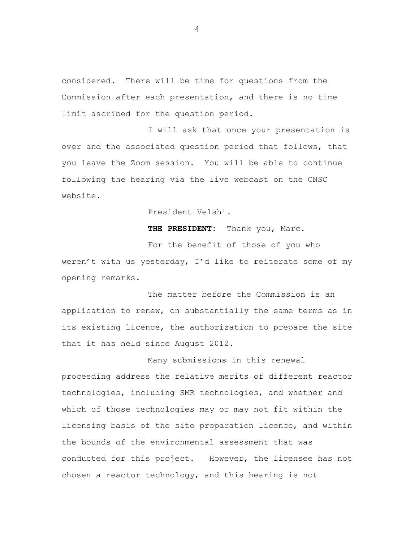considered. There will be time for questions from the Commission after each presentation, and there is no time limit ascribed for the question period.

I will ask that once your presentation is over and the associated question period that follows, that you leave the Zoom session. You will be able to continue following the hearing via the live webcast on the CNSC website.

President Velshi.

**THE PRESIDENT:** Thank you, Marc.

For the benefit of those of you who weren't with us yesterday, I'd like to reiterate some of my opening remarks.

The matter before the Commission is an application to renew, on substantially the same terms as in its existing licence, the authorization to prepare the site that it has held since August 2012.

Many submissions in this renewal proceeding address the relative merits of different reactor technologies, including SMR technologies, and whether and which of those technologies may or may not fit within the licensing basis of the site preparation licence, and within the bounds of the environmental assessment that was conducted for this project. However, the licensee has not chosen a reactor technology, and this hearing is not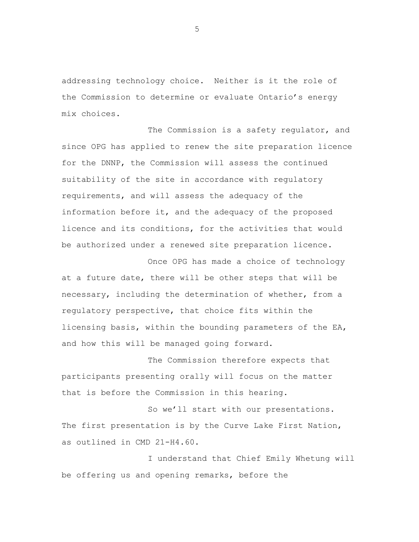addressing technology choice. Neither is it the role of the Commission to determine or evaluate Ontario's energy mix choices.

The Commission is a safety regulator, and since OPG has applied to renew the site preparation licence for the DNNP, the Commission will assess the continued suitability of the site in accordance with regulatory requirements, and will assess the adequacy of the information before it, and the adequacy of the proposed licence and its conditions, for the activities that would be authorized under a renewed site preparation licence.

Once OPG has made a choice of technology at a future date, there will be other steps that will be necessary, including the determination of whether, from a regulatory perspective, that choice fits within the licensing basis, within the bounding parameters of the EA, and how this will be managed going forward.

The Commission therefore expects that participants presenting orally will focus on the matter that is before the Commission in this hearing.

So we'll start with our presentations. The first presentation is by the Curve Lake First Nation, as outlined in CMD 21-H4.60.

I understand that Chief Emily Whetung will be offering us and opening remarks, before the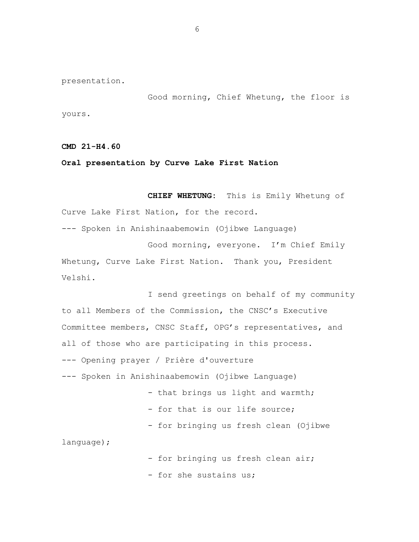presentation.

Good morning, Chief Whetung, the floor is yours.

**CMD 21-H4.60**

### **Oral presentation by Curve Lake First Nation**

**CHIEF WHETUNG:** This is Emily Whetung of Curve Lake First Nation, for the record.

--- Spoken in Anishinaabemowin (Ojibwe Language)

Good morning, everyone. I'm Chief Emily Whetung, Curve Lake First Nation. Thank you, President Velshi.

I send greetings on behalf of my community to all Members of the Commission, the CNSC's Executive Committee members, CNSC Staff, OPG's representatives, and all of those who are participating in this process. --- Opening prayer / Prière d'ouverture --- Spoken in Anishinaabemowin (Ojibwe Language) - that brings us light and warmth; - for that is our life source; - for bringing us fresh clean (Ojibwe language);

- for bringing us fresh clean air;

- for she sustains us;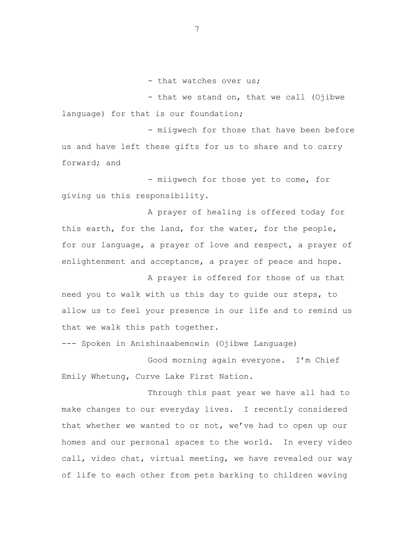- that watches over us;

- that we stand on, that we call (Ojibwe language) for that is our foundation;

- miigwech for those that have been before us and have left these gifts for us to share and to carry forward; and

- miigwech for those yet to come, for giving us this responsibility.

A prayer of healing is offered today for this earth, for the land, for the water, for the people, for our language, a prayer of love and respect, a prayer of enlightenment and acceptance, a prayer of peace and hope.

A prayer is offered for those of us that need you to walk with us this day to guide our steps, to allow us to feel your presence in our life and to remind us that we walk this path together.

--- Spoken in Anishinaabemowin (Ojibwe Language)

Good morning again everyone. I'm Chief Emily Whetung, Curve Lake First Nation.

Through this past year we have all had to make changes to our everyday lives. I recently considered that whether we wanted to or not, we've had to open up our homes and our personal spaces to the world. In every video call, video chat, virtual meeting, we have revealed our way of life to each other from pets barking to children waving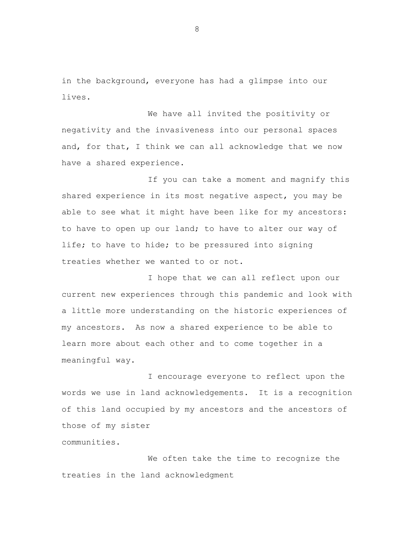in the background, everyone has had a glimpse into our lives.

We have all invited the positivity or negativity and the invasiveness into our personal spaces and, for that, I think we can all acknowledge that we now have a shared experience.

If you can take a moment and magnify this shared experience in its most negative aspect, you may be able to see what it might have been like for my ancestors: to have to open up our land; to have to alter our way of life; to have to hide; to be pressured into signing treaties whether we wanted to or not.

I hope that we can all reflect upon our current new experiences through this pandemic and look with a little more understanding on the historic experiences of my ancestors. As now a shared experience to be able to learn more about each other and to come together in a meaningful way.

I encourage everyone to reflect upon the words we use in land acknowledgements. It is a recognition of this land occupied by my ancestors and the ancestors of those of my sister communities.

We often take the time to recognize the treaties in the land acknowledgment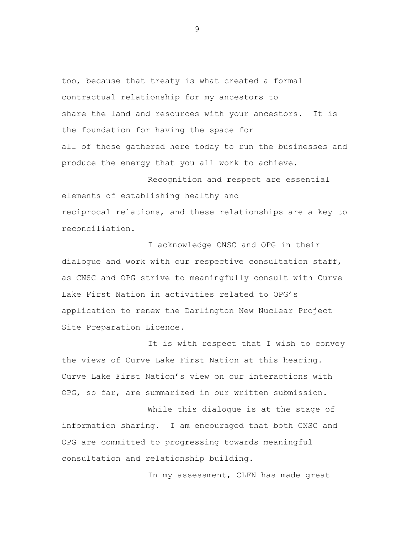too, because that treaty is what created a formal contractual relationship for my ancestors to share the land and resources with your ancestors. It is the foundation for having the space for all of those gathered here today to run the businesses and produce the energy that you all work to achieve.

Recognition and respect are essential elements of establishing healthy and reciprocal relations, and these relationships are a key to reconciliation.

I acknowledge CNSC and OPG in their dialogue and work with our respective consultation staff, as CNSC and OPG strive to meaningfully consult with Curve Lake First Nation in activities related to OPG's application to renew the Darlington New Nuclear Project Site Preparation Licence.

It is with respect that I wish to convey the views of Curve Lake First Nation at this hearing. Curve Lake First Nation's view on our interactions with OPG, so far, are summarized in our written submission.

While this dialogue is at the stage of information sharing. I am encouraged that both CNSC and OPG are committed to progressing towards meaningful consultation and relationship building.

In my assessment, CLFN has made great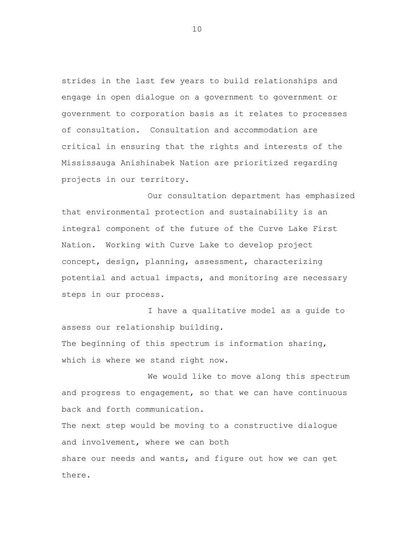strides in the last few years to build relationships and engage in open dialogue on a government to government or government to corporation basis as it relates to processes of consultation. Consultation and accommodation are critical in ensuring that the rights and interests of the Mississauga Anishinabek Nation are prioritized regarding projects in our territory.

Our consultation department has emphasized that environmental protection and sustainability is an integral component of the future of the Curve Lake First Nation. Working with Curve Lake to develop project concept, design, planning, assessment, characterizing potential and actual impacts, and monitoring are necessary steps in our process.

I have a qualitative model as a guide to assess our relationship building. The beginning of this spectrum is information sharing,

which is where we stand right now.

We would like to move along this spectrum and progress to engagement, so that we can have continuous back and forth communication.

The next step would be moving to a constructive dialogue and involvement, where we can both share our needs and wants, and figure out how we can get there.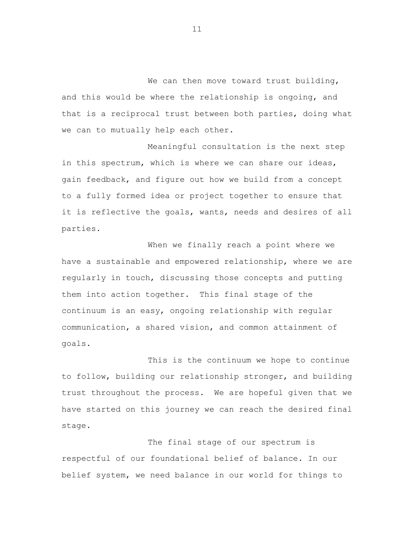We can then move toward trust building, and this would be where the relationship is ongoing, and that is a reciprocal trust between both parties, doing what we can to mutually help each other.

Meaningful consultation is the next step in this spectrum, which is where we can share our ideas, gain feedback, and figure out how we build from a concept to a fully formed idea or project together to ensure that it is reflective the goals, wants, needs and desires of all parties.

When we finally reach a point where we have a sustainable and empowered relationship, where we are regularly in touch, discussing those concepts and putting them into action together. This final stage of the continuum is an easy, ongoing relationship with regular communication, a shared vision, and common attainment of goals.

This is the continuum we hope to continue to follow, building our relationship stronger, and building trust throughout the process. We are hopeful given that we have started on this journey we can reach the desired final stage.

The final stage of our spectrum is respectful of our foundational belief of balance. In our belief system, we need balance in our world for things to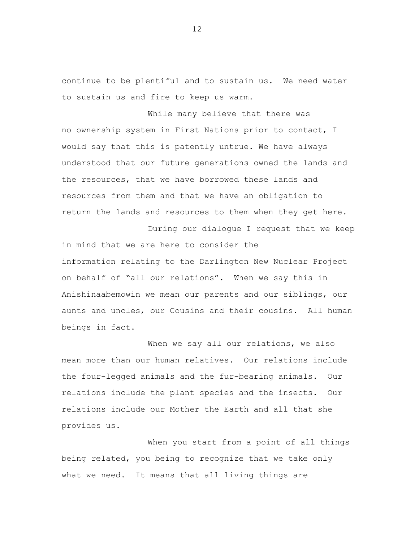continue to be plentiful and to sustain us. We need water to sustain us and fire to keep us warm.

While many believe that there was no ownership system in First Nations prior to contact, I would say that this is patently untrue. We have always understood that our future generations owned the lands and the resources, that we have borrowed these lands and resources from them and that we have an obligation to return the lands and resources to them when they get here.

During our dialogue I request that we keep in mind that we are here to consider the information relating to the Darlington New Nuclear Project on behalf of "all our relations". When we say this in Anishinaabemowin we mean our parents and our siblings, our aunts and uncles, our Cousins and their cousins. All human beings in fact.

When we say all our relations, we also mean more than our human relatives. Our relations include the four-legged animals and the fur-bearing animals. Our relations include the plant species and the insects. Our relations include our Mother the Earth and all that she provides us.

When you start from a point of all things being related, you being to recognize that we take only what we need. It means that all living things are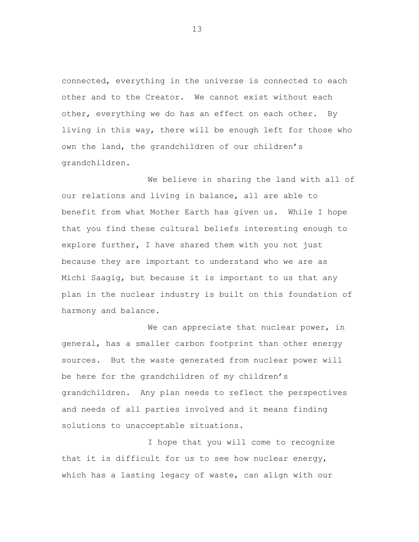connected, everything in the universe is connected to each other and to the Creator. We cannot exist without each other, everything we do has an effect on each other. By living in this way, there will be enough left for those who own the land, the grandchildren of our children's grandchildren.

We believe in sharing the land with all of our relations and living in balance, all are able to benefit from what Mother Earth has given us. While I hope that you find these cultural beliefs interesting enough to explore further, I have shared them with you not just because they are important to understand who we are as Michi Saagig, but because it is important to us that any plan in the nuclear industry is built on this foundation of harmony and balance.

We can appreciate that nuclear power, in general, has a smaller carbon footprint than other energy sources. But the waste generated from nuclear power will be here for the grandchildren of my children's grandchildren. Any plan needs to reflect the perspectives and needs of all parties involved and it means finding solutions to unacceptable situations.

I hope that you will come to recognize that it is difficult for us to see how nuclear energy, which has a lasting legacy of waste, can align with our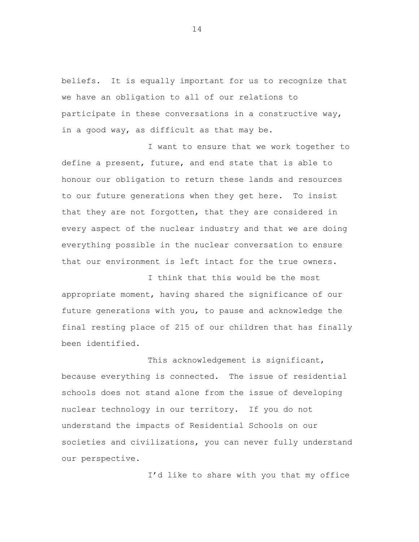beliefs. It is equally important for us to recognize that we have an obligation to all of our relations to participate in these conversations in a constructive way, in a good way, as difficult as that may be.

I want to ensure that we work together to define a present, future, and end state that is able to honour our obligation to return these lands and resources to our future generations when they get here. To insist that they are not forgotten, that they are considered in every aspect of the nuclear industry and that we are doing everything possible in the nuclear conversation to ensure that our environment is left intact for the true owners.

I think that this would be the most appropriate moment, having shared the significance of our future generations with you, to pause and acknowledge the final resting place of 215 of our children that has finally been identified.

This acknowledgement is significant, because everything is connected. The issue of residential schools does not stand alone from the issue of developing nuclear technology in our territory. If you do not understand the impacts of Residential Schools on our societies and civilizations, you can never fully understand our perspective.

I'd like to share with you that my office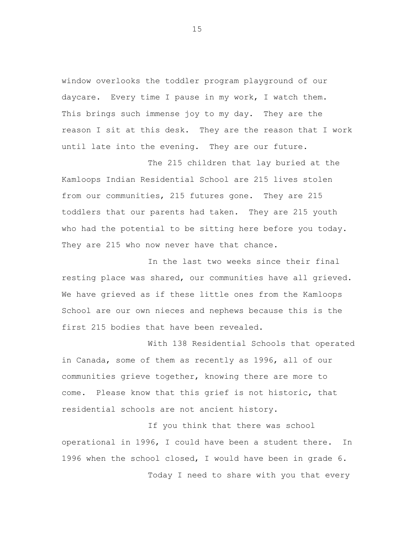window overlooks the toddler program playground of our daycare. Every time I pause in my work, I watch them. This brings such immense joy to my day. They are the reason I sit at this desk. They are the reason that I work until late into the evening. They are our future.

The 215 children that lay buried at the Kamloops Indian Residential School are 215 lives stolen from our communities, 215 futures gone. They are 215 toddlers that our parents had taken. They are 215 youth who had the potential to be sitting here before you today. They are 215 who now never have that chance.

In the last two weeks since their final resting place was shared, our communities have all grieved. We have grieved as if these little ones from the Kamloops School are our own nieces and nephews because this is the first 215 bodies that have been revealed.

With 138 Residential Schools that operated in Canada, some of them as recently as 1996, all of our communities grieve together, knowing there are more to come. Please know that this grief is not historic, that residential schools are not ancient history.

If you think that there was school operational in 1996, I could have been a student there. In 1996 when the school closed, I would have been in grade 6. Today I need to share with you that every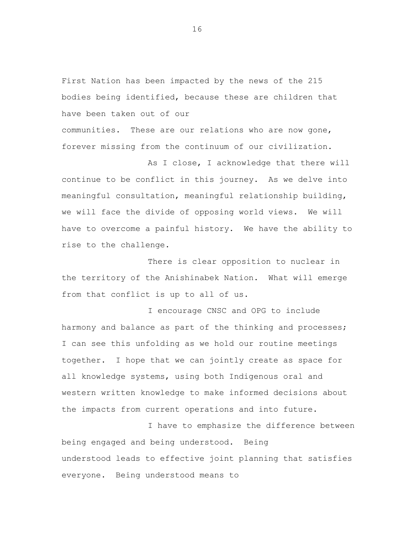First Nation has been impacted by the news of the 215 bodies being identified, because these are children that have been taken out of our

communities. These are our relations who are now gone, forever missing from the continuum of our civilization.

As I close, I acknowledge that there will continue to be conflict in this journey. As we delve into meaningful consultation, meaningful relationship building, we will face the divide of opposing world views. We will have to overcome a painful history. We have the ability to rise to the challenge.

There is clear opposition to nuclear in the territory of the Anishinabek Nation. What will emerge from that conflict is up to all of us.

I encourage CNSC and OPG to include harmony and balance as part of the thinking and processes; I can see this unfolding as we hold our routine meetings together. I hope that we can jointly create as space for all knowledge systems, using both Indigenous oral and western written knowledge to make informed decisions about the impacts from current operations and into future.

I have to emphasize the difference between being engaged and being understood. Being understood leads to effective joint planning that satisfies everyone. Being understood means to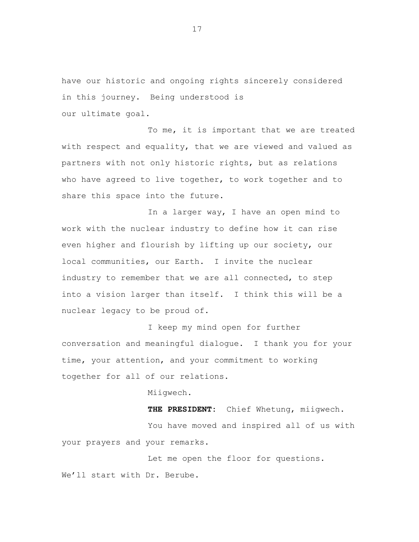have our historic and ongoing rights sincerely considered in this journey. Being understood is our ultimate goal.

To me, it is important that we are treated with respect and equality, that we are viewed and valued as partners with not only historic rights, but as relations who have agreed to live together, to work together and to share this space into the future.

In a larger way, I have an open mind to work with the nuclear industry to define how it can rise even higher and flourish by lifting up our society, our local communities, our Earth. I invite the nuclear industry to remember that we are all connected, to step into a vision larger than itself. I think this will be a nuclear legacy to be proud of.

I keep my mind open for further conversation and meaningful dialogue. I thank you for your time, your attention, and your commitment to working together for all of our relations.

Miigwech.

**THE PRESIDENT:** Chief Whetung, miigwech. You have moved and inspired all of us with your prayers and your remarks.

Let me open the floor for questions. We'll start with Dr. Berube.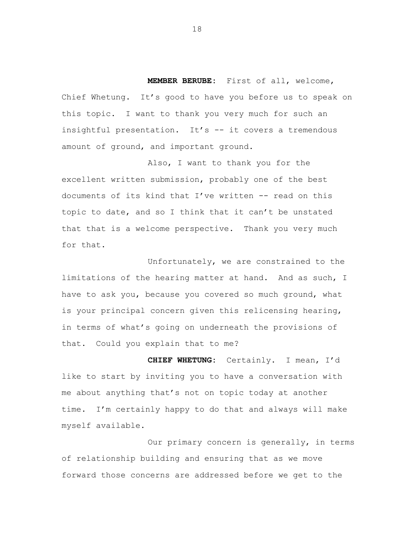**MEMBER BERUBE:** First of all, welcome, Chief Whetung. It's good to have you before us to speak on this topic. I want to thank you very much for such an insightful presentation. It's -- it covers a tremendous amount of ground, and important ground.

Also, I want to thank you for the excellent written submission, probably one of the best documents of its kind that I've written -- read on this topic to date, and so I think that it can't be unstated that that is a welcome perspective. Thank you very much for that.

Unfortunately, we are constrained to the limitations of the hearing matter at hand. And as such, I have to ask you, because you covered so much ground, what is your principal concern given this relicensing hearing, in terms of what's going on underneath the provisions of that. Could you explain that to me?

**CHIEF WHETUNG:** Certainly. I mean, I'd like to start by inviting you to have a conversation with me about anything that's not on topic today at another time. I'm certainly happy to do that and always will make myself available.

Our primary concern is generally, in terms of relationship building and ensuring that as we move forward those concerns are addressed before we get to the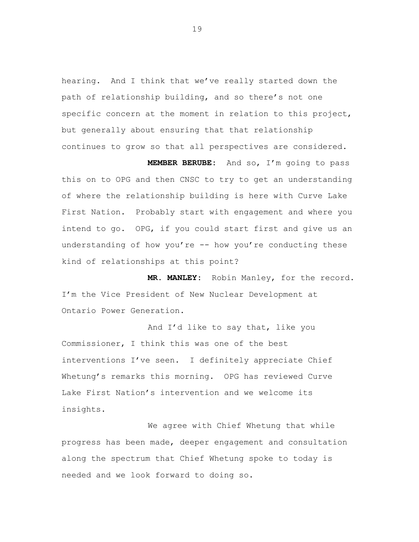hearing. And I think that we've really started down the path of relationship building, and so there's not one specific concern at the moment in relation to this project, but generally about ensuring that that relationship continues to grow so that all perspectives are considered.

**MEMBER BERUBE:** And so, I'm going to pass this on to OPG and then CNSC to try to get an understanding of where the relationship building is here with Curve Lake First Nation. Probably start with engagement and where you intend to go. OPG, if you could start first and give us an understanding of how you're -- how you're conducting these kind of relationships at this point?

**MR. MANLEY:** Robin Manley, for the record. I'm the Vice President of New Nuclear Development at Ontario Power Generation.

And I'd like to say that, like you Commissioner, I think this was one of the best interventions I've seen. I definitely appreciate Chief Whetung's remarks this morning. OPG has reviewed Curve Lake First Nation's intervention and we welcome its insights.

We agree with Chief Whetung that while progress has been made, deeper engagement and consultation along the spectrum that Chief Whetung spoke to today is needed and we look forward to doing so.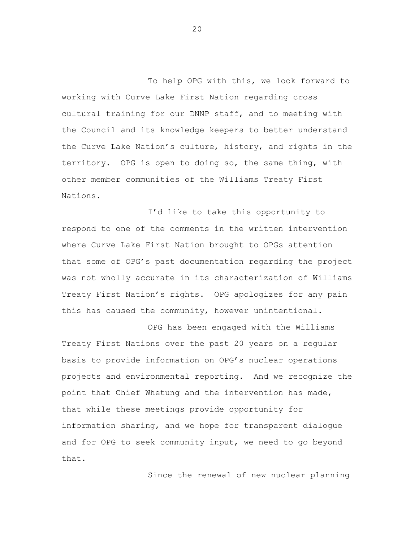To help OPG with this, we look forward to working with Curve Lake First Nation regarding cross cultural training for our DNNP staff, and to meeting with the Council and its knowledge keepers to better understand the Curve Lake Nation's culture, history, and rights in the territory. OPG is open to doing so, the same thing, with other member communities of the Williams Treaty First Nations.

I'd like to take this opportunity to respond to one of the comments in the written intervention where Curve Lake First Nation brought to OPGs attention that some of OPG's past documentation regarding the project was not wholly accurate in its characterization of Williams Treaty First Nation's rights. OPG apologizes for any pain this has caused the community, however unintentional.

OPG has been engaged with the Williams Treaty First Nations over the past 20 years on a regular basis to provide information on OPG's nuclear operations projects and environmental reporting. And we recognize the point that Chief Whetung and the intervention has made, that while these meetings provide opportunity for information sharing, and we hope for transparent dialogue and for OPG to seek community input, we need to go beyond that.

Since the renewal of new nuclear planning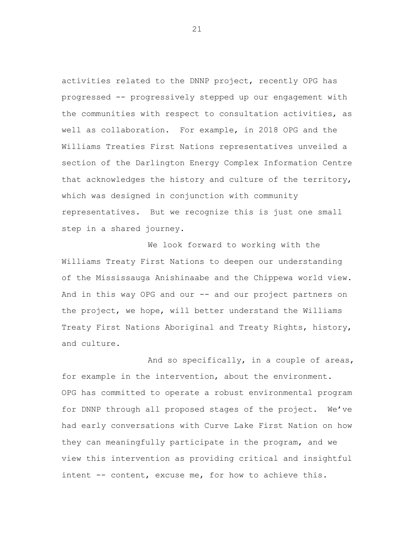activities related to the DNNP project, recently OPG has progressed -- progressively stepped up our engagement with the communities with respect to consultation activities, as well as collaboration. For example, in 2018 OPG and the Williams Treaties First Nations representatives unveiled a section of the Darlington Energy Complex Information Centre that acknowledges the history and culture of the territory, which was designed in conjunction with community representatives. But we recognize this is just one small step in a shared journey.

We look forward to working with the Williams Treaty First Nations to deepen our understanding of the Mississauga Anishinaabe and the Chippewa world view. And in this way OPG and our -- and our project partners on the project, we hope, will better understand the Williams Treaty First Nations Aboriginal and Treaty Rights, history, and culture.

And so specifically, in a couple of areas, for example in the intervention, about the environment. OPG has committed to operate a robust environmental program for DNNP through all proposed stages of the project. We've had early conversations with Curve Lake First Nation on how they can meaningfully participate in the program, and we view this intervention as providing critical and insightful intent -- content, excuse me, for how to achieve this.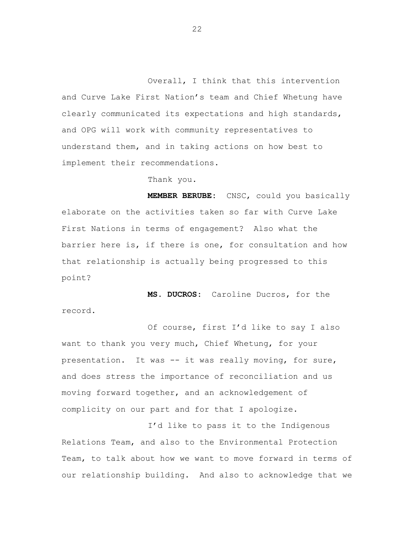Overall, I think that this intervention and Curve Lake First Nation's team and Chief Whetung have clearly communicated its expectations and high standards, and OPG will work with community representatives to understand them, and in taking actions on how best to implement their recommendations.

#### Thank you.

**MEMBER BERUBE:** CNSC, could you basically elaborate on the activities taken so far with Curve Lake First Nations in terms of engagement? Also what the barrier here is, if there is one, for consultation and how that relationship is actually being progressed to this point?

**MS. DUCROS:** Caroline Ducros, for the record.

Of course, first I'd like to say I also want to thank you very much, Chief Whetung, for your presentation. It was -- it was really moving, for sure, and does stress the importance of reconciliation and us moving forward together, and an acknowledgement of complicity on our part and for that I apologize.

I'd like to pass it to the Indigenous Relations Team, and also to the Environmental Protection Team, to talk about how we want to move forward in terms of our relationship building. And also to acknowledge that we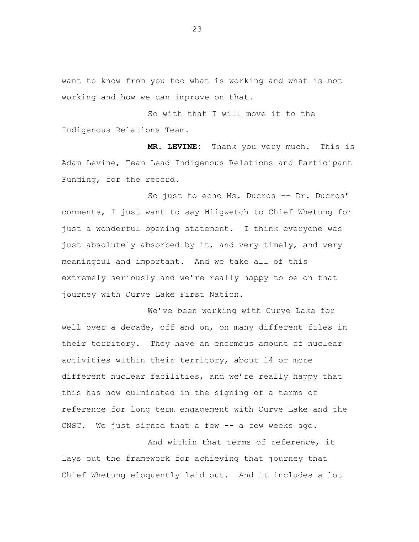want to know from you too what is working and what is not working and how we can improve on that.

So with that I will move it to the Indigenous Relations Team.

**MR. LEVINE:** Thank you very much. This is Adam Levine, Team Lead Indigenous Relations and Participant Funding, for the record.

So just to echo Ms. Ducros -- Dr. Ducros' comments, I just want to say Miigwetch to Chief Whetung for just a wonderful opening statement. I think everyone was just absolutely absorbed by it, and very timely, and very meaningful and important. And we take all of this extremely seriously and we're really happy to be on that journey with Curve Lake First Nation.

We've been working with Curve Lake for well over a decade, off and on, on many different files in their territory. They have an enormous amount of nuclear activities within their territory, about 14 or more different nuclear facilities, and we're really happy that this has now culminated in the signing of a terms of reference for long term engagement with Curve Lake and the CNSC. We just signed that a few -- a few weeks ago.

And within that terms of reference, it lays out the framework for achieving that journey that Chief Whetung eloquently laid out. And it includes a lot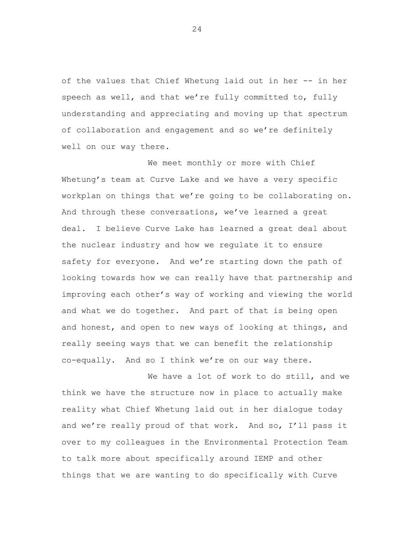of the values that Chief Whetung laid out in her -- in her speech as well, and that we're fully committed to, fully understanding and appreciating and moving up that spectrum of collaboration and engagement and so we're definitely well on our way there.

We meet monthly or more with Chief Whetung's team at Curve Lake and we have a very specific workplan on things that we're going to be collaborating on. And through these conversations, we've learned a great deal. I believe Curve Lake has learned a great deal about the nuclear industry and how we regulate it to ensure safety for everyone. And we're starting down the path of looking towards how we can really have that partnership and improving each other's way of working and viewing the world and what we do together. And part of that is being open and honest, and open to new ways of looking at things, and really seeing ways that we can benefit the relationship co-equally. And so I think we're on our way there.

We have a lot of work to do still, and we think we have the structure now in place to actually make reality what Chief Whetung laid out in her dialogue today and we're really proud of that work. And so, I'll pass it over to my colleagues in the Environmental Protection Team to talk more about specifically around IEMP and other things that we are wanting to do specifically with Curve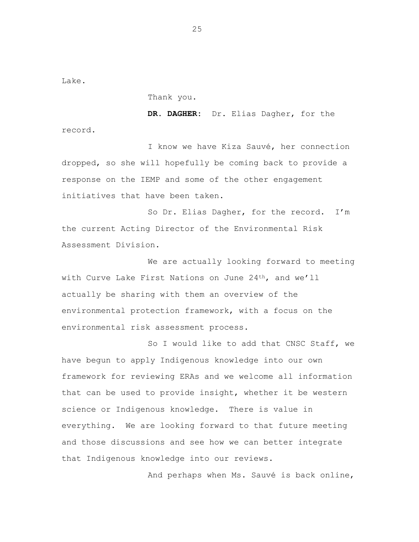Lake.

record.

Thank you.

**DR. DAGHER:** Dr. Elias Dagher, for the

I know we have Kiza Sauvé, her connection dropped, so she will hopefully be coming back to provide a response on the IEMP and some of the other engagement initiatives that have been taken.

So Dr. Elias Dagher, for the record. I'm the current Acting Director of the Environmental Risk Assessment Division.

We are actually looking forward to meeting with Curve Lake First Nations on June 24<sup>th</sup>, and we'll actually be sharing with them an overview of the environmental protection framework, with a focus on the environmental risk assessment process.

So I would like to add that CNSC Staff, we have begun to apply Indigenous knowledge into our own framework for reviewing ERAs and we welcome all information that can be used to provide insight, whether it be western science or Indigenous knowledge. There is value in everything. We are looking forward to that future meeting and those discussions and see how we can better integrate that Indigenous knowledge into our reviews.

And perhaps when Ms. Sauvé is back online,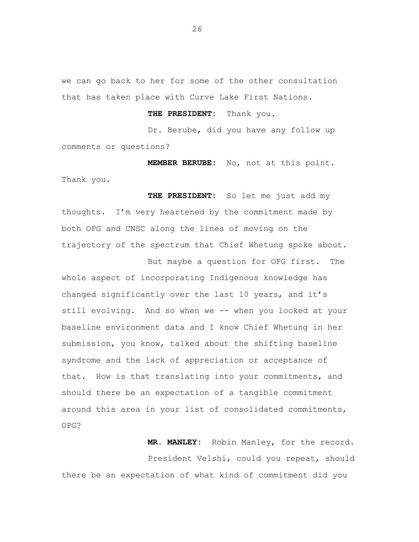we can go back to her for some of the other consultation that has taken place with Curve Lake First Nations.

**THE PRESIDENT:** Thank you.

Dr. Berube, did you have any follow up comments or questions?

**MEMBER BERUBE:** No, not at this point. Thank you.

**THE PRESIDENT:** So let me just add my thoughts. I'm very heartened by the commitment made by both OPG and CNSC along the lines of moving on the trajectory of the spectrum that Chief Whetung spoke about.

But maybe a question for OPG first. The whole aspect of incorporating Indigenous knowledge has changed significantly over the last 10 years, and it's still evolving. And so when we -- when you looked at your baseline environment data and I know Chief Whetung in her submission, you know, talked about the shifting baseline syndrome and the lack of appreciation or acceptance of that. How is that translating into your commitments, and should there be an expectation of a tangible commitment around this area in your list of consolidated commitments, OPG?

**MR. MANLEY:** Robin Manley, for the record.

President Velshi, could you repeat, should there be an expectation of what kind of commitment did you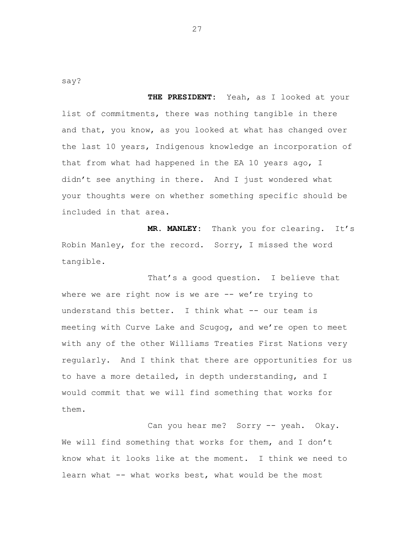say?

**THE PRESIDENT:** Yeah, as I looked at your list of commitments, there was nothing tangible in there and that, you know, as you looked at what has changed over the last 10 years, Indigenous knowledge an incorporation of that from what had happened in the EA 10 years ago, I didn't see anything in there. And I just wondered what your thoughts were on whether something specific should be included in that area.

**MR. MANLEY:** Thank you for clearing. It's Robin Manley, for the record. Sorry, I missed the word tangible.

That's a good question. I believe that where we are right now is we are -- we're trying to understand this better. I think what -- our team is meeting with Curve Lake and Scugog, and we're open to meet with any of the other Williams Treaties First Nations very regularly. And I think that there are opportunities for us to have a more detailed, in depth understanding, and I would commit that we will find something that works for them.

Can you hear me? Sorry -- yeah. Okay. We will find something that works for them, and I don't know what it looks like at the moment. I think we need to learn what -- what works best, what would be the most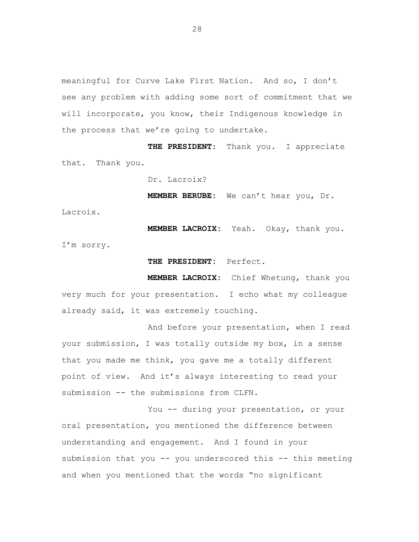meaningful for Curve Lake First Nation. And so, I don't see any problem with adding some sort of commitment that we will incorporate, you know, their Indigenous knowledge in the process that we're going to undertake.

**THE PRESIDENT:** Thank you. I appreciate that. Thank you.

Dr. Lacroix?

**MEMBER BERUBE:** We can't hear you, Dr.

Lacroix.

**MEMBER LACROIX:** Yeah. Okay, thank you. I'm sorry.

**THE PRESIDENT:** Perfect.

**MEMBER LACROIX:** Chief Whetung, thank you very much for your presentation. I echo what my colleague already said, it was extremely touching.

And before your presentation, when I read your submission, I was totally outside my box, in a sense that you made me think, you gave me a totally different point of view. And it's always interesting to read your submission -- the submissions from CLFN.

You -- during your presentation, or your oral presentation, you mentioned the difference between understanding and engagement. And I found in your submission that you -- you underscored this -- this meeting and when you mentioned that the words "no significant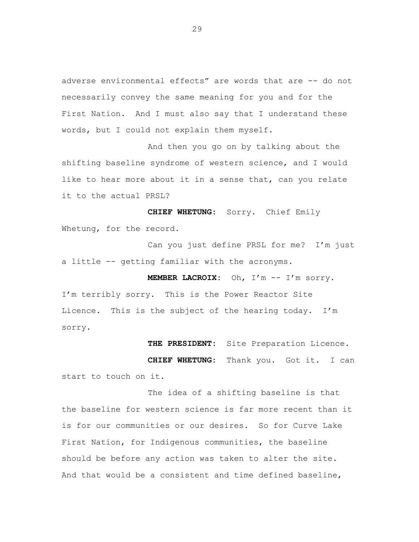adverse environmental effects" are words that are -- do not necessarily convey the same meaning for you and for the First Nation. And I must also say that I understand these words, but I could not explain them myself.

And then you go on by talking about the shifting baseline syndrome of western science, and I would like to hear more about it in a sense that, can you relate it to the actual PRSL?

**CHIEF WHETUNG:** Sorry. Chief Emily Whetung, for the record.

Can you just define PRSL for me? I'm just a little -- getting familiar with the acronyms.

**MEMBER LACROIX:** Oh, I'm -- I'm sorry. I'm terribly sorry. This is the Power Reactor Site Licence. This is the subject of the hearing today. I'm sorry.

**THE PRESIDENT:** Site Preparation Licence.

**CHIEF WHETUNG:** Thank you. Got it. I can start to touch on it.

The idea of a shifting baseline is that the baseline for western science is far more recent than it is for our communities or our desires. So for Curve Lake First Nation, for Indigenous communities, the baseline should be before any action was taken to alter the site. And that would be a consistent and time defined baseline,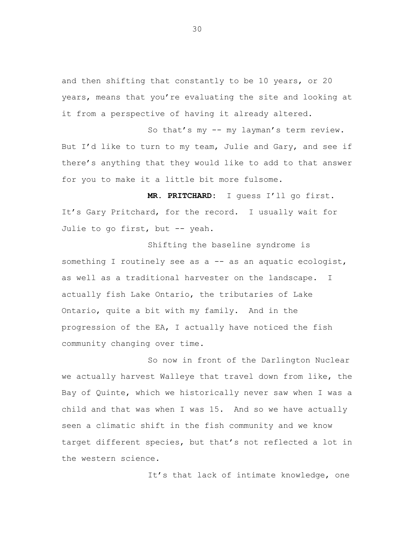and then shifting that constantly to be 10 years, or 20 years, means that you're evaluating the site and looking at it from a perspective of having it already altered.

So that's my -- my layman's term review. But I'd like to turn to my team, Julie and Gary, and see if there's anything that they would like to add to that answer for you to make it a little bit more fulsome.

**MR. PRITCHARD:** I guess I'll go first. It's Gary Pritchard, for the record. I usually wait for Julie to go first, but -- yeah.

Shifting the baseline syndrome is something I routinely see as a -- as an aquatic ecologist, as well as a traditional harvester on the landscape. I actually fish Lake Ontario, the tributaries of Lake Ontario, quite a bit with my family. And in the progression of the EA, I actually have noticed the fish community changing over time.

So now in front of the Darlington Nuclear we actually harvest Walleye that travel down from like, the Bay of Quinte, which we historically never saw when I was a child and that was when I was 15. And so we have actually seen a climatic shift in the fish community and we know target different species, but that's not reflected a lot in the western science.

It's that lack of intimate knowledge, one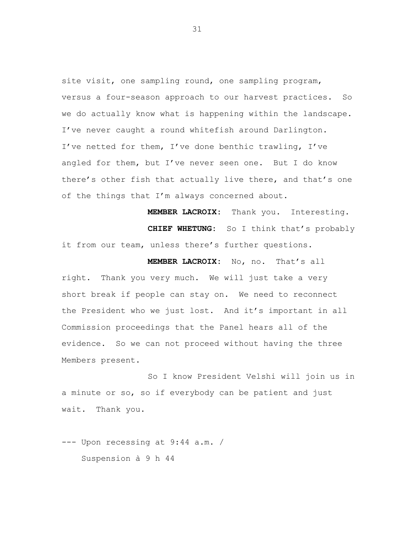site visit, one sampling round, one sampling program, versus a four-season approach to our harvest practices. So we do actually know what is happening within the landscape. I've never caught a round whitefish around Darlington. I've netted for them, I've done benthic trawling, I've angled for them, but I've never seen one. But I do know there's other fish that actually live there, and that's one of the things that I'm always concerned about.

**MEMBER LACROIX:** Thank you. Interesting. **CHIEF WHETUNG:** So I think that's probably it from our team, unless there's further questions.

**MEMBER LACROIX:** No, no. That's all right. Thank you very much. We will just take a very short break if people can stay on. We need to reconnect the President who we just lost. And it's important in all Commission proceedings that the Panel hears all of the evidence. So we can not proceed without having the three Members present.

So I know President Velshi will join us in a minute or so, so if everybody can be patient and just wait. Thank you.

--- Upon recessing at 9:44 a.m. / Suspension à 9 h 44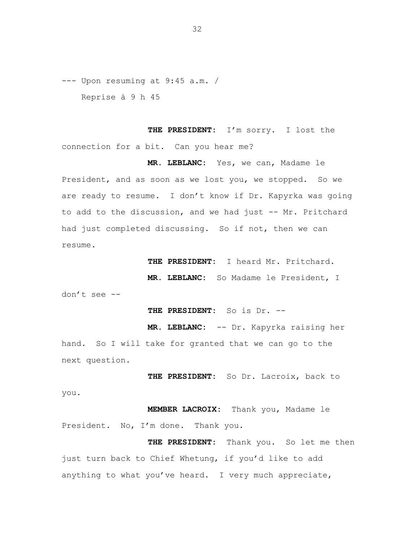--- Upon resuming at 9:45 a.m. /

Reprise à 9 h 45

**THE PRESIDENT:** I'm sorry. I lost the connection for a bit. Can you hear me?

**MR. LEBLANC:** Yes, we can, Madame le President, and as soon as we lost you, we stopped. So we are ready to resume. I don't know if Dr. Kapyrka was going to add to the discussion, and we had just -- Mr. Pritchard had just completed discussing. So if not, then we can resume.

**THE PRESIDENT:** I heard Mr. Pritchard.

**MR. LEBLANC:** So Madame le President, I

don't see --

**THE PRESIDENT:** So is Dr. --

**MR. LEBLANC:** -- Dr. Kapyrka raising her hand. So I will take for granted that we can go to the next question.

**THE PRESIDENT:** So Dr. Lacroix, back to

you.

**MEMBER LACROIX:** Thank you, Madame le President. No, I'm done. Thank you.

**THE PRESIDENT:** Thank you. So let me the njust turn back to Chief Whetung, if you'd like to add anything to what you've heard. I very much appreciate,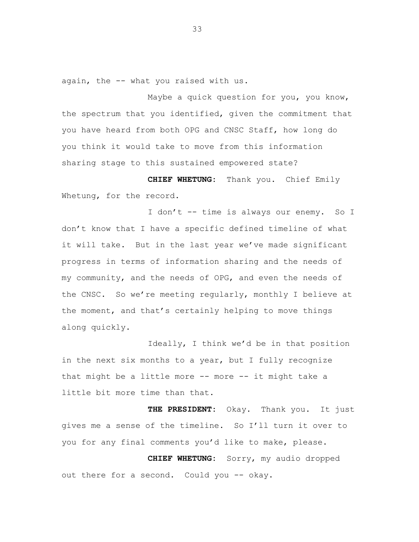again, the -- what you raised with us.

Maybe a quick question for you, you know, the spectrum that you identified, given the commitment that you have heard from both OPG and CNSC Staff, how long do you think it would take to move from this information sharing stage to this sustained empowered state?

**CHIEF WHETUNG:** Thank you. Chief Emily Whetung, for the record.

I don't -- time is always our enemy. So I don't know that I have a specific defined timeline of what it will take. But in the last year we've made significant progress in terms of information sharing and the needs of my community, and the needs of OPG, and even the needs of the CNSC. So we're meeting regularly, monthly I believe at the moment, and that's certainly helping to move things along quickly.

Ideally, I think we'd be in that position in the next six months to a year, but I fully recognize that might be a little more -- more -- it might take a little bit more time than that.

**THE PRESIDENT:** Okay. Thank you. It just gives me a sense of the timeline. So I'll turn it over to you for any final comments you'd like to make, please.

**CHIEF WHETUNG:** Sorry, my audio dropped out there for a second. Could you -- okay.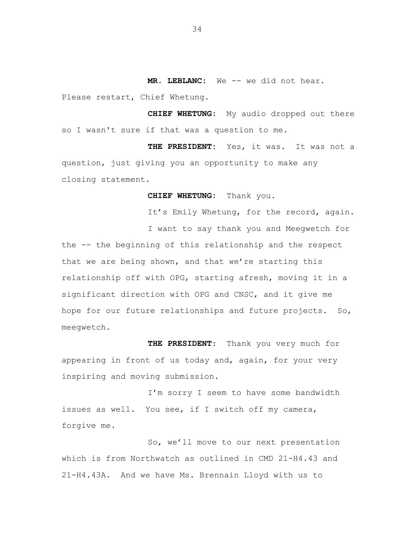**MR. LEBLANC:** We -- we did not hear.

Please restart, Chief Whetung.

**CHIEF WHETUNG:** My audio dropped out there so I wasn't sure if that was a question to me.

**THE PRESIDENT:** Yes, it was**.** It was not a question, just giving you an opportunity to make any closing statement.

**CHIEF WHETUNG:** Thank you**.**

It's Emily Whetung, for the record, again.

I want to say thank you and Meegwetch for the -- the beginning of this relationship and the respect that we are being shown, and that we're starting this relationship off with OPG, starting afresh, moving it in a significant direction with OPG and CNSC, and it give me hope for our future relationships and future projects. So, meegwetch.

**THE PRESIDENT:** Thank you very much for appearing in front of us today and, again, for your very inspiring and moving submission.

I'm sorry I seem to have some bandwidth issues as well. You see, if I switch off my camera, forgive me.

So, we'll move to our next presentation which is from Northwatch as outlined in CMD 21-H4.43 and 21-H4.43A. And we have Ms. Brennain Lloyd with us to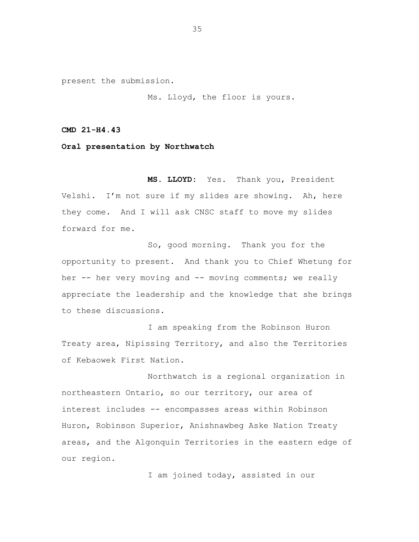present the submission.

Ms. Lloyd, the floor is yours.

**CMD 21-H4.43**

**Oral presentation by Northwatch**

**MS. LLOYD:** Yes. Thank you, President Velshi. I'm not sure if my slides are showing. Ah, here they come. And I will ask CNSC staff to move my slides forward for me.

So, good morning. Thank you for the opportunity to present. And thank you to Chief Whetung for her -- her very moving and -- moving comments; we really appreciate the leadership and the knowledge that she brings to these discussions.

I am speaking from the Robinson Huron Treaty area, Nipissing Territory, and also the Territories of Kebaowek First Nation.

Northwatch is a regional organization in northeastern Ontario, so our territory, our area of interest includes -- encompasses areas within Robinson Huron, Robinson Superior, Anishnawbeg Aske Nation Treaty areas, and the Algonquin Territories in the eastern edge of our region.

I am joined today, assisted in our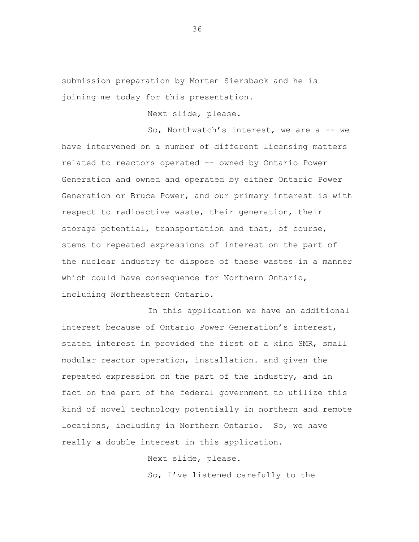submission preparation by Morten Siersback and he is joining me today for this presentation.

Next slide, please.

So, Northwatch's interest, we are a -- we have intervened on a number of different licensing matters related to reactors operated -- owned by Ontario Power Generation and owned and operated by either Ontario Power Generation or Bruce Power, and our primary interest is with respect to radioactive waste, their generation, their storage potential, transportation and that, of course, stems to repeated expressions of interest on the part of the nuclear industry to dispose of these wastes in a manner which could have consequence for Northern Ontario, including Northeastern Ontario.

In this application we have an additional interest because of Ontario Power Generation's interest, stated interest in provided the first of a kind SMR, small modular reactor operation, installation. and given the repeated expression on the part of the industry, and in fact on the part of the federal government to utilize this kind of novel technology potentially in northern and remote locations, including in Northern Ontario. So, we have really a double interest in this application.

Next slide, please.

So, I've listened carefully to the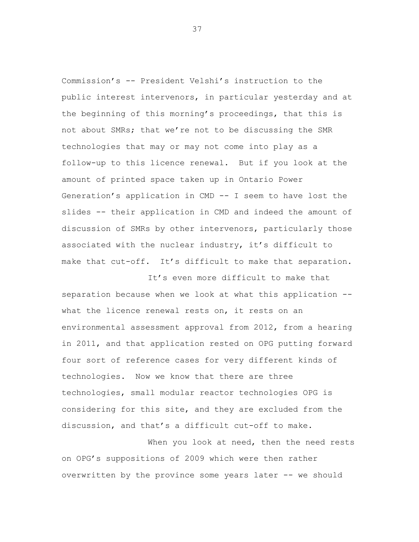Commission's -- President Velshi's instruction to the public interest intervenors, in particular yesterday and at the beginning of this morning's proceedings, that this is not about SMRs; that we're not to be discussing the SMR technologies that may or may not come into play as a follow-up to this licence renewal. But if you look at the amount of printed space taken up in Ontario Power Generation's application in CMD -- I seem to have lost the slides -- their application in CMD and indeed the amount of discussion of SMRs by other intervenors, particularly those associated with the nuclear industry, it's difficult to make that cut-off. It's difficult to make that separation.

It's even more difficult to make that separation because when we look at what this application - what the licence renewal rests on, it rests on an environmental assessment approval from 2012, from a hearing in 2011, and that application rested on OPG putting forward four sort of reference cases for very different kinds of technologies. Now we know that there are three technologies, small modular reactor technologies OPG is considering for this site, and they are excluded from the discussion, and that's a difficult cut-off to make.

When you look at need, then the need rests on OPG's suppositions of 2009 which were then rather overwritten by the province some years later -- we should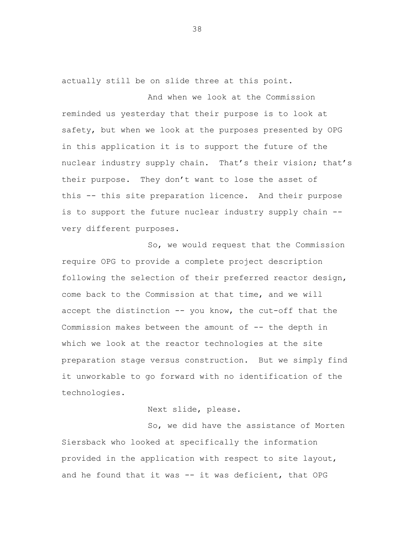actually still be on slide three at this point.

And when we look at the Commission reminded us yesterday that their purpose is to look at safety, but when we look at the purposes presented by OPG in this application it is to support the future of the nuclear industry supply chain. That's their vision; that's their purpose. They don't want to lose the asset of this -- this site preparation licence. And their purpose is to support the future nuclear industry supply chain - very different purposes.

So, we would request that the Commission require OPG to provide a complete project description following the selection of their preferred reactor design, come back to the Commission at that time, and we will accept the distinction -- you know, the cut-off that the Commission makes between the amount of -- the depth in which we look at the reactor technologies at the site preparation stage versus construction. But we simply find it unworkable to go forward with no identification of the technologies.

Next slide, please.

So, we did have the assistance of Morten Siersback who looked at specifically the information provided in the application with respect to site layout, and he found that it was -- it was deficient, that OPG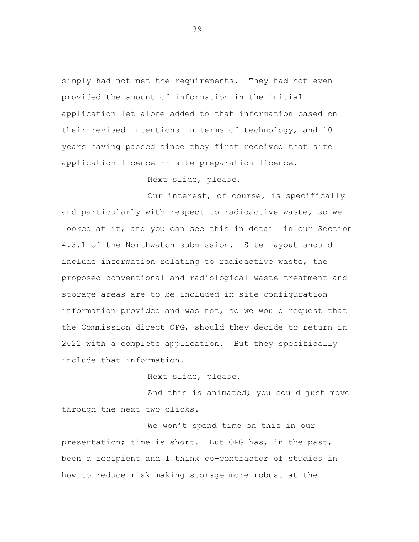simply had not met the requirements. They had not even provided the amount of information in the initial application let alone added to that information based on their revised intentions in terms of technology, and 10 years having passed since they first received that site application licence -- site preparation licence.

Next slide, please.

Our interest, of course, is specifically and particularly with respect to radioactive waste, so we looked at it, and you can see this in detail in our Section 4.3.1 of the Northwatch submission. Site layout should include information relating to radioactive waste, the proposed conventional and radiological waste treatment and storage areas are to be included in site configuration information provided and was not, so we would request that the Commission direct OPG, should they decide to return in 2022 with a complete application. But they specifically include that information.

Next slide, please.

And this is animated; you could just move through the next two clicks.

We won't spend time on this in our presentation; time is short. But OPG has, in the past, been a recipient and I think co-contractor of studies in how to reduce risk making storage more robust at the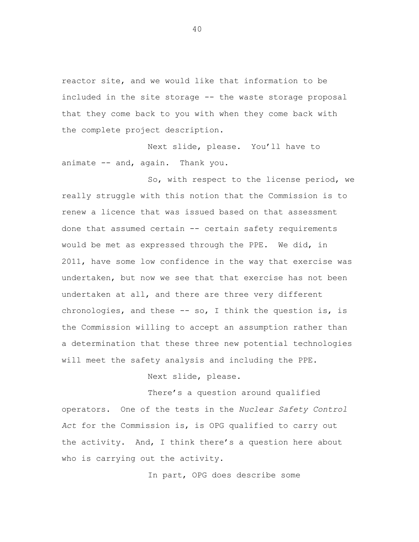reactor site, and we would like that information to be included in the site storage -- the waste storage proposal that they come back to you with when they come back with the complete project description.

Next slide, please. You'll have to animate -- and, again. Thank you.

So, with respect to the license period, we really struggle with this notion that the Commission is to renew a licence that was issued based on that assessment done that assumed certain -- certain safety requirements would be met as expressed through the PPE. We did, in 2011, have some low confidence in the way that exercise was undertaken, but now we see that that exercise has not been undertaken at all, and there are three very different chronologies, and these  $-$  so, I think the question is, is the Commission willing to accept an assumption rather than a determination that these three new potential technologies will meet the safety analysis and including the PPE.

Next slide, please.

There's a question around qualified operators. One of the tests in the *Nuclear Safety Control Act* for the Commission is, is OPG qualified to carry out the activity. And, I think there's a question here about who is carrying out the activity.

In part, OPG does describe some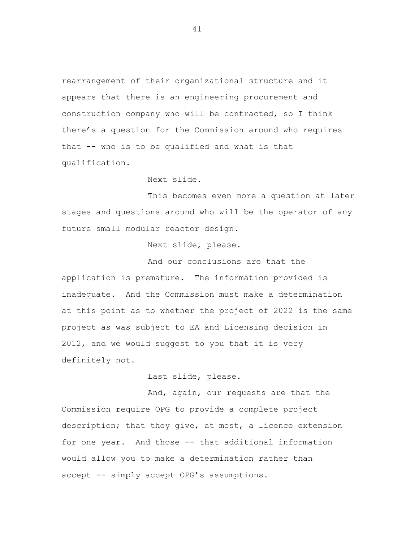rearrangement of their organizational structure and it appears that there is an engineering procurement and construction company who will be contracted, so I think there's a question for the Commission around who requires that -- who is to be qualified and what is that qualification.

## Next slide.

This becomes even more a question at later stages and questions around who will be the operator of any future small modular reactor design.

Next slide, please.

And our conclusions are that the application is premature. The information provided is inadequate. And the Commission must make a determination at this point as to whether the project of 2022 is the same project as was subject to EA and Licensing decision in 2012, and we would suggest to you that it is very definitely not.

Last slide, please.

And, again, our requests are that the Commission require OPG to provide a complete project description; that they give, at most, a licence extension for one year. And those -- that additional information would allow you to make a determination rather t hanaccept -- simply accept OPG's assumptions.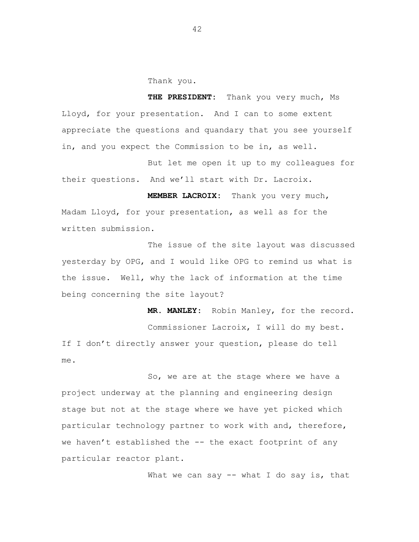Thank you.

**THE PRESIDENT:** Thank you very much, Ms Lloyd, for your presentation. And I can to some extent appreciate the questions and quandary that you see yourself in, and you expect the Commission to be in, as well.

But let me open it up to my colleagues for their questions. And we'll start with Dr. Lacroix.

**MEMBER LACROIX:** Thank you very much, Madam Lloyd, for your presentation, as well as for the written submission.

The issue of the site layout was discussed yesterday by OPG, and I would like OPG to remind us what is the issue. Well, why the lack of information at the time being concerning the site layout?

**MR. MANLEY:** Robin Manley, for the record. Commissioner Lacroix, I will do my best. If I don't directly answer your question, please do tell me.

So, we are at the stage where we have a project underway at the planning and engineering design stage but not at the stage where we have yet picked which particular technology partner to work with and, therefore, we haven't established the -- the exact footprint of any particular reactor plant.

What we can say  $--$  what I do say is, that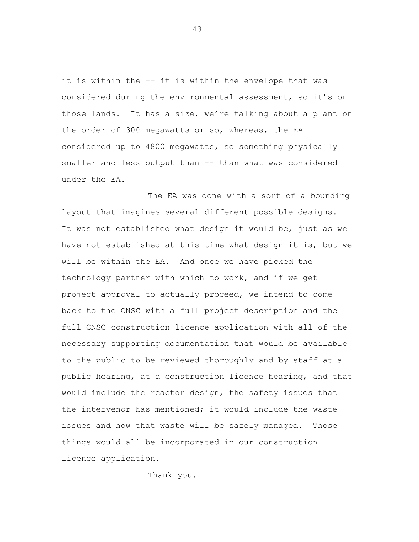it is within the -- it is within the envelope that was considered during the environmental assessment, so it's on those lands. It has a size, we're talking about a plant on the order of 300 megawatts or so, whereas, the EA considered up to 4800 megawatts, so something physically smaller and less output than -- than what was considered under the EA.

The EA was done with a sort of a bounding layout that imagines several different possible designs. It was not established what design it would be, just as we have not established at this time what design it is, but we will be within the EA. And once we have picked the technology partner with which to work, and if we get project approval to actually proceed, we intend to come back to the CNSC with a full project description and the full CNSC construction licence application with all of the necessary supporting documentation that would be available to the public to be reviewed thoroughly and by staff at a public hearing, at a construction licence hearing, and that would include the reactor design, the safety issues that the intervenor has mentioned; it would include the waste issues and how that waste will be safely managed. Those things would all be incorporated in our constructionlicence application.

Thank you.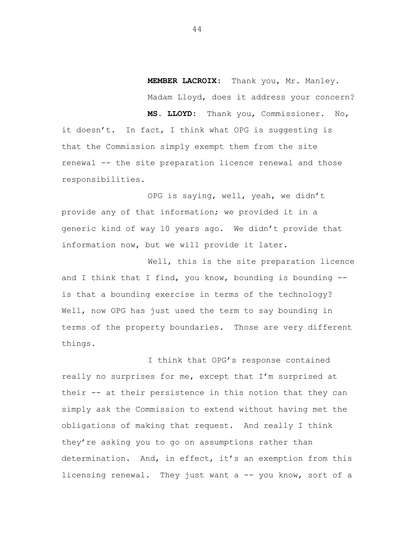**MEMBER LACROIX:** Thank you, Mr. Manley. Madam Lloyd, does it address your concern?

**MS. LLOYD:** Thank you, Commissioner. No,

it doesn't. In fact, I think what OPG is suggesting is that the Commission simply exempt them from the site renewal -- the site preparation licence renewal and those responsibilities.

OPG is saying, well, yeah, we didn't provide any of that information; we provided it in a generic kind of way 10 years ago. We didn't provide that information now, but we will provide it later.

Well, this is the site preparation licence and I think that I find, you know, bounding is bounding  $-$ is that a bounding exercise in terms of the technology? Well, now OPG has just used the term to say bounding in terms of the property boundaries. Those are very different things.

I think that OPG's response contained really no surprises for me, except that I'm surprised at their -- at their persistence in this notion that they can simply ask the Commission to extend without having met the obligations of making that request. And really I think they're asking you to go on assumptions rather than determination. And, in effect, it's an exemption from this licensing renewal. They just want a -- you know, sort of a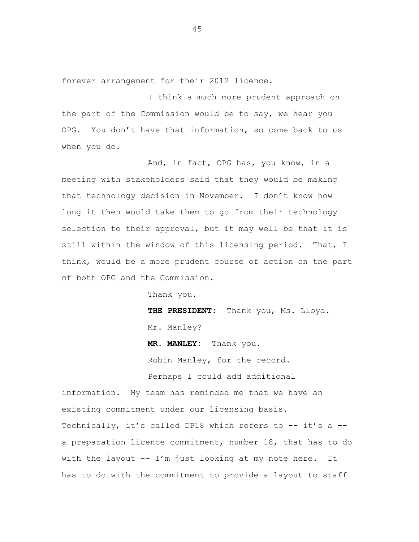forever arrangement for their 2012 licence.

I think a much more prudent approach on the part of the Commission would be to say, we hear you OPG. You don't have that information, so come back to us when you do.

And, in fact, OPG has, you know, in a meeting with stakeholders said that they would be making that technology decision in November. I don't know how long it then would take them to go from their technology selection to their approval, but it may well be that it is still within the window of this licensing period. That, I think, would be a more prudent course of action on the part of both OPG and the Commission.

Thank you.

**THE PRESIDENT:** Thank you, Ms. Lloyd. Mr. Manley?

**MR. MANLEY:** Thank you.

Robin Manley, for the record.

Perhaps I could add additional

information. My team has reminded me that we have an existing commitment under our licensing basis. Technically, it's called DP18 which refers to -- it's a -a preparation licence commitment, number 18, that has to do with the layout  $-- I'm$  just looking at my note here. It has to do with the commitment to provide a layout to staff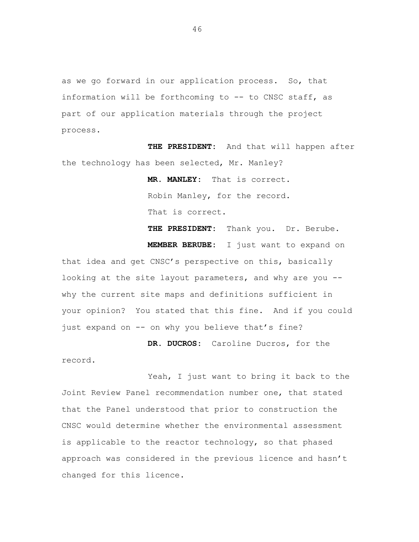as we go forward in our application process. So, that information will be forthcoming to -- to CNSC staff, as part of our application materials through the project process.

**THE PRESIDENT:** And that will happen after the technology has been selected, Mr. Manley?

> **MR. MANLEY:** That is correct. Robin Manley, for the record. That is correct.

**THE PRESIDENT:** Thank you. Dr. Berube. **MEMBER BERUBE:** I just want to expand on that idea and get CNSC's perspective on this, basically looking at the site layout parameters, and why are you - why the current site maps and definitions sufficient in your opinion? You stated that this fine. And if you could just expand on -- on why you believe that's fine?

**DR. DUCROS:** Caroline Ducros, for the

record.

Yeah, I just want to bring it back to the Joint Review Panel recommendation number one, that stated that the Panel understood that prior to construction the CNSC would determine whether the environmental assessment is applicable to the reactor technology, so that phased approach was considered in the previous licence and hasn't changed for this licence.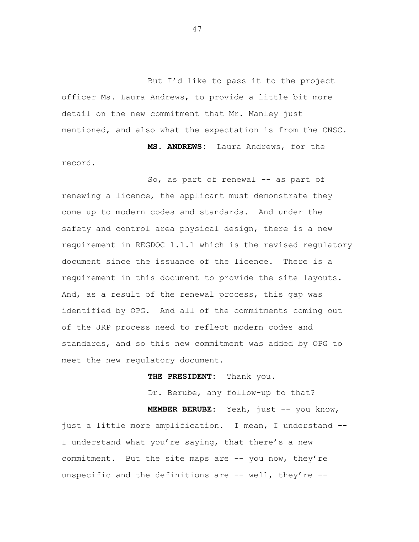But I'd like to pass it to the project officer Ms. Laura Andrews, to provide a little bit more detail on the new commitment that Mr. Manley just mentioned, and also what the expectation is from the CNSC.

**MS. ANDREWS:** Laura Andrews, for the record.

So, as part of renewal -- as part of renewing a licence, the applicant must demonstrate they come up to modern codes and standards. And under the safety and control area physical design, there is a new requirement in REGDOC 1.1.1 which is the revised regulatory document since the issuance of the licence. There is a requirement in this document to provide the site layouts. And, as a result of the renewal process, this gap was identified by OPG. And all of the commitments coming out of the JRP process need to reflect modern codes and standards, and so this new commitment was added by OPG to meet the new regulatory document.

**THE PRESIDENT:** Thank you.

Dr. Berube, any follow-up to that?

**MEMBER BERUBE:** Yeah, just -- you know,

just a little more amplification. I mean, I understand -- I understand what you're saying, that there's a new commitment. But the site maps are -- you now, they're unspecific and the definitions are  $--$  well, they're  $--$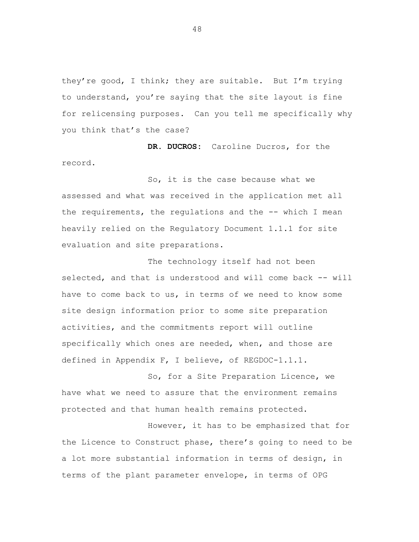they're good, I think; they are suitable. But I'm trying to understand, you're saying that the site layout is fine for relicensing purposes. Can you tell me specifically why you think that's the case?

**DR. DUCROS:** Caroline Ducros, for the record.

So, it is the case because what we assessed and what was received in the application met all the requirements, the regulations and the -- which I mean heavily relied on the Regulatory Document 1.1.1 for site evaluation and site preparations.

The technology itself had not been selected, and that is understood and will come back -- will have to come back to us, in terms of we need to know some site design information prior to some site preparation activities, and the commitments report will outline specifically which ones are needed, when, and those are defined in Appendix F, I believe, of REGDOC-1.1.1.

So, for a Site Preparation Licence, we have what we need to assure that the environment remains protected and that human health remains protected.

However, it has to be emphasized that for the Licence to Construct phase, there's going to need to be a lot more substantial information in terms of design, in terms of the plant parameter envelope, in terms of OPG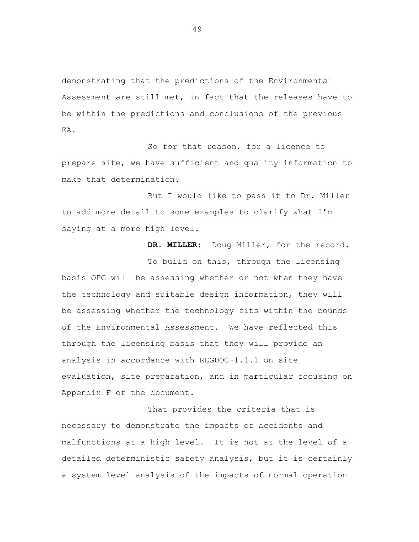demonstrating that the predictions of the Environmental Assessment are still met, in fact that the releases have to be within the predictions and conclusions of the previous EA.

So for that reason, for a licence to prepare site, we have sufficient and quality information to make that determination.

But I would like to pass it to Dr. Miller to add more detail to some examples to clarify what I'm saying at a more high level.

**DR. MILLER:** Doug Miller, for the record. To build on this, through the licensing basis OPG will be assessing whether or not when they have the technology and suitable design information, they will be assessing whether the technology fits within the bounds of the Environmental Assessment. We have reflected this through the licensing basis that they will provide an analysis in accordance with REGDOC-1.1.1 on site evaluation, site preparation, and in particular focusing on Appendix F of the document.

That provides the criteria that is necessary to demonstrate the impacts of accidents and malfunctions at a high level. It is not at the level of a detailed deterministic safety analysis, but it is certainly a system level analysis of the impacts of normal operation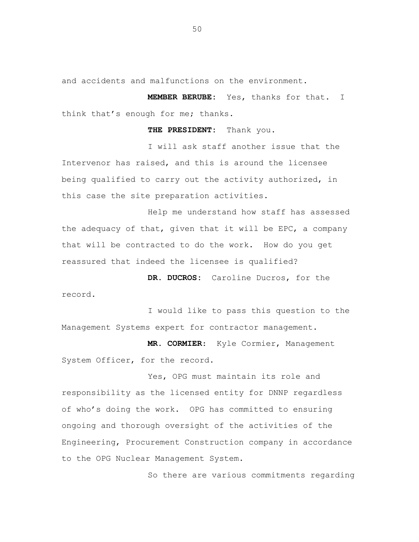and accidents and malfunctions on the environment.

**MEMBER BERUBE:** Yes, thanks for that. I think that's enough for me; thanks.

**THE PRESIDENT:** Thank you.

I will ask staff another issue that the Intervenor has raised, and this is around the licensee being qualified to carry out the activity authorized, in this case the site preparation activities.

Help me understand how staff has assessed the adequacy of that, given that it will be EPC, a company that will be contracted to do the work. How do you get reassured that indeed the licensee is qualified?

**DR. DUCROS:** Caroline Ducros, for the record.

I would like to pass this question to the Management Systems expert for contractor management.

**MR. CORMIER**: Kyle Cormier, Management System Officer, for the record.

Yes, OPG must maintain its role and responsibility as the licensed entity for DNNP regardless of who's doing the work. OPG has committed to ensuring ongoing and thorough oversight of the activities of the Engineering, Procurement Construction company in accordance to the OPG Nuclear Management System.

So there are various commitments regarding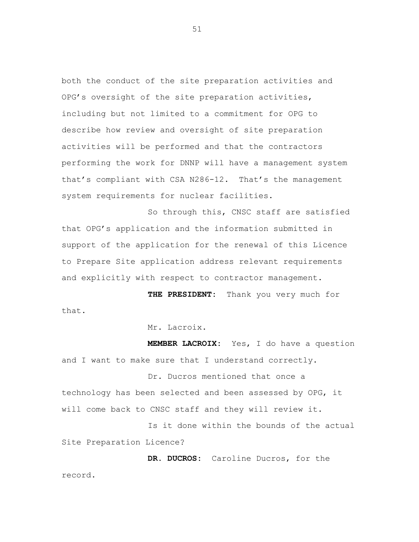both the conduct of the site preparation activities and OPG's oversight of the site preparation activities, including but not limited to a commitment for OPG to describe how review and oversight of site preparation activities will be performed and that the contractors performing the work for DNNP will have a management system that's compliant with CSA N286-12. That's the management system requirements for nuclear facilities.

So through this, CNSC staff are satisfied that OPG's application and the information submitted in support of the application for the renewal of this Licence to Prepare Site application address relevant requirements and explicitly with respect to contractor management.

**THE PRESIDENT:** Thank you very much for that.

Mr. Lacroix.

**MEMBER LACROIX:** Yes, I do have a question and I want to make sure that I understand correctly.

Dr. Ducros mentioned that once a technology has been selected and been assessed by OPG, it will come back to CNSC staff and they will review it.

Is it done within the bounds of the actual Site Preparation Licence?

**DR. DUCROS:** Caroline Ducros, for the record.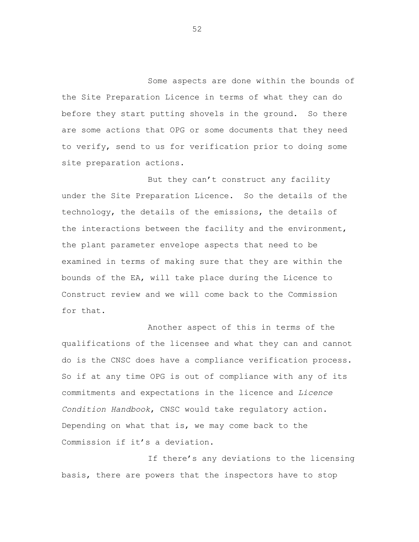Some aspects are done within the bounds of the Site Preparation Licence in terms of what they can do before they start putting shovels in the ground. So there are some actions that OPG or some documents that they need to verify, send to us for verification prior to doing some site preparation actions.

But they can't construct any facility under the Site Preparation Licence. So the details of the technology, the details of the emissions, the details of the interactions between the facility and the environment, the plant parameter envelope aspects that need to be examined in terms of making sure that they are within the bounds of the EA, will take place during the Licence to Construct review and we will come back to the Commission for that.

Another aspect of this in terms of the qualifications of the licensee and what they can and cannot do is the CNSC does have a compliance verification process. So if at any time OPG is out of compliance with any of its commitments and expectations in the licence and *Licence Condition Handbook*, CNSC would take regulatory action. Depending on what that is, we may come back to the Commission if it's a deviation.

If there's any deviations to the licensing basis, there are powers that the inspectors have to stop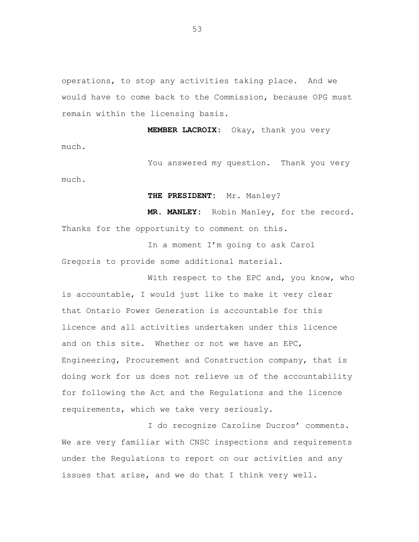operations, to stop any activities taking place. And we would have to come back to the Commission, because OPG must remain within the licensing basis.

**MEMBER LACROIX:** Okay, thank you very much.

You answered my question. Thank you very much.

**THE PRESIDENT:** Mr. Manley?

**MR. MANLEY:** Robin Manley, for the record. Thanks for the opportunity to comment on this.

In a moment I'm going to ask Carol Gregoris to provide some additional material.

With respect to the EPC and, you know, who is accountable, I would just like to make it very clear that Ontario Power Generation is accountable for this licence and all activities undertaken under this licence and on this site. Whether or not we have an EPC, Engineering, Procurement and Construction company, that is doing work for us does not relieve us of the accountability for following the Act and the Regulations and the licence requirements, which we take very seriously.

I do recognize Caroline Ducros' comments. We are very familiar with CNSC inspections and requirements under the Regulations to report on our activities and any issues that arise, and we do that I think very well.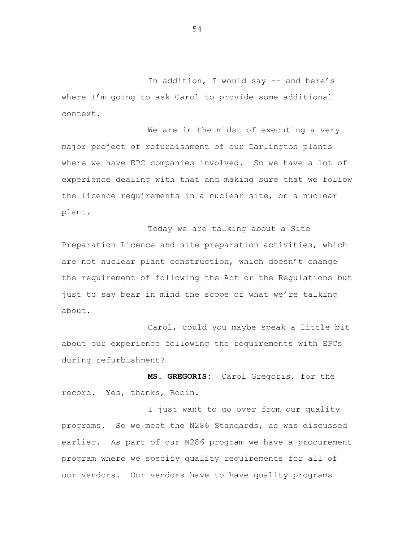In addition, I would say -– and here's where I'm going to ask Carol to provide some additional context.

We are in the midst of executing a very major project of refurbishment of our Darlington plants where we have EPC companies involved. So we have a lot of experience dealing with that and making sure that we follow the licence requirements in a nuclear site, on a nuclear plant.

Today we are talking about a Site Preparation Licence and site preparation activities, which are not nuclear plant construction, which doesn't change the requirement of following the Act or the Regulations but just to say bear in mind the scope of what we're talking about.

Carol, could you maybe speak a little bit about our experience following the requirements with EPCs during refurbishment?

**MS. GREGORIS:** Carol Gregoris, for the record. Yes, thanks, Robin.

I just want to go over from our quality programs. So we meet the N286 Standards, as was discussed earlier. As part of our N286 program we have a procurement program where we specify quality requirements for all of our vendors. Our vendors have to have quality programs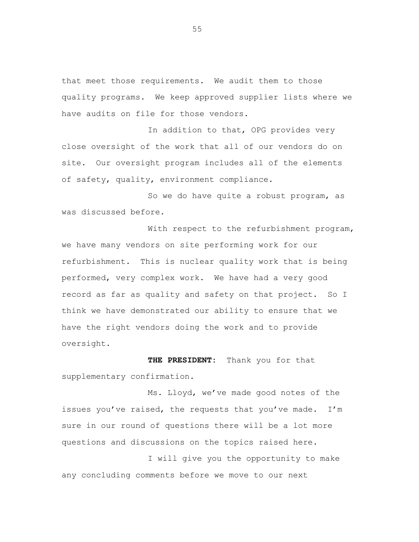that meet those requirements. We audit them to those quality programs. We keep approved supplier lists where we have audits on file for those vendors.

In addition to that, OPG provides very close oversight of the work that all of our vendors do on site. Our oversight program includes all of the elements of safety, quality, environment compliance.

So we do have quite a robust program, as was discussed before.

With respect to the refurbishment program, we have many vendors on site performing work for our refurbishment. This is nuclear quality work that is being performed, very complex work. We have had a very good record as far as quality and safety on that project. So I think we have demonstrated our ability to ensure that we have the right vendors doing the work and to provide oversight.

**THE PRESIDENT:** Thank you for that supplementary confirmation.

Ms. Lloyd, we've made good notes of the issues you've raised, the requests that you've made. I'm sure in our round of questions there will be a lot more questions and discussions on the topics raised here.

I will give you the opportunity to make any concluding comments before we move to our next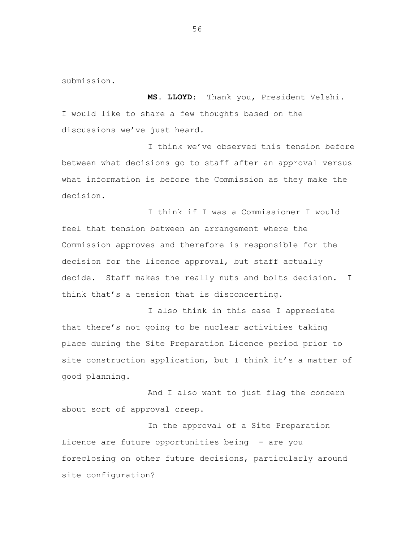submission.

**MS. LLOYD:** Thank you, President Velshi. I would like to share a few thoughts based on the discussions we've just heard.

I think we've observed this tension before between what decisions go to staff after an approval versus what information is before the Commission as they make the decision.

I think if I was a Commissioner I would feel that tension between an arrangement where the Commission approves and therefore is responsible for the decision for the licence approval, but staff actually decide. Staff makes the really nuts and bolts decision. I think that's a tension that is disconcerting.

I also think in this case I appreciate that there's not going to be nuclear activities taking place during the Site Preparation Licence period prior to site construction application, but I think it's a matter of good planning.

And I also want to just flag the concern about sort of approval creep.

In the approval of a Site Preparation Licence are future opportunities being –- are you foreclosing on other future decisions, particularly around site configuration?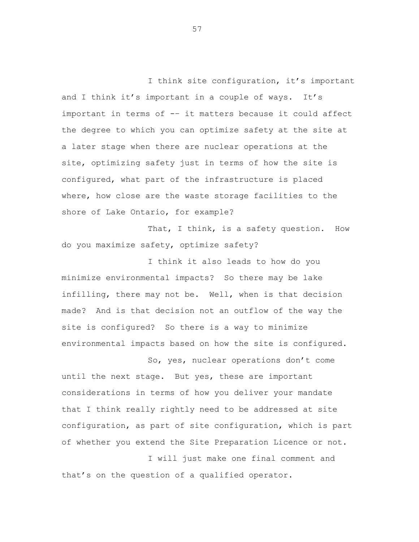I think site configuration, it's important and I think it's important in a couple of ways. It's important in terms of -– it matters because it could affect the degree to which you can optimize safety at the site at a later stage when there are nuclear operations at the site, optimizing safety just in terms of how the site is configured, what part of the infrastructure is placed where, how close are the waste storage facilities to the shore of Lake Ontario, for example?

That, I think, is a safety question. How do you maximize safety, optimize safety?

I think it also leads to how do you minimize environmental impacts? So there may be lake infilling, there may not be. Well, when is that decision made? And is that decision not an outflow of the way the site is configured? So there is a way to minimize environmental impacts based on how the site is configured.

So, yes, nuclear operations don't come until the next stage. But yes, these are important considerations in terms of how you deliver your mandate that I think really rightly need to be addressed at site configuration, as part of site configuration, which is part of whether you extend the Site Preparation Licence or not.

I will just make one final comment and that's on the question of a qualified operator.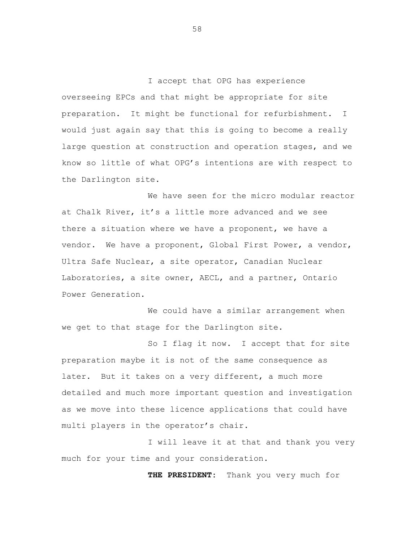I accept that OPG has experience overseeing EPCs and that might be appropriate for site preparation. It might be functional for refurbishment. I would just again say that this is going to become a really large question at construction and operation stages, and we know so little of what OPG's intentions are with respect to the Darlington site.

We have seen for the micro modular reactor at Chalk River, it's a little more advanced and we see there a situation where we have a proponent, we have a vendor. We have a proponent, Global First Power, a vendor, Ultra Safe Nuclear, a site operator, Canadian Nuclear Laboratories, a site owner, AECL, and a partner, Ontario Power Generation.

We could have a similar arrangement when we get to that stage for the Darlington site.

So I flag it now. I accept that for site preparation maybe it is not of the same consequence as later. But it takes on a very different, a much more detailed and much more important question and investigation as we move into these licence applications that could have multi players in the operator's chair.

I will leave it at that and thank you very much for your time and your consideration.

**THE PRESIDENT:** Thank you very much for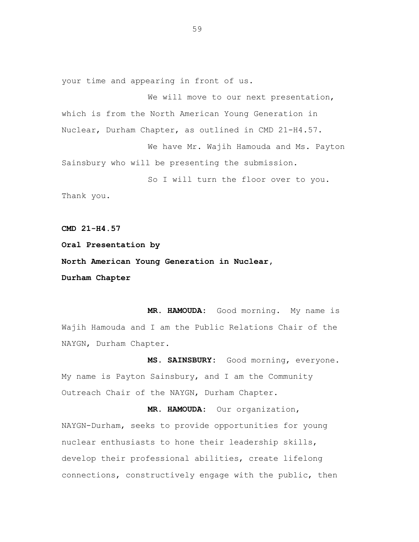your time and appearing in front of us.

We will move to our next presentation, which is from the North American Young Generation in Nuclear, Durham Chapter, as outlined in CMD 21-H4.57.

We have Mr. Wajih Hamouda and Ms. Payton Sainsbury who will be presenting the submission.

So I will turn the floor over to you. Thank you.

**CMD 21-H4.57**

**Oral Presentation by**

**North American Young Generation in Nuclear,**

**Durham Chapter**

**MR. HAMOUDA:** Good morning. My name is Wajih Hamouda and I am the Public Relations Chair of the NAYGN, Durham Chapter.

**MS. SAINSBURY:** Good morning, everyone. My name is Payton Sainsbury, and I am the Community Outreach Chair of the NAYGN, Durham Chapter.

**MR. HAMOUDA:** Our organization, NAYGN-Durham, seeks to provide opportunities for young nuclear enthusiasts to hone their leadership skills, develop their professional abilities, create lifelong connections, constructively engage with the public, then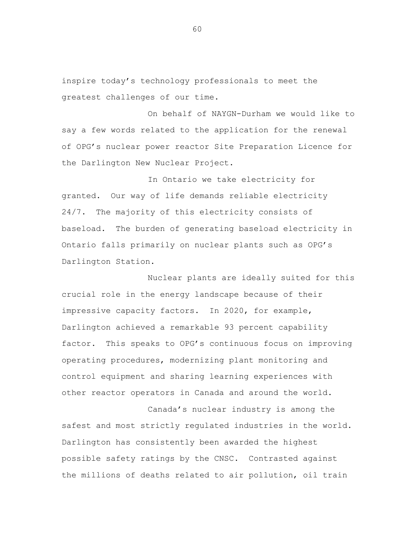inspire today's technology professionals to meet the greatest challenges of our time.

On behalf of NAYGN-Durham we would like to say a few words related to the application for the renewal of OPG's nuclear power reactor Site Preparation Licence for the Darlington New Nuclear Project.

In Ontario we take electricity for granted. Our way of life demands reliable electricity 24/7. The majority of this electricity consists of baseload. The burden of generating baseload electricity in Ontario falls primarily on nuclear plants such as OPG's Darlington Station.

Nuclear plants are ideally suited for this crucial role in the energy landscape because of their impressive capacity factors. In 2020, for example, Darlington achieved a remarkable 93 percent capability factor. This speaks to OPG's continuous focus on improving operating procedures, modernizing plant monitoring and control equipment and sharing learning experiences with other reactor operators in Canada and around the world.

Canada's nuclear industry is among the safest and most strictly regulated industries in the world. Darlington has consistently been awarded the highest possible safety ratings by the CNSC. Contrasted against the millions of deaths related to air pollution, oil train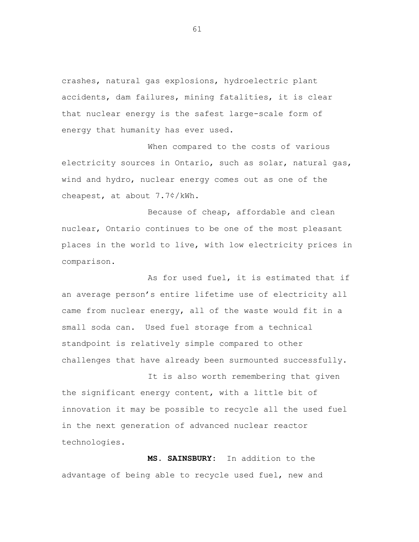crashes, natural gas explosions, hydroelectric plant accidents, dam failures, mining fatalities, it is clear that nuclear energy is the safest large-scale form of energy that humanity has ever used.

When compared to the costs of various electricity sources in Ontario, such as solar, natural gas, wind and hydro, nuclear energy comes out as one of the cheapest, at about 7.7¢/kWh.

Because of cheap, affordable and clean nuclear, Ontario continues to be one of the most pleasant places in the world to live, with low electricity prices in comparison.

As for used fuel, it is estimated that if an average person's entire lifetime use of electricity all came from nuclear energy, all of the waste would fit in a small soda can. Used fuel storage from a technical standpoint is relatively simple compared to other challenges that have already been surmounted successfully.

It is also worth remembering that given the significant energy content, with a little bit of innovation it may be possible to recycle all the used fuel in the next generation of advanced nuclear reactor technologies.

**MS. SAINSBURY:** In addition to the advantage of being able to recycle used fuel, new and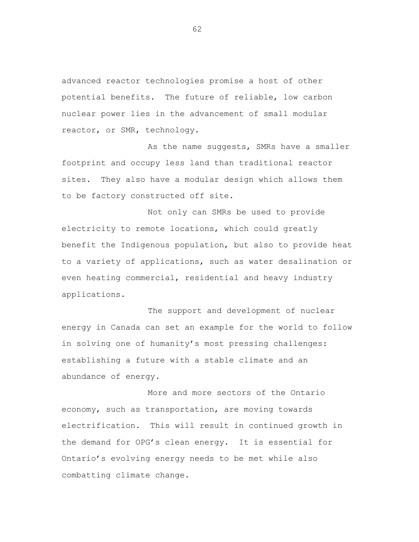advanced reactor technologies promise a host of other potential benefits. The future of reliable, low carbon nuclear power lies in the advancement of small modular reactor, or SMR, technology.

As the name suggests, SMRs have a smaller footprint and occupy less land than traditional reactor sites. They also have a modular design which allows them to be factory constructed off site.

Not only can SMRs be used to provide electricity to remote locations, which could greatly benefit the Indigenous population, but also to provide heat to a variety of applications, such as water desalination or even heating commercial, residential and heavy industry applications.

The support and development of nuclear energy in Canada can set an example for the world to follow in solving one of humanity's most pressing challenges: establishing a future with a stable climate and an abundance of energy.

More and more sectors of the Ontario economy, such as transportation, are moving towards electrification. This will result in continued growth in the demand for OPG's clean energy. It is essential for Ontario's evolving energy needs to be met while also combatting climate change.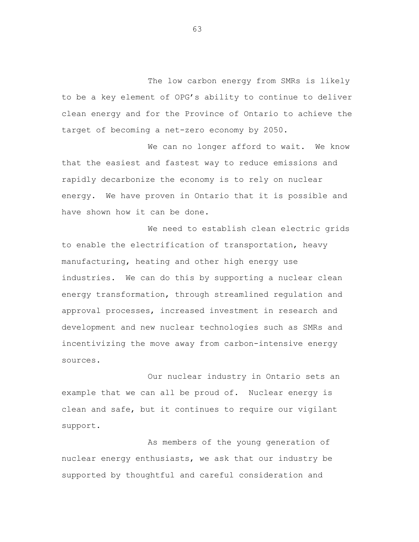The low carbon energy from SMRs is likely to be a key element of OPG's ability to continue to deliver clean energy and for the Province of Ontario to achieve the target of becoming a net-zero economy by 2050.

We can no longer afford to wait. We know that the easiest and fastest way to reduce emissions and rapidly decarbonize the economy is to rely on nuclear energy. We have proven in Ontario that it is possible and have shown how it can be done.

We need to establish clean electric grids to enable the electrification of transportation, heavy manufacturing, heating and other high energy use industries. We can do this by supporting a nuclear clean energy transformation, through streamlined regulation and approval processes, increased investment in research and development and new nuclear technologies such as SMRs and incentivizing the move away from carbon-intensive energy sources.

Our nuclear industry in Ontario sets an example that we can all be proud of. Nuclear energy is clean and safe, but it continues to require our vigilant support.

As members of the young generation of nuclear energy enthusiasts, we ask that our industry be supported by thoughtful and careful consideration and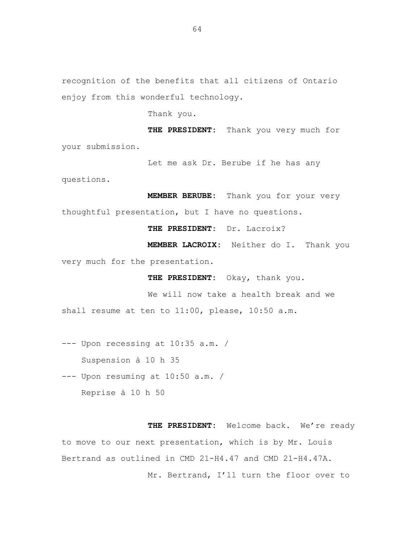Thank you.

**THE PRESIDENT:** Thank you very much for your submission.

Let me ask Dr. Berube if he has any

questions.

**MEMBER BERUBE:** Thank you for your very thoughtful presentation, but I have no questions.

**THE PRESIDENT:** Dr. Lacroix?

**MEMBER LACROIX:** Neither do I. Thank you very much for the presentation.

**THE PRESIDENT:** Okay, thank you.

We will now take a health break and we shall resume at ten to 11:00, please, 10:50 a.m.

--- Upon recessing at 10:35 a.m. /

Suspension à 10 h 35

--- Upon resuming at 10:50 a.m. / Reprise à 10 h 50

**THE PRESIDENT:** Welcome back. We're ready to move to our next presentation, which is by Mr. Louis Bertrand as outlined in CMD 21-H4.47 and CMD 21-H4.47A. Mr. Bertrand, I'll turn the floor over to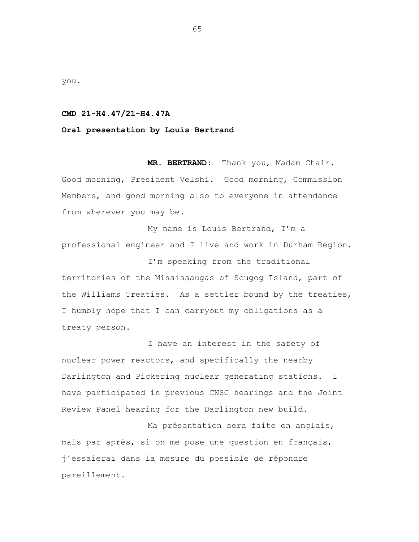you.

## **CMD 21-H4.47/21-H4.47A**

## **Oral presentation by Louis Bertrand**

**MR. BERTRAND:** Thank you, Madam Chair. Good morning, President Velshi. Good morning, Commission Members, and good morning also to everyone in attendance from wherever you may be.

My name is Louis Bertrand, I'm a professional engineer and I live and work in Durham Region.

I'm speaking from the traditional territories of the Mississaugas of Scugog Island, part of the Williams Treaties. As a settler bound by the treaties, I humbly hope that I can carryout my obligations as a treaty person.

I have an interest in the safety of nuclear power reactors, and specifically the nearby Darlington and Pickering nuclear generating stations. I have participated in previous CNSC hearings and the Joint Review Panel hearing for the Darlington new build.

Ma présentation sera faite en anglais, mais par après, si on me pose une question en français, j'essaierai dans la mesure du possible de répondre pareillement.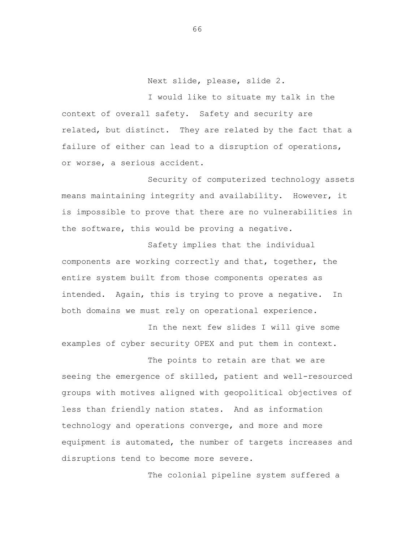Next slide, please, slide 2.

I would like to situate my talk in the context of overall safety. Safety and security are related, but distinct. They are related by the fact that a failure of either can lead to a disruption of operations, or worse, a serious accident.

Security of computerized technology assets means maintaining integrity and availability. However, it is impossible to prove that there are no vulnerabilities in the software, this would be proving a negative.

Safety implies that the individual components are working correctly and that, together, the entire system built from those components operates as intended. Again, this is trying to prove a negative. In both domains we must rely on operational experience.

In the next few slides I will give some examples of cyber security OPEX and put them in context.

The points to retain are that we are seeing the emergence of skilled, patient and well-resourced groups with motives aligned with geopolitical objectives of less than friendly nation states. And as information technology and operations converge, and more and more equipment is automated, the number of targets increases and disruptions tend to become more severe.

The colonial pipeline system suffered a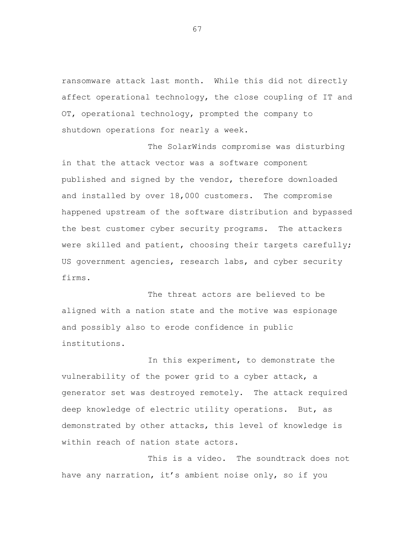ransomware attack last month. While this did not directly affect operational technology, the close coupling of IT and OT, operational technology, prompted the company to shutdown operations for nearly a week.

The SolarWinds compromise was disturbing in that the attack vector was a software component published and signed by the vendor, therefore downloaded and installed by over 18,000 customers. The compromise happened upstream of the software distribution and bypassed the best customer cyber security programs. The attackers were skilled and patient, choosing their targets carefully; US government agencies, research labs, and cyber security firms.

The threat actors are believed to be aligned with a nation state and the motive was espionage and possibly also to erode confidence in public institutions.

In this experiment, to demonstrate the vulnerability of the power grid to a cyber attack, a generator set was destroyed remotely. The attack required deep knowledge of electric utility operations. But, as demonstrated by other attacks, this level of knowledge is within reach of nation state actors.

This is a video. The soundtrack does not have any narration, it's ambient noise only, so if you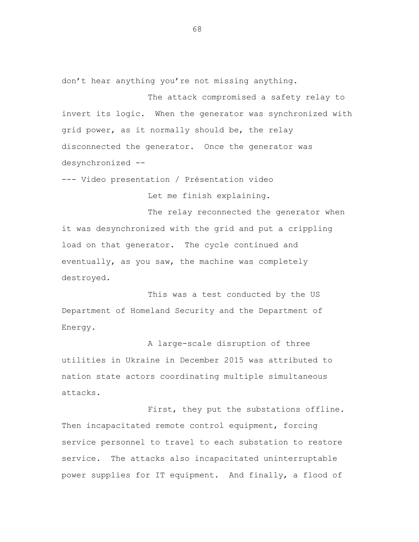don't hear anything you're not missing anything.

The attack compromised a safety relay to invert its logic. When the generator was synchronized with grid power, as it normally should be, the relay disconnected the generator. Once the generator was desynchronized --

--- Video presentation / Présentation video

Let me finish explaining.

The relay reconnected the generator when it was desynchronized with the grid and put a crippling load on that generator. The cycle continued and eventually, as you saw, the machine was completely destroyed.

This was a test conducted by the US Department of Homeland Security and the Department of Energy.

A large-scale disruption of three utilities in Ukraine in December 2015 was attributed to nation state actors coordinating multiple simultaneous attacks.

First, they put the substations offline. Then incapacitated remote control equipment, forcing service personnel to travel to each substation to restore service. The attacks also incapacitated uninterruptable power supplies for IT equipment. And finally, a flood of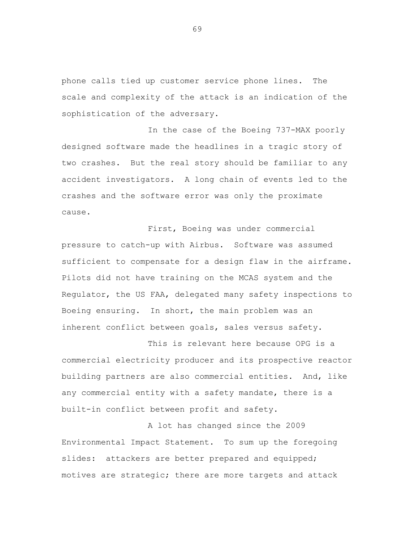phone calls tied up customer service phone lines. The scale and complexity of the attack is an indication of the sophistication of the adversary.

In the case of the Boeing 737-MAX poorly designed software made the headlines in a tragic story of two crashes. But the real story should be familiar to any accident investigators. A long chain of events led to the crashes and the software error was only the proximate cause.

First, Boeing was under commercial pressure to catch-up with Airbus. Software was assumed sufficient to compensate for a design flaw in the airframe. Pilots did not have training on the MCAS system and the Regulator, the US FAA, delegated many safety inspections to Boeing ensuring. In short, the main problem was an inherent conflict between goals, sales versus safety.

This is relevant here because OPG is a commercial electricity producer and its prospective reactor building partners are also commercial entities. And, like any commercial entity with a safety mandate, there is a built-in conflict between profit and safety.

A lot has changed since the 2009 Environmental Impact Statement. To sum up the foregoing slides: attackers are better prepared and equipped; motives are strategic; there are more targets and attack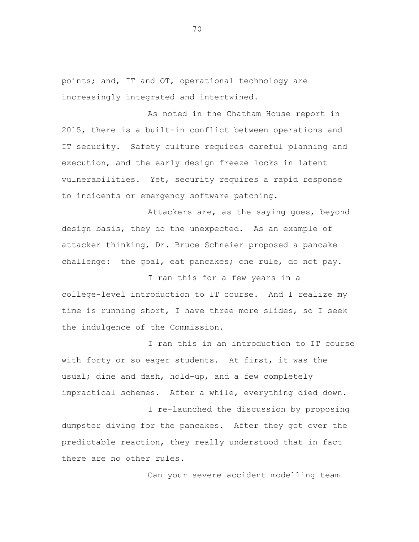points; and, IT and OT, operational technology are increasingly integrated and intertwined.

As noted in the Chatham House report in 2015, there is a built-in conflict between operations and IT security. Safety culture requires careful planning and execution, and the early design freeze locks in latent vulnerabilities. Yet, security requires a rapid response to incidents or emergency software patching.

Attackers are, as the saying goes, beyond design basis, they do the unexpected. As an example of attacker thinking, Dr. Bruce Schneier proposed a pancake challenge: the goal, eat pancakes; one rule, do not pay.

I ran this for a few years in a college-level introduction to IT course. And I realize my time is running short, I have three more slides, so I seek the indulgence of the Commission.

I ran this in an introduction to IT course with forty or so eager students. At first, it was the usual; dine and dash, hold-up, and a few completely impractical schemes. After a while, everything died down.

I re-launched the discussion by proposing dumpster diving for the pancakes. After they got over the predictable reaction, they really understood that in fact there are no other rules.

Can your severe accident modelling team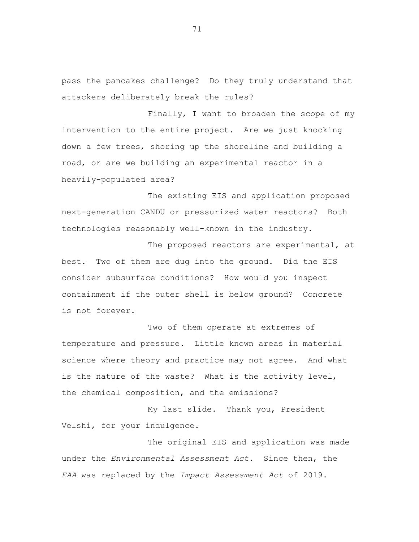pass the pancakes challenge? Do they truly understand that attackers deliberately break the rules?

Finally, I want to broaden the scope of my intervention to the entire project. Are we just knocking down a few trees, shoring up the shoreline and building a road, or are we building an experimental reactor in a heavily-populated area?

The existing EIS and application proposed next-generation CANDU or pressurized water reactors? Both technologies reasonably well-known in the industry.

The proposed reactors are experimental, at best. Two of them are dug into the ground. Did the EIS consider subsurface conditions? How would you inspect containment if the outer shell is below ground? Concrete is not forever.

Two of them operate at extremes of temperature and pressure. Little known areas in material science where theory and practice may not agree. And what is the nature of the waste? What is the activity level, the chemical composition, and the emissions?

My last slide. Thank you, President Velshi, for your indulgence.

The original EIS and application was made under the *Environmental Assessment Act*. Since then, the *EAA* was replaced by the *Impact Assessment Act* of 2019.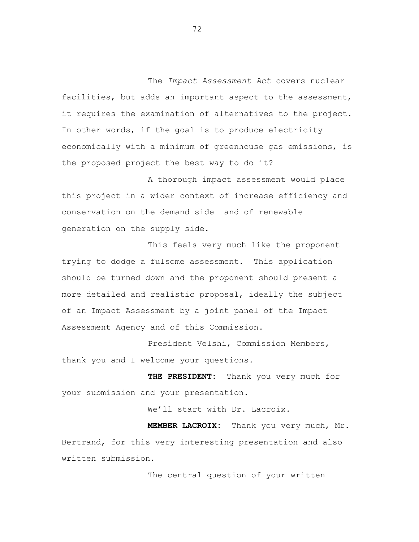The *Impact Assessment Act* covers nuclear facilities, but adds an important aspect to the assessment, it requires the examination of alternatives to the project. In other words, if the goal is to produce electricity economically with a minimum of greenhouse gas emissions, is the proposed project the best way to do it?

A thorough impact assessment would place this project in a wider context of increase efficiency and conservation on the demand side and of renewable generation on the supply side.

This feels very much like the proponent trying to dodge a fulsome assessment. This application should be turned down and the proponent should present a more detailed and realistic proposal, ideally the subject of an Impact Assessment by a joint panel of the Impact Assessment Agency and of this Commission.

President Velshi, Commission Members, thank you and I welcome your questions.

**THE PRESIDENT:** Thank you very much for your submission and your presentation.

We'll start with Dr. Lacroix.

**MEMBER LACROIX:** Thank you very much, Mr. Bertrand, for this very interesting presentation and also written submission.

The central question of your written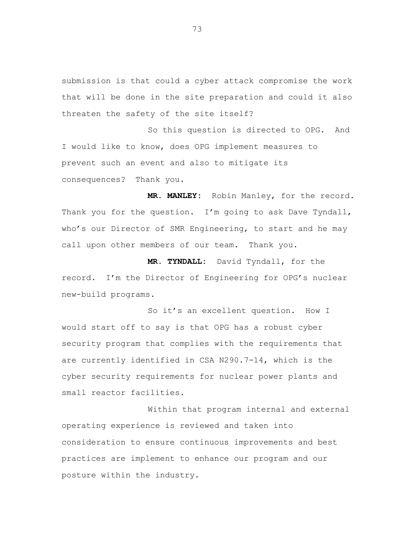submission is that could a cyber attack compromise the work that will be done in the site preparation and could it also threaten the safety of the site itself?

So this question is directed to OPG. And I would like to know, does OPG implement measures to prevent such an event and also to mitigate its consequences? Thank you.

**MR. MANLEY:** Robin Manley, for the record. Thank you for the question. I'm going to ask Dave Tyndall, who's our Director of SMR Engineering, to start and he may call upon other members of our team. Thank you.

**MR. TYNDALL:** David Tyndall, for the record. I'm the Director of Engineering for OPG's nuclear new-build programs.

So it's an excellent question. How I would start off to say is that OPG has a robust cyber security program that complies with the requirements that are currently identified in CSA N290.7-14, which is the cyber security requirements for nuclear power plants and small reactor facilities.

Within that program internal and external operating experience is reviewed and taken into consideration to ensure continuous improvements and bes tpractices are implement to enhance our program and our posture within the industry.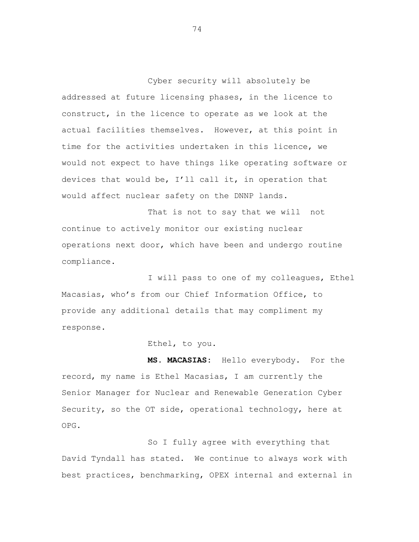Cyber security will absolutely be addressed at future licensing phases, in the licence to construct, in the licence to operate as we look at the actual facilities themselves. However, at this point in time for the activities undertaken in this licence, we would not expect to have things like operating software or devices that would be, I'll call it, in operation that would affect nuclear safety on the DNNP lands.

That is not to say that we will not continue to actively monitor our existing nuclear operations next door, which have been and undergo routine compliance.

I will pass to one of my colleagues, Ethel Macasias, who's from our Chief Information Office, to provide any additional details that may compliment my response.

Ethel, to you.

**MS. MACASIAS:** Hello everybody. For the record, my name is Ethel Macasias, I am currently the Senior Manager for Nuclear and Renewable Generation Cyber Security, so the OT side, operational technology, here at OPG.

So I fully agree with everything that David Tyndall has stated. We continue to always work with best practices, benchmarking, OPEX internal and external in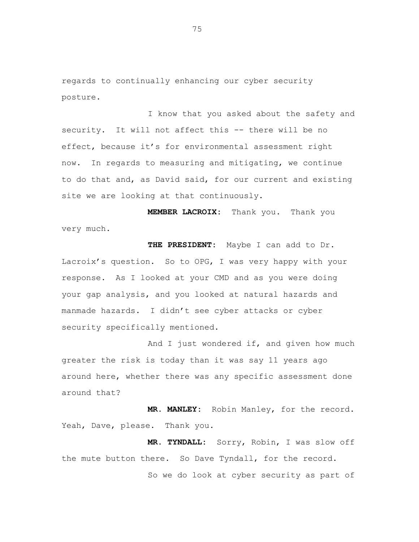regards to continually enhancing our cyber security posture.

I know that you asked about the safety and security. It will not affect this -- there will be no effect, because it's for environmental assessment right now. In regards to measuring and mitigating, we continue to do that and, as David said, for our current and existing site we are looking at that continuously.

**MEMBER LACROIX:** Thank you. Thank you very much.

**THE PRESIDENT:** Maybe I can add to Dr. Lacroix's question. So to OPG, I was very happy with your response. As I looked at your CMD and as you were doing your gap analysis, and you looked at natural hazards and manmade hazards. I didn't see cyber attacks or cyber security specifically mentioned.

And I just wondered if, and given how much greater the risk is today than it was say 11 years ago around here, whether there was any specific assessment done around that?

**MR. MANLEY:** Robin Manley, for the record. Yeah, Dave, please. Thank you.

**MR. TYNDALL:** Sorry, Robin, I was slow off the mute button there. So Dave Tyndall, for the record.

So we do look at cyber security as part of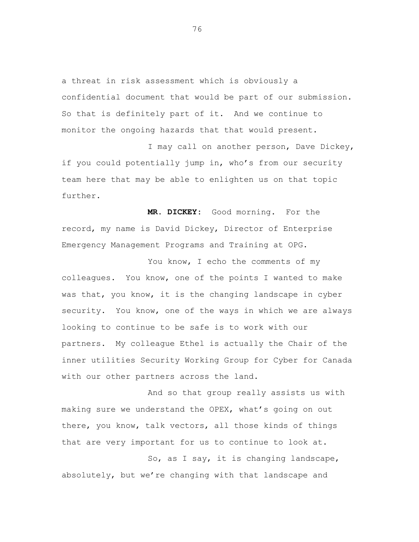a threat in risk assessment which is obviously a confidential document that would be part of our submission. So that is definitely part of it. And we continue to monitor the ongoing hazards that that would present.

I may call on another person, Dave Dickey, if you could potentially jump in, who's from our security team here that may be able to enlighten us on that topic further.

**MR. DICKEY:** Good morning. For the record, my name is David Dickey, Director of Enterprise Emergency Management Programs and Training at OPG.

You know, I echo the comments of my colleagues. You know, one of the points I wanted to make was that, you know, it is the changing landscape in cyber security. You know, one of the ways in which we are always looking to continue to be safe is to work with our partners. My colleague Ethel is actually the Chair of the inner utilities Security Working Group for Cyber for Canada with our other partners across the land.

And so that group really assists us with making sure we understand the OPEX, what's going on out there, you know, talk vectors, all those kinds of things that are very important for us to continue to look at.

So, as I say, it is changing landscape, absolutely, but we're changing with that landscape and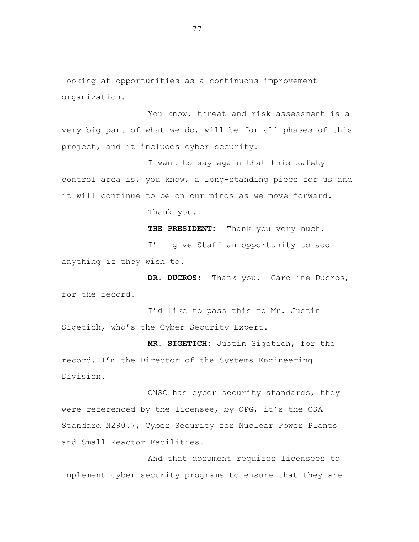looking at opportunities as a continuous improvement organization.

You know, threat and risk assessment is a very big part of what we do, will be for all phases of this project, and it includes cyber security.

I want to say again that this safety control area is, you know, a long-standing piece for us and it will continue to be on our minds as we move forward. Thank you.

> **THE PRESIDENT:** Thank you very much. I'll give Staff an opportunity to add

anything if they wish to.

**DR. DUCROS:** Thank you. Caroline Ducros, for the record.

I'd like to pass this to Mr. Justin Sigetich, who's the Cyber Security Expert.

**MR. SIGETICH:** Justin Sigetich, for the record. I'm the Director of the Systems Engineering Division.

CNSC has cyber security standards, they were referenced by the licensee, by OPG, it's the CSA Standard N290.7, Cyber Security for Nuclear Power Plants and Small Reactor Facilities.

And that document requires licensees to implement cyber security programs to ensure that they are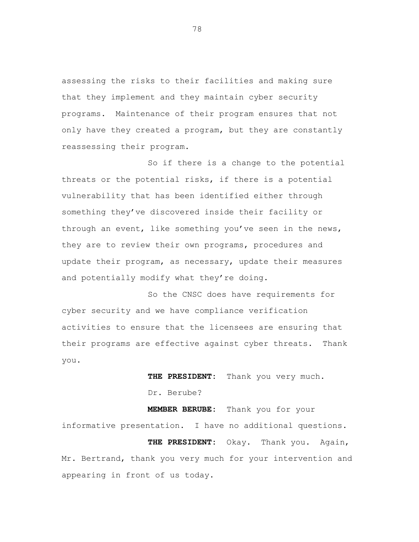assessing the risks to their facilities and making sure that they implement and they maintain cyber security programs. Maintenance of their program ensures that not only have they created a program, but they are constantly reassessing their program.

So if there is a change to the potential threats or the potential risks, if there is a potential vulnerability that has been identified either through something they've discovered inside their facility or through an event, like something you've seen in the news, they are to review their own programs, procedures and update their program, as necessary, update their measures and potentially modify what they're doing.

So the CNSC does have requirements for cyber security and we have compliance verification activities to ensure that the licensees are ensuring that their programs are effective against cyber threats. Thank you.

> **THE PRESIDENT:** Thank you very much. Dr. Berube?

**MEMBER BERUBE:** Thank you for your informative presentation. I have no additional questions. **THE PRESIDENT:** Okay. Thank you. Again, Mr. Bertrand, thank you very much for your intervention and appearing in front of us today.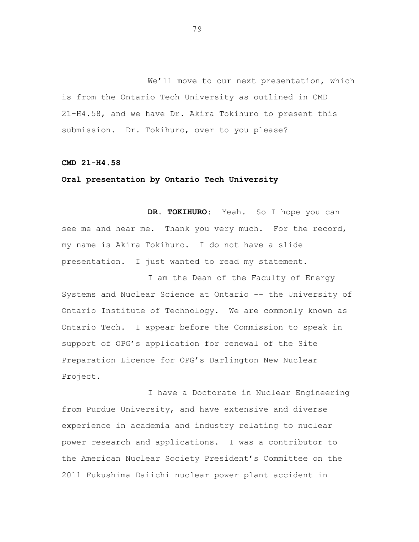We'll move to our next presentation, which is from the Ontario Tech University as outlined in CMD 21-H4.58, and we have Dr. Akira Tokihuro to present this submission. Dr. Tokihuro, over to you please?

## **CMD 21-H4.58**

## **Oral presentation by Ontario Tech University**

**DR. TOKIHURO:** Yeah. So I hope you can see me and hear me. Thank you very much. For the record, my name is Akira Tokihuro. I do not have a slide presentation. I just wanted to read my statement.

I am the Dean of the Faculty of Energy Systems and Nuclear Science at Ontario -- the University of Ontario Institute of Technology. We are commonly known as Ontario Tech. I appear before the Commission to speak in support of OPG's application for renewal of the Site Preparation Licence for OPG's Darlington New Nuclear Project.

I have a Doctorate in Nuclear Engineering from Purdue University, and have extensive and diverse experience in academia and industry relating to nuclear power research and applications. I was a contributor to the American Nuclear Society President's Committee on the 2011 Fukushima Daiichi nuclear power plant accident in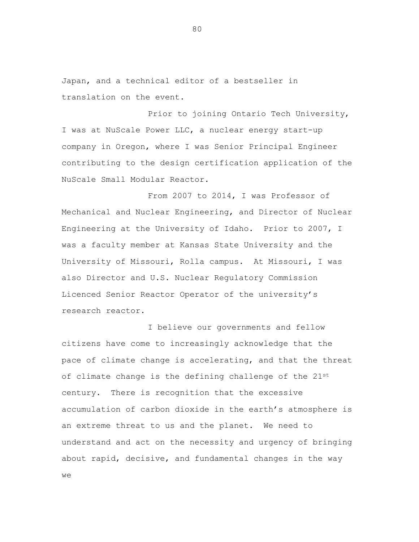Japan, and a technical editor of a bestseller in translation on the event.

Prior to joining Ontario Tech University, I was at NuScale Power LLC, a nuclear energy start-up company in Oregon, where I was Senior Principal Engineer contributing to the design certification application of the NuScale Small Modular Reactor.

From 2007 to 2014, I was Professor of Mechanical and Nuclear Engineering, and Director of Nuclear Engineering at the University of Idaho. Prior to 2007, I was a faculty member at Kansas State University and the University of Missouri, Rolla campus. At Missouri, I was also Director and U.S. Nuclear Regulatory Commission Licenced Senior Reactor Operator of the university's research reactor.

I believe our governments and fellow citizens have come to increasingly acknowledge that the pace of climate change is accelerating, and that the threat of climate change is the defining challenge of the 21st century. There is recognition that the excessive accumulation of carbon dioxide in the earth's atmosphere is an extreme threat to us and the planet. We need to understand and act on the necessity and urgency of bringing about rapid, decisive, and fundamental changes in the way we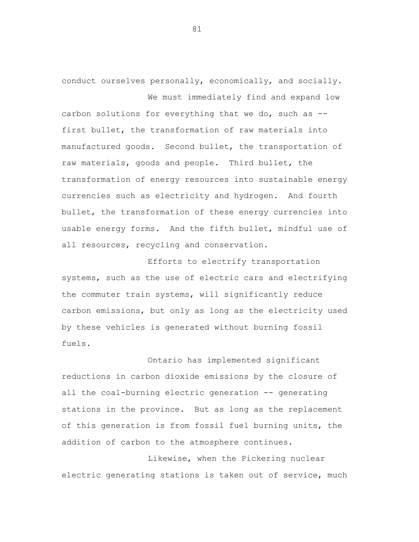conduct ourselves personally, economically, and socially. We must immediately find and expand low

carbon solutions for everything that we do, such as - first bullet, the transformation of raw materials into manufactured goods. Second bullet, the transportation of raw materials, goods and people. Third bullet, the transformation of energy resources into sustainable energy currencies such as electricity and hydrogen. And fourth bullet, the transformation of these energy currencies into usable energy forms. And the fifth bullet, mindful use of all resources, recycling and conservation.

Efforts to electrify transportation systems, such as the use of electric cars and electrifying the commuter train systems, will significantly reduce carbon emissions, but only as long as the electricity used by these vehicles is generated without burning fossil fuels.

Ontario has implemented significant reductions in carbon dioxide emissions by the closure of all the coal-burning electric generation -- generating stations in the province. But as long as the replacement of this generation is from fossil fuel burning units, the addition of carbon to the atmosphere continues.

Likewise, when the Pickering nuclear electric generating stations is taken out of service, much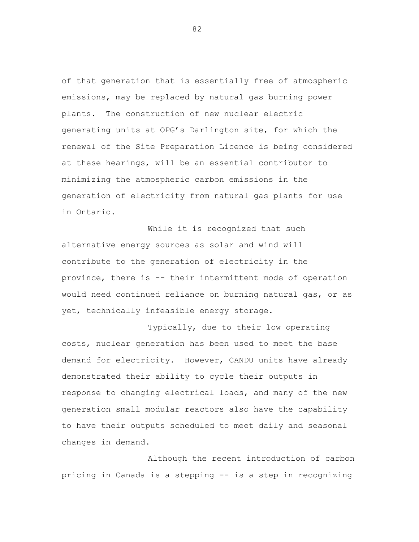of that generation that is essentially free of atmospheric emissions, may be replaced by natural gas burning power plants. The construction of new nuclear electric generating units at OPG's Darlington site, for which the renewal of the Site Preparation Licence is being considered at these hearings, will be an essential contributor to minimizing the atmospheric carbon emissions in the generation of electricity from natural gas plants for use in Ontario.

While it is recognized that such alternative energy sources as solar and wind will contribute to the generation of electricity in the province, there is -- their intermittent mode of operation would need continued reliance on burning natural gas, or as yet, technically infeasible energy storage.

Typically, due to their low operating costs, nuclear generation has been used to meet the base demand for electricity. However, CANDU units have already demonstrated their ability to cycle their outputs in response to changing electrical loads, and many of the new generation small modular reactors also have the capability to have their outputs scheduled to meet daily and seasonal changes in demand.

Although the recent introduction of carbon pricing in Canada is a stepping -- is a step in recognizing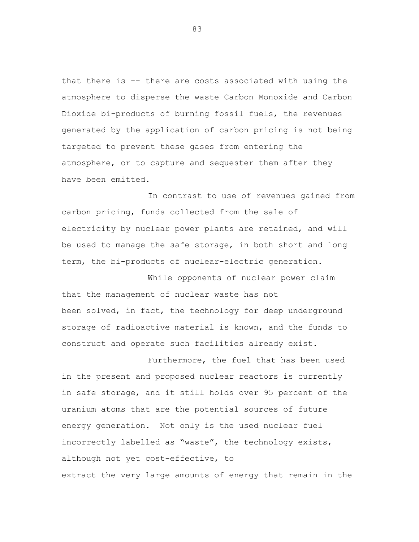that there is -- there are costs associated with using the atmosphere to disperse the waste Carbon Monoxide and Carbon Dioxide bi-products of burning fossil fuels, the revenues generated by the application of carbon pricing is not being targeted to prevent these gases from entering the atmosphere, or to capture and sequester them after they have been emitted.

In contrast to use of revenues gained from carbon pricing, funds collected from the sale of electricity by nuclear power plants are retained, and will be used to manage the safe storage, in both short and long term, the bi-products of nuclear-electric generation.

While opponents of nuclear power claim that the management of nuclear waste has not been solved, in fact, the technology for deep underground storage of radioactive material is known, and the funds to construct and operate such facilities already exist.

Furthermore, the fuel that has been used in the present and proposed nuclear reactors is currently in safe storage, and it still holds over 95 percent of the uranium atoms that are the potential sources of future energy generation. Not only is the used nuclear fuel incorrectly labelled as "waste", the technology exists, although not yet cost-effective, to extract the very large amounts of energy that remain in the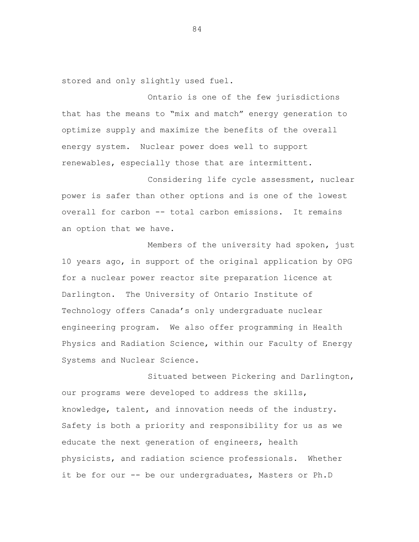stored and only slightly used fuel.

Ontario is one of the few jurisdictions that has the means to "mix and match" energy generation to optimize supply and maximize the benefits of the overall energy system. Nuclear power does well to support renewables, especially those that are intermittent.

Considering life cycle assessment, nuclear power is safer than other options and is one of the lowest overall for carbon -- total carbon emissions. It remains an option that we have.

Members of the university had spoken, just 10 years ago, in support of the original application by OPG for a nuclear power reactor site preparation licence at Darlington. The University of Ontario Institute of Technology offers Canada's only undergraduate nuclear engineering program. We also offer programming in Health Physics and Radiation Science, within our Faculty of Energy Systems and Nuclear Science.

Situated between Pickering and Darlington, our programs were developed to address the skills, knowledge, talent, and innovation needs of the industry. Safety is both a priority and responsibility for us as we educate the next generation of engineers, health physicists, and radiation science professionals. Whether it be for our -- be our undergraduates, Masters or Ph.D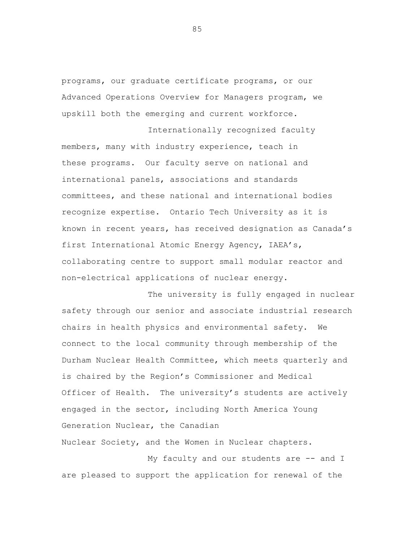programs, our graduate certificate programs, or our Advanced Operations Overview for Managers program, we upskill both the emerging and current workforce.

Internationally recognized faculty members, many with industry experience, teach in these programs. Our faculty serve on national and international panels, associations and standards committees, and these national and international bodies recognize expertise. Ontario Tech University as it is known in recent years, has received designation as Canada's first International Atomic Energy Agency, IAEA's, collaborating centre to support small modular reactor and non-electrical applications of nuclear energy.

The university is fully engaged in nuclear safety through our senior and associate industrial research chairs in health physics and environmental safety. We connect to the local community through membership of the Durham Nuclear Health Committee, which meets quarterly and is chaired by the Region's Commissioner and Medical Officer of Health. The university's students are actively engaged in the sector, including North America Young Generation Nuclear, the Canadian Nuclear Society, and the Women in Nuclear chapters.

My faculty and our students are -- and I are pleased to support the application for renewal of the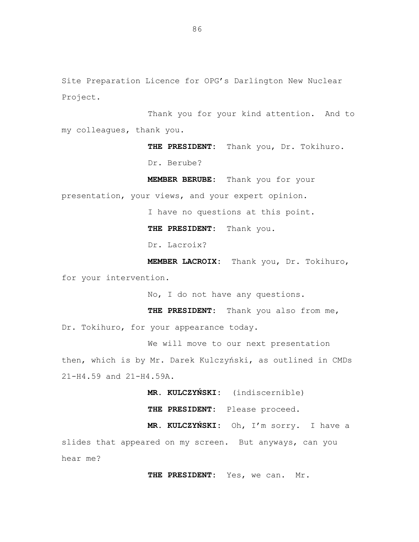Site Preparation Licence for OPG's Darlington New Nuclear Project.

Thank you for your kind attention. And to my colleagues, thank you.

**THE PRESIDENT:** Thank you, Dr. Tokihuro.

Dr. Berube?

**MEMBER BERUBE:** Thank you for your

presentation, your views, and your expert opinion.

I have no questions at this point.

**THE PRESIDENT:** Thank you.

Dr. Lacroix?

**MEMBER LACROIX:** Thank you, Dr. Tokihuro, for your intervention.

No, I do not have any questions.

**THE PRESIDENT:** Thank you also from me, Dr. Tokihuro, for your appearance today.

We will move to our next presentation then, which is by Mr. Darek Kulczyński, as outlined in CMDs 21-H4.59 and 21-H4.59A.

**MR. KULCZYŃSKI:** (indiscernible)

**THE PRESIDENT:** Please proceed.

**MR. KULCZYŃSKI:** Oh, I'm sorry. I have a

slides that appeared on my screen. But anyways, can you hear me?

**THE PRESIDENT:** Yes, we can. Mr.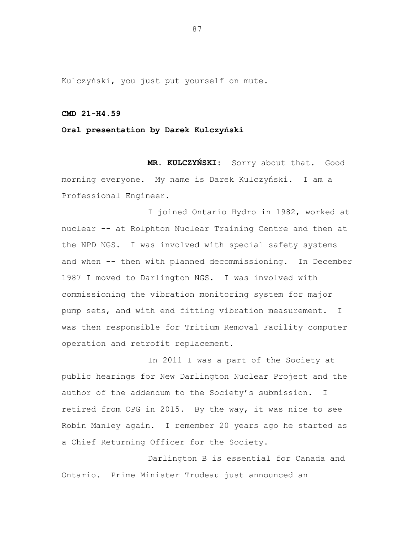Kulczyński, you just put yourself on mute.

## **CMD 21-H4.59**

### **Oral presentation by Darek Kulczyński**

**MR. KULCZYŃSKI:** Sorry about that. Good morning everyone. My name is Darek Kulczyński. I am a Professional Engineer.

I joined Ontario Hydro in 1982, worked at nuclear -- at Rolphton Nuclear Training Centre and then at the NPD NGS. I was involved with special safety systems and when -- then with planned decommissioning. In December 1987 I moved to Darlington NGS. I was involved with commissioning the vibration monitoring system for major pump sets, and with end fitting vibration measurement. I was then responsible for Tritium Removal Facility computer operation and retrofit replacement.

In 2011 I was a part of the Society at public hearings for New Darlington Nuclear Project and the author of the addendum to the Society's submission. I retired from OPG in 2015. By the way, it was nice to see Robin Manley again. I remember 20 years ago he started as a Chief Returning Officer for the Society.

Darlington B is essential for Canada and Ontario. Prime Minister Trudeau just announced an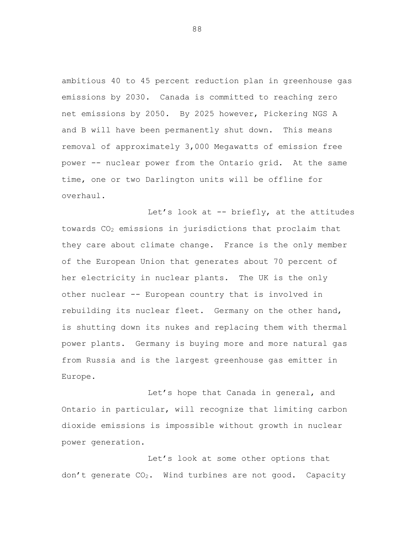ambitious 40 to 45 percent reduction plan in greenhouse gas emissions by 2030. Canada is committed to reaching zero net emissions by 2050. By 2025 however, Pickering NGS A and B will have been permanently shut down. This means removal of approximately 3,000 Megawatts of emission free power -- nuclear power from the Ontario grid. At the same time, one or two Darlington units will be offline for overhaul.

Let's look at -- briefly, at the attitudes towards CO<sup>2</sup> emissions in jurisdictions that proclaim that they care about climate change. France is the only member of the European Union that generates about 70 percent of her electricity in nuclear plants. The UK is the only other nuclear -- European country that is involved in rebuilding its nuclear fleet. Germany on the other hand, is shutting down its nukes and replacing them with thermal power plants. Germany is buying more and more natural gas from Russia and is the largest greenhouse gas emitter in Europe.

Let's hope that Canada in general, and Ontario in particular, will recognize that limiting carbon dioxide emissions is impossible without growth in nuclear power generation.

Let's look at some other options that don't generate CO2. Wind turbines are not good. Capacity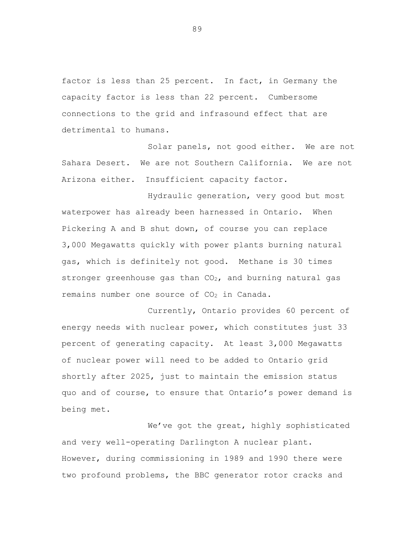factor is less than 25 percent. In fact, in Germany the capacity factor is less than 22 percent. Cumbersome connections to the grid and infrasound effect that are detrimental to humans.

Solar panels, not good either. We are not Sahara Desert. We are not Southern California. We are not Arizona either. Insufficient capacity factor.

Hydraulic generation, very good but most waterpower has already been harnessed in Ontario. When Pickering A and B shut down, of course you can replace 3,000 Megawatts quickly with power plants burning natural gas, which is definitely not good. Methane is 30 times stronger greenhouse gas than  $CO<sub>2</sub>$ , and burning natural gas remains number one source of  $CO<sub>2</sub>$  in Canada.

Currently, Ontario provides 60 percent of energy needs with nuclear power, which constitutes just 33 percent of generating capacity. At least 3,000 Megawatts of nuclear power will need to be added to Ontario grid shortly after 2025, just to maintain the emission status quo and of course, to ensure that Ontario's power demand is being met.

We've got the great, highly sophisticated and very well-operating Darlington A nuclear plant. However, during commissioning in 1989 and 1990 there were two profound problems, the BBC generator rotor cracks and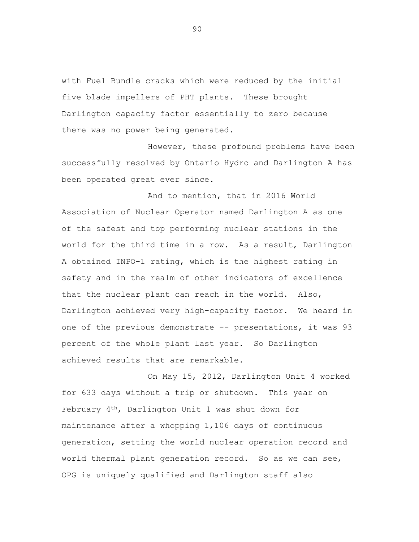with Fuel Bundle cracks which were reduced by the initial five blade impellers of PHT plants. These brought Darlington capacity factor essentially to zero because there was no power being generated.

However, these profound problems have been successfully resolved by Ontario Hydro and Darlington A has been operated great ever since.

And to mention, that in 2016 World Association of Nuclear Operator named Darlington A as one of the safest and top performing nuclear stations in the world for the third time in a row. As a result, Darlington A obtained INPO-1 rating, which is the highest rating in safety and in the realm of other indicators of excellence that the nuclear plant can reach in the world. Also, Darlington achieved very high-capacity factor. We heard in one of the previous demonstrate -- presentations, it was 93 percent of the whole plant last year. So Darlington achieved results that are remarkable.

On May 15, 2012, Darlington Unit 4 worked for 633 days without a trip or shutdown. This year on February 4<sup>th</sup>, Darlington Unit 1 was shut down for maintenance after a whopping 1,106 days of continuous generation, setting the world nuclear operation record and world thermal plant generation record. So as we can see, OPG is uniquely qualified and Darlington staff also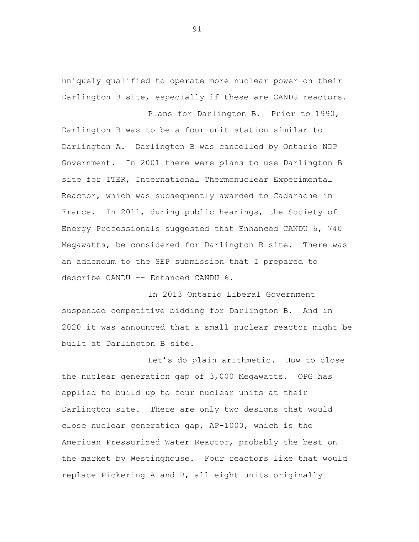uniquely qualified to operate more nuclear power on their Darlington B site, especially if these are CANDU reactors.

Plans for Darlington B. Prior to 1990, Darlington B was to be a four-unit station similar to Darlington A. Darlington B was cancelled by Ontario NDP Government. In 2001 there were plans to use Darlington B site for ITER, International Thermonuclear Experimental Reactor, which was subsequently awarded to Cadarache in France. In 2011, during public hearings, the Society of Energy Professionals suggested that Enhanced CANDU 6, 740 Megawatts, be considered for Darlington B site. There was an addendum to the SEP submission that I prepared to describe CANDU -- Enhanced CANDU 6.

In 2013 Ontario Liberal Government suspended competitive bidding for Darlington B. And in 2020 it was announced that a small nuclear reactor might be built at Darlington B site.

Let's do plain arithmetic. How to close the nuclear generation gap of 3,000 Megawatts. OPG has applied to build up to four nuclear units at their Darlington site. There are only two designs that would close nuclear generation gap, AP-1000, which is the American Pressurized Water Reactor, probably the best on the market by Westinghouse. Four reactors like that would replace Pickering A and B, all eight units originally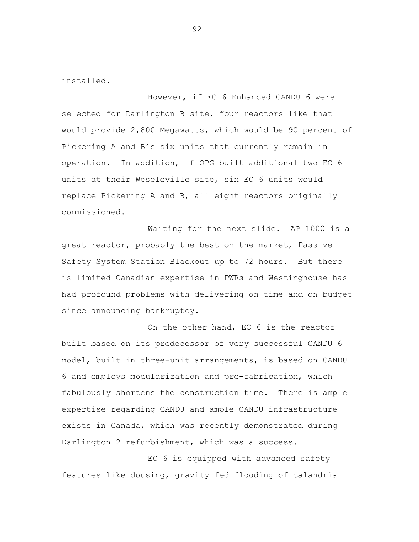installed.

However, if EC 6 Enhanced CANDU 6 were selected for Darlington B site, four reactors like that would provide 2,800 Megawatts, which would be 90 percent of Pickering A and B's six units that currently remain in operation. In addition, if OPG built additional two EC 6 units at their Weseleville site, six EC 6 units would replace Pickering A and B, all eight reactors originally commissioned.

Waiting for the next slide. AP 1000 is a great reactor, probably the best on the market, Passive Safety System Station Blackout up to 72 hours. But there is limited Canadian expertise in PWRs and Westinghouse has had profound problems with delivering on time and on budget since announcing bankruptcy.

On the other hand, EC 6 is the reactor built based on its predecessor of very successful CANDU 6 model, built in three-unit arrangements, is based on CANDU 6 and employs modularization and pre-fabrication, which fabulously shortens the construction time. There is ample expertise regarding CANDU and ample CANDU infrastructure exists in Canada, which was recently demonstrated during Darlington 2 refurbishment, which was a success.

EC 6 is equipped with advanced safety features like dousing, gravity fed flooding of calandria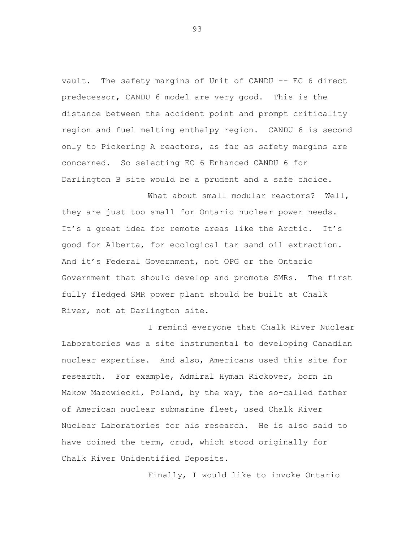vault. The safety margins of Unit of CANDU -- EC 6 direct predecessor, CANDU 6 model are very good. This is the distance between the accident point and prompt criticality region and fuel melting enthalpy region. CANDU 6 is second only to Pickering A reactors, as far as safety margins are concerned. So selecting EC 6 Enhanced CANDU 6 for Darlington B site would be a prudent and a safe choice.

What about small modular reactors? Well, they are just too small for Ontario nuclear power needs. It's a great idea for remote areas like the Arctic. It's good for Alberta, for ecological tar sand oil extraction. And it's Federal Government, not OPG or the Ontario Government that should develop and promote SMRs. The first fully fledged SMR power plant should be built at Chalk River, not at Darlington site.

I remind everyone that Chalk River Nuclear Laboratories was a site instrumental to developing Canadian nuclear expertise. And also, Americans used this site for research. For example, Admiral Hyman Rickover, born in Makow Mazowiecki, Poland, by the way, the so-called father of American nuclear submarine fleet, used Chalk River Nuclear Laboratories for his research. He is also said to have coined the term, crud, which stood originally for Chalk River Unidentified Deposits.

Finally, I would like to invoke Ontario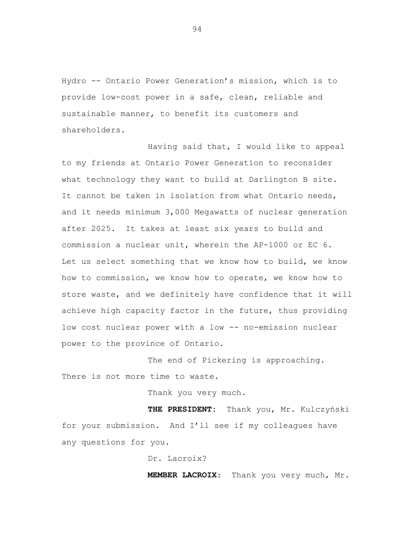Hydro -- Ontario Power Generation's mission, which is to provide low-cost power in a safe, clean, reliable and sustainable manner, to benefit its customers and shareholders.

Having said that, I would like to appeal to my friends at Ontario Power Generation to reconsider what technology they want to build at Darlington B site. It cannot be taken in isolation from what Ontario needs, and it needs minimum 3,000 Megawatts of nuclear generation after 2025. It takes at least six years to build and commission a nuclear unit, wherein the AP-1000 or EC 6. Let us select something that we know how to build, we know how to commission, we know how to operate, we know how to store waste, and we definitely have confidence that it will achieve high capacity factor in the future, thus providing low cost nuclear power with a low -- no-emission nuclear power to the province of Ontario.

The end of Pickering is approaching. There is not more time to waste.

Thank you very much.

**THE PRESIDENT:** Thank you, Mr. Kulczyński for your submission. And I'll see if my colleagues have any questions for you.

Dr. Lacroix?

**MEMBER LACROIX**: Thank you very much, Mr.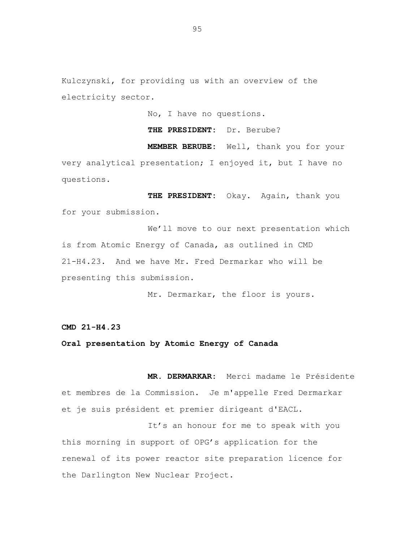Kulczynski, for providing us with an overview of the electricity sector.

No, I have no questions.

# **THE PRESIDENT:** Dr. Berube?

**MEMBER BERUBE:** Well, thank you for your very analytical presentation; I enjoyed it, but I have no questions.

**THE PRESIDENT:** Okay. Again, thank you for your submission.

We'll move to our next presentation which is from Atomic Energy of Canada, as outlined in CMD 21-H4.23. And we have Mr. Fred Dermarkar who will be presenting this submission.

Mr. Dermarkar, the floor is yours.

**CMD 21-H4.23**

#### **Oral presentation by Atomic Energy of Canada**

**MR. DERMARKAR:** Merci madame le Présidente et membres de la Commission. Je m'appelle Fred Dermarkar et je suis président et premier dirigeant d'EACL.

It's an honour for me to speak with you this morning in support of OPG's application for the renewal of its power reactor site preparation licence for the Darlington New Nuclear Project.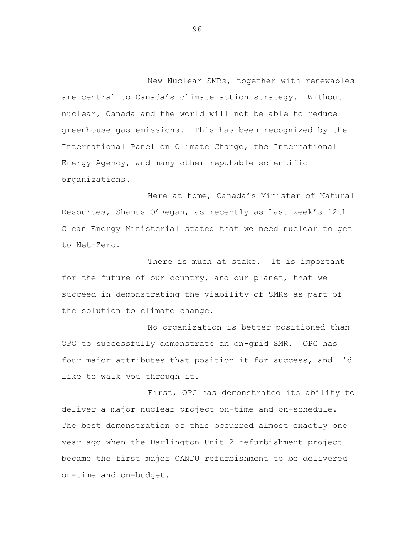New Nuclear SMRs, together with renewables are central to Canada's climate action strategy. Without nuclear, Canada and the world will not be able to reduce greenhouse gas emissions. This has been recognized by the International Panel on Climate Change, the International Energy Agency, and many other reputable scientific organizations.

Here at home, Canada's Minister of Natural Resources, Shamus O'Regan, as recently as last week's 12th Clean Energy Ministerial stated that we need nuclear to get to Net-Zero.

There is much at stake. It is important for the future of our country, and our planet, that we succeed in demonstrating the viability of SMRs as part of the solution to climate change.

No organization is better positioned than OPG to successfully demonstrate an on-grid SMR. OPG has four major attributes that position it for success, and I'd like to walk you through it.

First, OPG has demonstrated its ability to deliver a major nuclear project on-time and on-schedule. The best demonstration of this occurred almost exactly one year ago when the Darlington Unit 2 refurbishment project became the first major CANDU refurbishment to be delivered on-time and on-budget.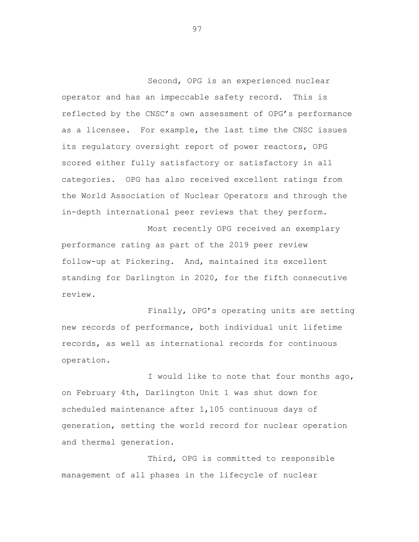Second, OPG is an experienced nuclear operator and has an impeccable safety record. This is reflected by the CNSC's own assessment of OPG's performance as a licensee. For example, the last time the CNSC issues its regulatory oversight report of power reactors, OPG scored either fully satisfactory or satisfactory in all categories. OPG has also received excellent ratings from the World Association of Nuclear Operators and through the in-depth international peer reviews that they perform.

Most recently OPG received an exemplary performance rating as part of the 2019 peer review follow-up at Pickering. And, maintained its excellent standing for Darlington in 2020, for the fifth consecutive review.

Finally, OPG's operating units are setting new records of performance, both individual unit lifetime records, as well as international records for continuous operation.

I would like to note that four months ago, on February 4th, Darlington Unit 1 was shut down for scheduled maintenance after 1,105 continuous days of generation, setting the world record for nuclear operation and thermal generation.

Third, OPG is committed to responsible management of all phases in the lifecycle of nuclear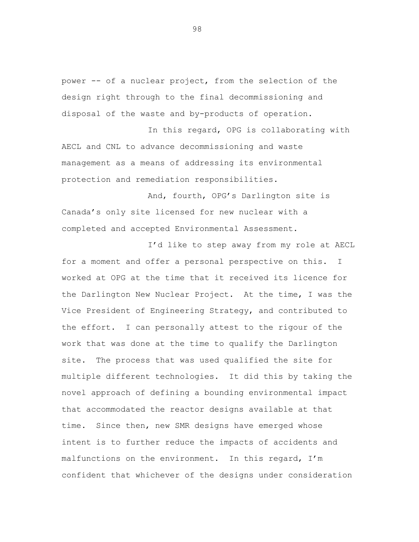power -- of a nuclear project, from the selection of the design right through to the final decommissioning and disposal of the waste and by-products of operation.

In this regard, OPG is collaborating with AECL and CNL to advance decommissioning and waste management as a means of addressing its environmental protection and remediation responsibilities.

And, fourth, OPG's Darlington site is Canada's only site licensed for new nuclear with a completed and accepted Environmental Assessment.

I'd like to step away from my role at AECL for a moment and offer a personal perspective on this. I worked at OPG at the time that it received its licence for the Darlington New Nuclear Project. At the time, I was the Vice President of Engineering Strategy, and contributed to the effort. I can personally attest to the rigour of the work that was done at the time to qualify the Darlington site. The process that was used qualified the site for multiple different technologies. It did this by taking the novel approach of defining a bounding environmental impact that accommodated the reactor designs available at that time. Since then, new SMR designs have emerged whose intent is to further reduce the impacts of accidents and malfunctions on the environment. In this regard, I'm confident that whichever of the designs under consideration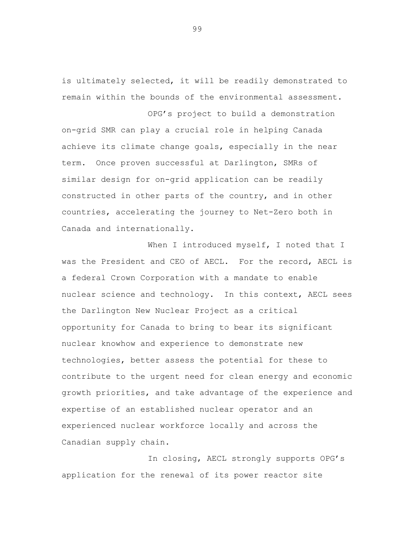is ultimately selected, it will be readily demonstrated to remain within the bounds of the environmental assessment.

OPG's project to build a demonstration on-grid SMR can play a crucial role in helping Canada achieve its climate change goals, especially in the near term. Once proven successful at Darlington, SMRs of similar design for on-grid application can be readily constructed in other parts of the country, and in other countries, accelerating the journey to Net-Zero both in Canada and internationally.

When I introduced myself, I noted that I was the President and CEO of AECL. For the record, AECL is a federal Crown Corporation with a mandate to enable nuclear science and technology. In this context, AECL sees the Darlington New Nuclear Project as a critical opportunity for Canada to bring to bear its significant nuclear knowhow and experience to demonstrate new technologies, better assess the potential for these to contribute to the urgent need for clean energy and economic growth priorities, and take advantage of the experience and expertise of an established nuclear operator and an experienced nuclear workforce locally and across the Canadian supply chain.

In closing, AECL strongly supports OPG's application for the renewal of its power reactor site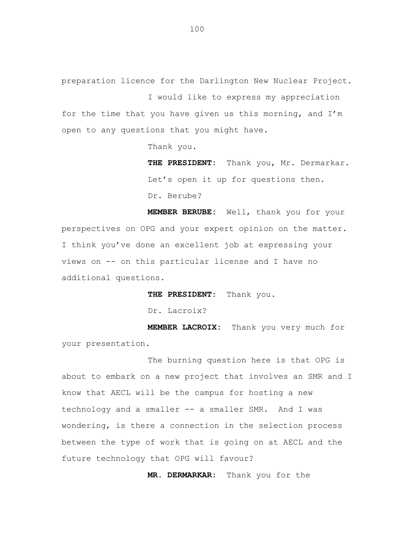preparation licence for the Darlington New Nuclear Project.

I would like to express my appreciation for the time that you have given us this morning, and I'm open to any questions that you might have.

Thank you.

**THE PRESIDENT:** Thank you, Mr. Dermarkar. Let's open it up for questions then. Dr. Berube?

**MEMBER BERUBE:** Well, thank you for your perspectives on OPG and your expert opinion on the matter. I think you've done an excellent job at expressing your views on -- on this particular license and I have no additional questions.

**THE PRESIDENT:** Thank you.

Dr. Lacroix?

**MEMBER LACROIX:** Thank you very much for your presentation.

The burning question here is that OPG is about to embark on a new project that involves an SMR and I know that AECL will be the campus for hosting a new technology and a smaller -- a smaller SMR. And I was wondering, is there a connection in the selection process between the type of work that is going on at AECL and the future technology that OPG will favour?

**MR. DERMARKAR:** Thank you for the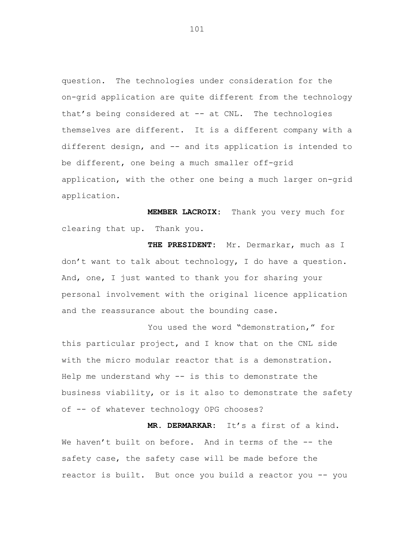question. The technologies under consideration for the on-grid application are quite different from the technology that's being considered at -- at CNL. The technologies themselves are different. It is a different company with a different design, and -- and its application is intended to be different, one being a much smaller off-grid application, with the other one being a much larger on-grid application.

**MEMBER LACROIX:** Thank you very much for clearing that up. Thank you.

**THE PRESIDENT:** Mr. Dermarkar, much as I don't want to talk about technology, I do have a question. And, one, I just wanted to thank you for sharing your personal involvement with the original licence application and the reassurance about the bounding case.

You used the word "demonstration," for this particular project, and I know that on the CNL side with the micro modular reactor that is a demonstration. Help me understand why -- is this to demonstrate the business viability, or is it also to demonstrate the safety of -- of whatever technology OPG chooses?

**MR. DERMARKAR:** It's a first of a kind. We haven't built on before. And in terms of the -- the safety case, the safety case will be made before the reactor is built. But once you build a reactor you -- you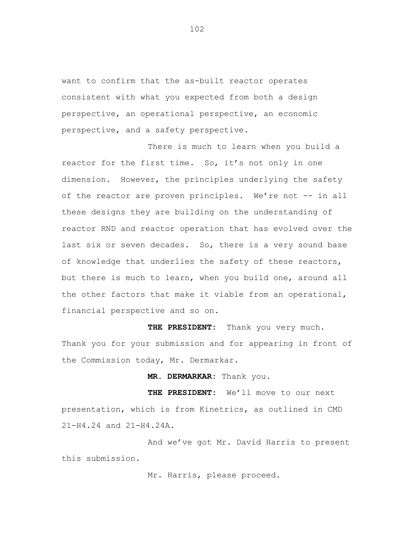want to confirm that the as-built reactor operates consistent with what you expected from both a design perspective, an operational perspective, an economic perspective, and a safety perspective.

There is much to learn when you build a reactor for the first time. So, it's not only in one dimension. However, the principles underlying the safety of the reactor are proven principles. We're not -- in all these designs they are building on the understanding of reactor RND and reactor operation that has evolved over the last six or seven decades. So, there is a very sound base of knowledge that underlies the safety of these reactors, but there is much to learn, when you build one, around all the other factors that make it viable from an operational, financial perspective and so on.

**THE PRESIDENT:** Thank you very much. Thank you for your submission and for appearing in front of the Commission today, Mr. Dermarkar.

**MR. DERMARKAR:** Thank you.

**THE PRESIDENT:** We'll move to our next presentation, which is from Kinetrics, as outlined in CMD 21-H4.24 and 21-H4.24A.

And we've got Mr. David Harris to present this submission.

Mr. Harris, please proceed.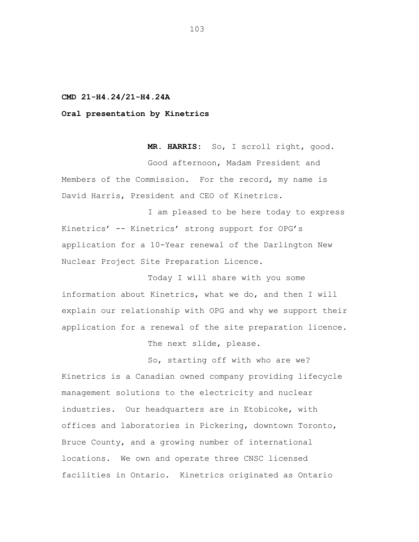**CMD 21-H4.24/21-H4.24A**

**Oral presentation by Kinetrics**

**MR. HARRIS:** So, I scroll right, good. Good afternoon, Madam President and Members of the Commission. For the record, my name is David Harris, President and CEO of Kinetrics.

I am pleased to be here today to express Kinetrics' -- Kinetrics' strong support for OPG's application for a 10-Year renewal of the Darlington New Nuclear Project Site Preparation Licence.

Today I will share with you some information about Kinetrics, what we do, and then I will explain our relationship with OPG and why we support their application for a renewal of the site preparation licence.

The next slide, please.

So, starting off with who are we? Kinetrics is a Canadian owned company providing lifecycle management solutions to the electricity and nuclear industries. Our headquarters are in Etobicoke, with offices and laboratories in Pickering, downtown Toronto, Bruce County, and a growing number of international locations. We own and operate three CNSC licensed facilities in Ontario. Kinetrics originated as Ontario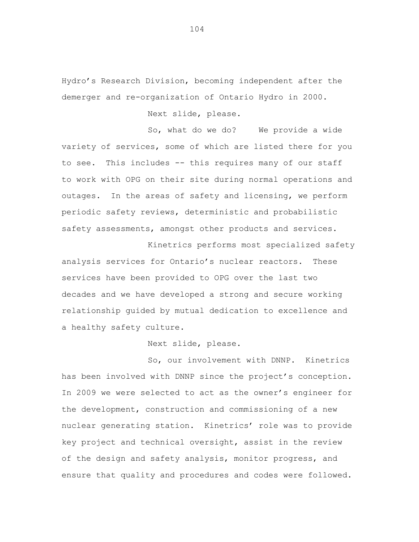Hydro's Research Division, becoming independent after the demerger and re-organization of Ontario Hydro in 2000.

Next slide, please.

So, what do we do? We provide a wide variety of services, some of which are listed there for you to see. This includes -- this requires many of our staff to work with OPG on their site during normal operations and outages. In the areas of safety and licensing, we perform periodic safety reviews, deterministic and probabilistic safety assessments, amongst other products and services.

Kinetrics performs most specialized safety analysis services for Ontario's nuclear reactors. These services have been provided to OPG over the last two decades and we have developed a strong and secure working relationship guided by mutual dedication to excellence and a healthy safety culture.

Next slide, please.

So, our involvement with DNNP. Kinetrics has been involved with DNNP since the project's conception. In 2009 we were selected to act as the owner's engineer for the development, construction and commissioning of a new nuclear generating station. Kinetrics' role was to provide key project and technical oversight, assist in the review of the design and safety analysis, monitor progress, and ensure that quality and procedures and codes were followed.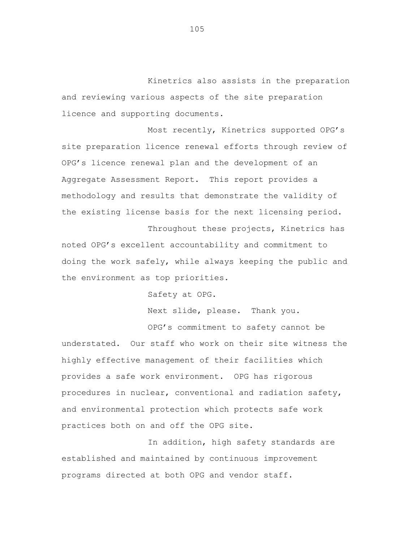Kinetrics also assists in the preparation and reviewing various aspects of the site preparation licence and supporting documents.

Most recently, Kinetrics supported OPG's site preparation licence renewal efforts through review of OPG's licence renewal plan and the development of an Aggregate Assessment Report. This report provides a methodology and results that demonstrate the validity of the existing license basis for the next licensing period.

Throughout these projects, Kinetrics has noted OPG's excellent accountability and commitment to doing the work safely, while always keeping the public and the environment as top priorities.

Safety at OPG.

Next slide, please. Thank you.

OPG's commitment to safety cannot be understated. Our staff who work on their site witness the highly effective management of their facilities which provides a safe work environment. OPG has rigorous procedures in nuclear, conventional and radiation safety, and environmental protection which protects safe work practices both on and off the OPG site.

In addition, high safety standards are established and maintained by continuous improvement programs directed at both OPG and vendor staff.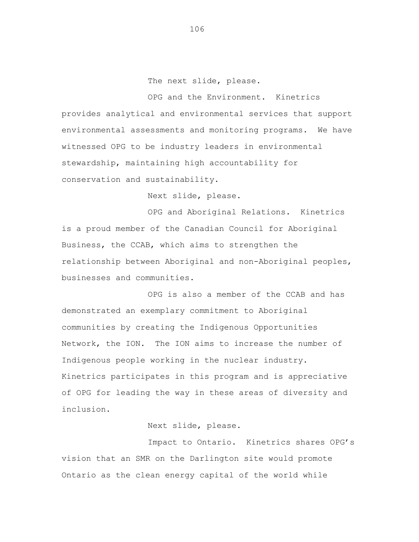The next slide, please.

OPG and the Environment. Kinetrics provides analytical and environmental services that support environmental assessments and monitoring programs. We have witnessed OPG to be industry leaders in environmental stewardship, maintaining high accountability for conservation and sustainability.

Next slide, please.

OPG and Aboriginal Relations. Kinetrics is a proud member of the Canadian Council for Aboriginal Business, the CCAB, which aims to strengthen the relationship between Aboriginal and non-Aboriginal peoples, businesses and communities.

OPG is also a member of the CCAB and has demonstrated an exemplary commitment to Aboriginal communities by creating the Indigenous Opportunities Network, the ION. The ION aims to increase the number of Indigenous people working in the nuclear industry. Kinetrics participates in this program and is appreciative of OPG for leading the way in these areas of diversity and inclusion.

Next slide, please.

Impact to Ontario. Kinetrics shares OPG's vision that an SMR on the Darlington site would promote Ontario as the clean energy capital of the world while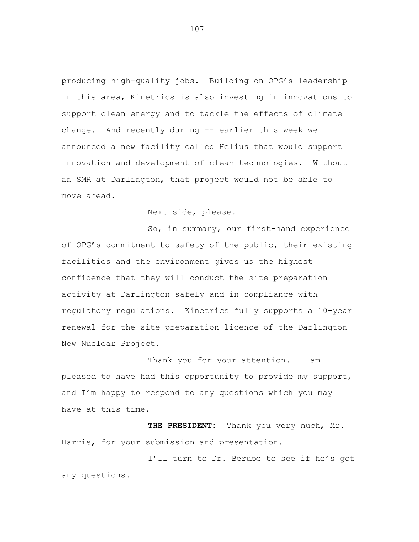producing high-quality jobs. Building on OPG's leadership in this area, Kinetrics is also investing in innovations to support clean energy and to tackle the effects of climate change. And recently during -- earlier this week we announced a new facility called Helius that would support innovation and development of clean technologies. Without an SMR at Darlington, that project would not be able to move ahead.

Next side, please.

So, in summary, our first-hand experience of OPG's commitment to safety of the public, their existing facilities and the environment gives us the highest confidence that they will conduct the site preparation activity at Darlington safely and in compliance with regulatory regulations. Kinetrics fully supports a 10-year renewal for the site preparation licence of the Darlington New Nuclear Project.

Thank you for your attention. I am pleased to have had this opportunity to provide my support, and I'm happy to respond to any questions which you may have at this time.

**THE PRESIDENT:** Thank you very much, Mr. Harris, for your submission and presentation.

I'll turn to Dr. Berube to see if he's got any questions.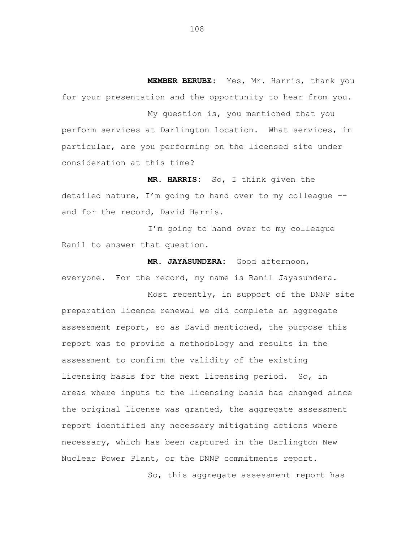**MEMBER BERUBE:** Yes, Mr. Harris, thank you for your presentation and the opportunity to hear from you.

My question is, you mentioned that you perform services at Darlington location. What services, in particular, are you performing on the licensed site under consideration at this time?

**MR. HARRIS:** So, I think given the detailed nature, I'm going to hand over to my colleague - and for the record, David Harris.

I'm going to hand over to my colleague Ranil to answer that question.

**MR. JAYASUNDERA:** Good afternoon, everyone. For the record, my name is Ranil Jayasundera.

Most recently, in support of the DNNP site preparation licence renewal we did complete an aggregate assessment report, so as David mentioned, the purpose this report was to provide a methodology and results in the assessment to confirm the validity of the existing licensing basis for the next licensing period. So, in areas where inputs to the licensing basis has changed since the original license was granted, the aggregate assessment report identified any necessary mitigating actions where necessary, which has been captured in the Darlington New Nuclear Power Plant, or the DNNP commitments report.

So, this aggregate assessment report has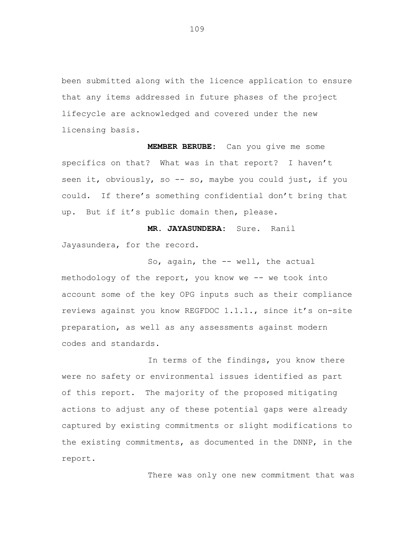been submitted along with the licence application to ensure that any items addressed in future phases of the project lifecycle are acknowledged and covered under the new licensing basis.

**MEMBER BERUBE:** Can you give me some specifics on that? What was in that report? I haven't seen it, obviously, so -- so, maybe you could just, if you could. If there's something confidential don't bring that up. But if it's public domain then, please.

**MR. JAYASUNDERA:** Sure. Ranil Jayasundera, for the record.

So, again, the -- well, the actual methodology of the report, you know we -- we took into account some of the key OPG inputs such as their compliance reviews against you know REGFDOC 1.1.1., since it's on-site preparation, as well as any assessments against modern codes and standards.

In terms of the findings, you know there were no safety or environmental issues identified as part of this report. The majority of the proposed mitigating actions to adjust any of these potential gaps were already captured by existing commitments or slight modifications to the existing commitments, as documented in the DNNP, in the report.

There was only one new commitment that was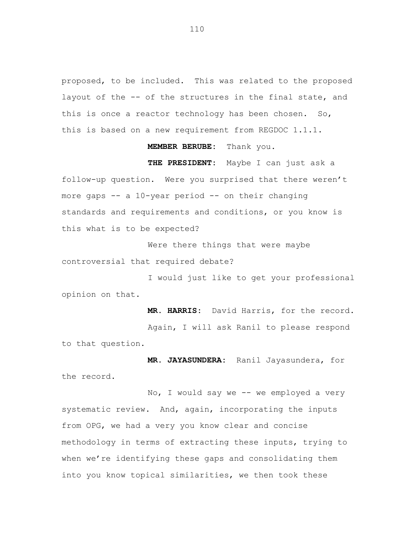proposed, to be included. This was related to the proposed layout of the -- of the structures in the final state, and this is once a reactor technology has been chosen. So, this is based on a new requirement from REGDOC 1.1.1.

## **MEMBER BERUBE:** Thank you.

**THE PRESIDENT:** Maybe I can just ask a follow-up question. Were you surprised that there weren't more gaps -- a 10-year period -- on their changing standards and requirements and conditions, or you know is this what is to be expected?

Were there things that were maybe controversial that required debate?

I would just like to get your professional opinion on that.

**MR. HARRIS:** David Harris, for the record.

Again, I will ask Ranil to please respond to that question.

**MR. JAYASUNDERA:** Ranil Jayasundera, for the record.

No, I would say we -- we employed a very systematic review. And, again, incorporating the inputs from OPG, we had a very you know clear and concise methodology in terms of extracting these inputs, trying to when we're identifying these gaps and consolidating them into you know topical similarities, we then took these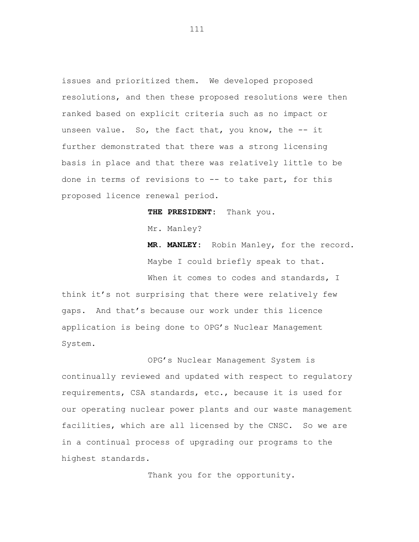issues and prioritized them. We developed proposed resolutions, and then these proposed resolutions were then ranked based on explicit criteria such as no impact or unseen value. So, the fact that, you know, the -- it further demonstrated that there was a strong licensing basis in place and that there was relatively little to be done in terms of revisions to -- to take part, for this proposed licence renewal period.

**THE PRESIDENT:** Thank you.

Mr. Manley?

**MR. MANLEY:** Robin Manley, for the record. Maybe I could briefly speak to that.

When it comes to codes and standards, I think it's not surprising that there were relatively few gaps. And that's because our work under this licence application is being done to OPG's Nuclear Management System.

OPG's Nuclear Management System is continually reviewed and updated with respect to regulatory requirements, CSA standards, etc., because it is used for our operating nuclear power plants and our waste management facilities, which are all licensed by the CNSC. So we are in a continual process of upgrading our programs to the highest standards.

Thank you for the opportunity.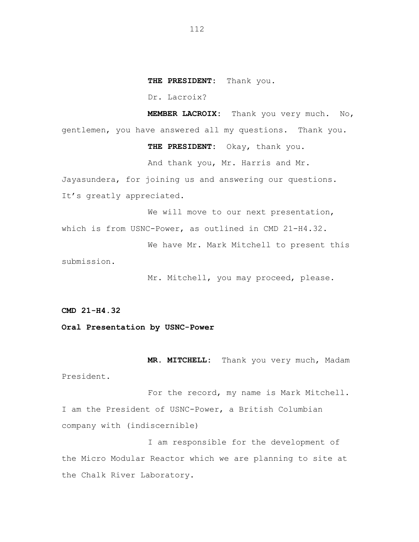**THE PRESIDENT:** Thank you.

Dr. Lacroix?

**MEMBER LACROIX:** Thank you very much. No, gentlemen, you have answered all my questions. Thank you.

**THE PRESIDENT:** Okay, thank you.

And thank you, Mr. Harris and Mr.

Jayasundera, for joining us and answering our questions. It's greatly appreciated.

We will move to our next presentation, which is from USNC-Power, as outlined in CMD 21-H4.32.

We have Mr. Mark Mitchell to present this submission.

Mr. Mitchell, you may proceed, please.

**CMD 21-H4.32**

**Oral Presentation by USNC-Power**

**MR. MITCHELL:** Thank you very much, Madam President.

For the record, my name is Mark Mitchell. I am the President of USNC-Power, a British Columbian company with (indiscernible)

I am responsible for the development of the Micro Modular Reactor which we are planning to site at the Chalk River Laboratory.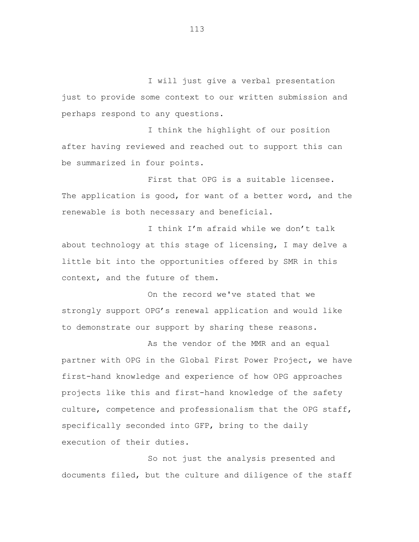I will just give a verbal presentation just to provide some context to our written submission and perhaps respond to any questions.

I think the highlight of our position after having reviewed and reached out to support this can be summarized in four points.

First that OPG is a suitable licensee. The application is good, for want of a better word, and the renewable is both necessary and beneficial.

I think I'm afraid while we don't talk about technology at this stage of licensing, I may delve a little bit into the opportunities offered by SMR in this context, and the future of them.

On the record we've stated that we strongly support OPG's renewal application and would like to demonstrate our support by sharing these reasons.

As the vendor of the MMR and an equal partner with OPG in the Global First Power Project, we have first-hand knowledge and experience of how OPG approaches projects like this and first-hand knowledge of the safety culture, competence and professionalism that the OPG staff, specifically seconded into GFP, bring to the daily execution of their duties.

So not just the analysis presented and documents filed, but the culture and diligence of the staff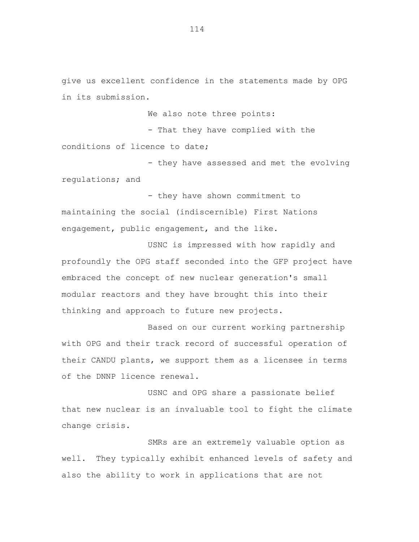give us excellent confidence in the statements made by OPG in its submission.

We also note three points:

- That they have complied with the conditions of licence to date;

- they have assessed and met the evolving regulations; and

- they have shown commitment to maintaining the social (indiscernible) First Nations engagement, public engagement, and the like.

USNC is impressed with how rapidly and profoundly the OPG staff seconded into the GFP project have embraced the concept of new nuclear generation's small modular reactors and they have brought this into their thinking and approach to future new projects.

Based on our current working partnership with OPG and their track record of successful operation of their CANDU plants, we support them as a licensee in terms of the DNNP licence renewal.

USNC and OPG share a passionate belief that new nuclear is an invaluable tool to fight the climate change crisis.

SMRs are an extremely valuable option as well. They typically exhibit enhanced levels of safety and also the ability to work in applications that are not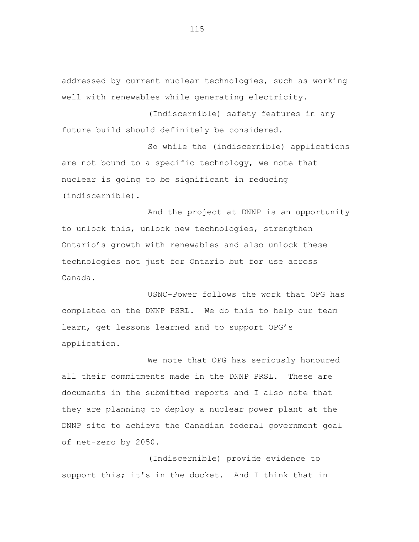addressed by current nuclear technologies, such as working well with renewables while generating electricity.

(Indiscernible) safety features in any future build should definitely be considered.

So while the (indiscernible) applications are not bound to a specific technology, we note that nuclear is going to be significant in reducing (indiscernible).

And the project at DNNP is an opportunity to unlock this, unlock new technologies, strengthen Ontario's growth with renewables and also unlock these technologies not just for Ontario but for use across Canada.

USNC-Power follows the work that OPG has completed on the DNNP PSRL. We do this to help our team learn, get lessons learned and to support OPG's application.

We note that OPG has seriously honoured all their commitments made in the DNNP PRSL. These are documents in the submitted reports and I also note that they are planning to deploy a nuclear power plant at the DNNP site to achieve the Canadian federal government goal of net-zero by 2050.

(Indiscernible) provide evidence to support this; it's in the docket. And I think that in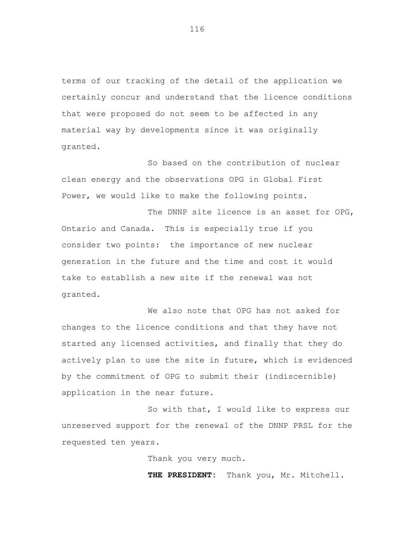terms of our tracking of the detail of the application we certainly concur and understand that the licence conditions that were proposed do not seem to be affected in any material way by developments since it was originally granted.

So based on the contribution of nuclear clean energy and the observations OPG in Global First Power, we would like to make the following points.

The DNNP site licence is an asset for OPG, Ontario and Canada. This is especially true if you consider two points: the importance of new nuclear generation in the future and the time and cost it would take to establish a new site if the renewal was not granted.

We also note that OPG has not asked for changes to the licence conditions and that they have not started any licensed activities, and finally that they do actively plan to use the site in future, which is evidenced by the commitment of OPG to submit their (indiscernible) application in the near future.

So with that, I would like to express our unreserved support for the renewal of the DNNP PRSL for the requested ten years.

Thank you very much.

**THE PRESIDENT:** Thank you, Mr. Mitchell.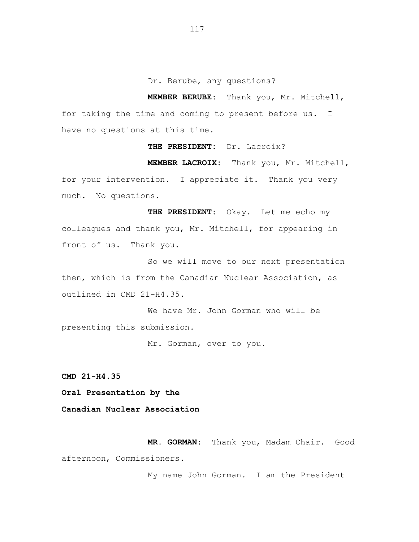Dr. Berube, any questions?

**MEMBER BERUBE:** Thank you, Mr. Mitchell, for taking the time and coming to present before us. I have no questions at this time.

**THE PRESIDENT:** Dr. Lacroix?

**MEMBER LACROIX:** Thank you, Mr. Mitchell,

for your intervention. I appreciate it. Thank you very much. No questions.

**THE PRESIDENT:** Okay. Let me echo my colleagues and thank you, Mr. Mitchell, for appearing in front of us. Thank you.

So we will move to our next presentation then, which is from the Canadian Nuclear Association, as outlined in CMD 21-H4.35.

We have Mr. John Gorman who will be presenting this submission.

Mr. Gorman, over to you.

**CMD 21-H4.35**

**Oral Presentation by the**

**Canadian Nuclear Association**

**MR. GORMAN:** Thank you, Madam Chair. Good afternoon, Commissioners.

My name John Gorman. I am the President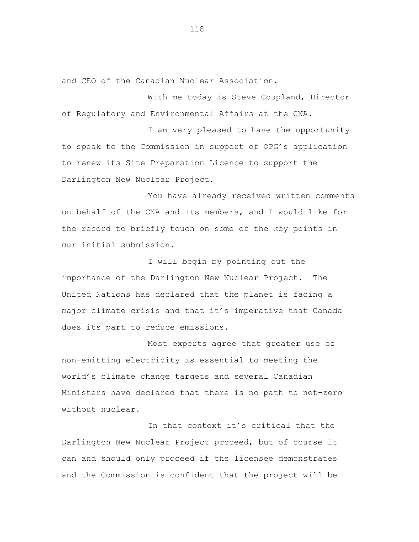and CEO of the Canadian Nuclear Association.

With me today is Steve Coupland, Director of Regulatory and Environmental Affairs at the CNA.

I am very pleased to have the opportunity to speak to the Commission in support of OPG's application to renew its Site Preparation Licence to support the Darlington New Nuclear Project.

You have already received written comments on behalf of the CNA and its members, and I would like for the record to briefly touch on some of the key points in our initial submission.

I will begin by pointing out the importance of the Darlington New Nuclear Project. The United Nations has declared that the planet is facing a major climate crisis and that it's imperative that Canada does its part to reduce emissions.

Most experts agree that greater use of non-emitting electricity is essential to meeting the world's climate change targets and several Canadian Ministers have declared that there is no path to net-zero without nuclear.

In that context it's critical that the Darlington New Nuclear Project proceed, but of course it can and should only proceed if the licensee demonstrates and the Commission is confident that the project will be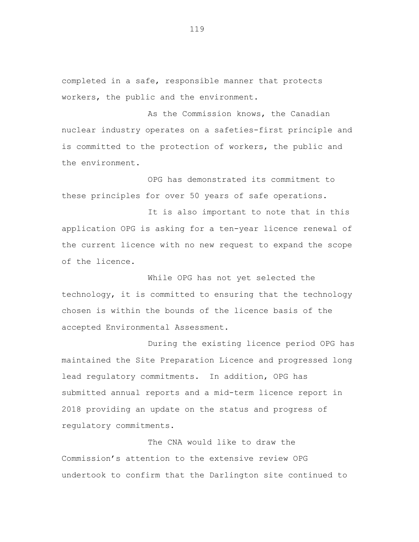completed in a safe, responsible manner that protects workers, the public and the environment.

As the Commission knows, the Canadian nuclear industry operates on a safeties-first principle and is committed to the protection of workers, the public and the environment.

OPG has demonstrated its commitment to these principles for over 50 years of safe operations.

It is also important to note that in this application OPG is asking for a ten-year licence renewal of the current licence with no new request to expand the scope of the licence.

While OPG has not yet selected the technology, it is committed to ensuring that the technology chosen is within the bounds of the licence basis of the accepted Environmental Assessment.

During the existing licence period OPG has maintained the Site Preparation Licence and progressed long lead regulatory commitments. In addition, OPG has submitted annual reports and a mid-term licence report in 2018 providing an update on the status and progress of regulatory commitments.

The CNA would like to draw the Commission's attention to the extensive review OPG undertook to confirm that the Darlington site continued to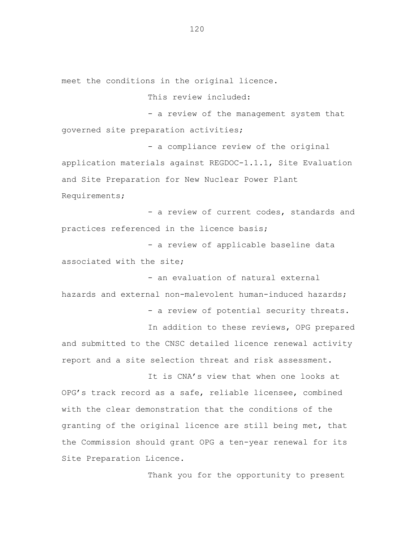meet the conditions in the original licence.

This review included:

- a review of the management system that governed site preparation activities;

- a compliance review of the original application materials against REGDOC-1.1.1, Site Evaluation and Site Preparation for New Nuclear Power Plant Requirements;

- a review of current codes, standards and practices referenced in the licence basis;

- a review of applicable baseline data associated with the site;

- an evaluation of natural external hazards and external non-malevolent human-induced hazards;

- a review of potential security threats.

In addition to these reviews, OPG prepared and submitted to the CNSC detailed licence renewal activity report and a site selection threat and risk assessment.

It is CNA's view that when one looks at OPG's track record as a safe, reliable licensee, combined with the clear demonstration that the conditions of the granting of the original licence are still being met, that the Commission should grant OPG a ten-year renewal for its Site Preparation Licence.

Thank you for the opportunity to present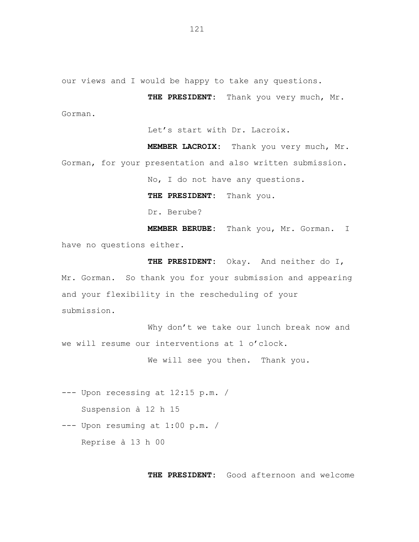our views and I would be happy to take any questions.

**THE PRESIDENT:** Thank you very much, Mr. Gorman.

Let's start with Dr. Lacroix.

**MEMBER LACROIX:** Thank you very much, Mr. Gorman, for your presentation and also written submission.

No, I do not have any questions.

**THE PRESIDENT:** Thank you.

Dr. Berube?

**MEMBER BERUBE:** Thank you, Mr. Gorman. I have no questions either.

**THE PRESIDENT:** Okay. And neither do I, Mr. Gorman. So thank you for your submission and appearing and your flexibility in the rescheduling of your submission.

Why don't we take our lunch break now and we will resume our interventions at 1 o'clock.

We will see you then. Thank you.

--- Upon recessing at 12:15 p.m. /

Suspension à 12 h 15

--- Upon resuming at 1:00 p.m. /

Reprise à 13 h 00

**THE PRESIDENT:** Good afternoon and welcome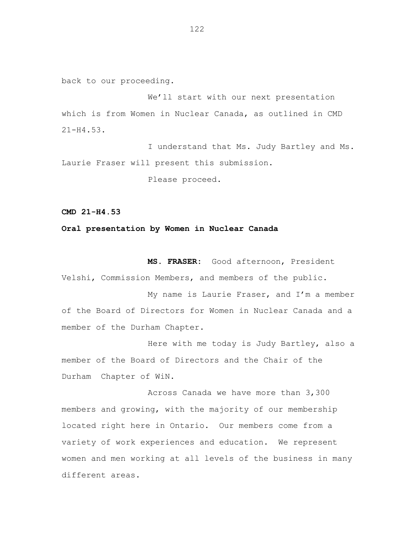back to our proceeding.

We'll start with our next presentation which is from Women in Nuclear Canada, as outlined in CMD 21-H4.53.

I understand that Ms. Judy Bartley and Ms. Laurie Fraser will present this submission.

Please proceed.

**CMD 21-H4.53**

## **Oral presentation by Women in Nuclear Canada**

**MS. FRASER:** Good afternoon, President

Velshi, Commission Members, and members of the public.

My name is Laurie Fraser, and I'm a member of the Board of Directors for Women in Nuclear Canada and a member of the Durham Chapter.

Here with me today is Judy Bartley, also a member of the Board of Directors and the Chair of the Durham Chapter of WiN.

Across Canada we have more than 3,300 members and growing, with the majority of our membership located right here in Ontario. Our members come from a variety of work experiences and education. We represent women and men working at all levels of the business in many different areas.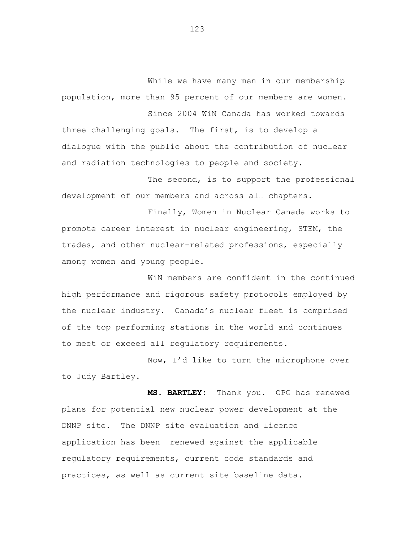While we have many men in our membership population, more than 95 percent of our members are women. Since 2004 WiN Canada has worked towards

three challenging goals. The first, is to develop a dialogue with the public about the contribution of nuclear and radiation technologies to people and society.

The second, is to support the professional development of our members and across all chapters.

Finally, Women in Nuclear Canada works to promote career interest in nuclear engineering, STEM, the trades, and other nuclear-related professions, especially among women and young people.

WiN members are confident in the continued high performance and rigorous safety protocols employed by the nuclear industry. Canada's nuclear fleet is comprised of the top performing stations in the world and continues to meet or exceed all regulatory requirements.

Now, I'd like to turn the microphone over to Judy Bartley.

**MS. BARTLEY:** Thank you. OPG has renewed plans for potential new nuclear power development at the DNNP site. The DNNP site evaluation and licence application has been renewed against the applicable regulatory requirements, current code standards and practices, as well as current site baseline data.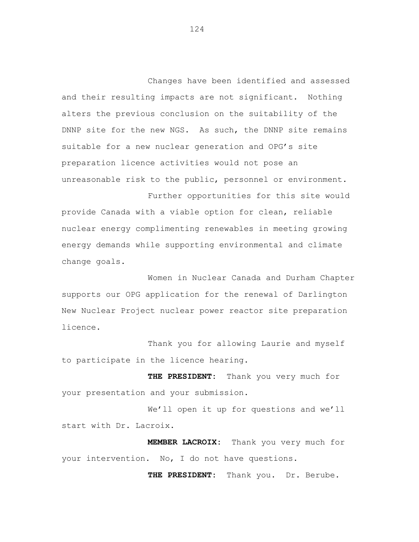Changes have been identified and assessed and their resulting impacts are not significant. Nothing alters the previous conclusion on the suitability of the DNNP site for the new NGS. As such, the DNNP site remains suitable for a new nuclear generation and OPG's site preparation licence activities would not pose an unreasonable risk to the public, personnel or environment.

provide Canada with a viable option for clean, reliable nuclear energy complimenting renewables in meeting growing energy demands while supporting environmental and climate change goals.

Further opportunities for this site would

Women in Nuclear Canada and Durham Chapter supports our OPG application for the renewal of Darlington New Nuclear Project nuclear power reactor site preparation licence.

Thank you for allowing Laurie and myself to participate in the licence hearing.

**THE PRESIDENT:** Thank you very much for your presentation and your submission.

We'll open it up for questions and we'll start with Dr. Lacroix.

**MEMBER LACROIX:** Thank you very much for your intervention. No, I do not have questions.

**THE PRESIDENT:** Thank you. Dr. Berube.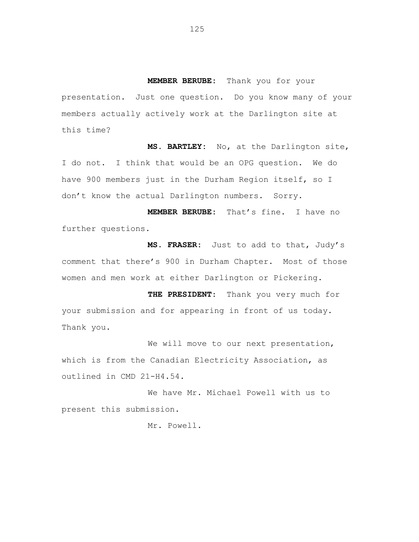**MEMBER BERUBE:** Thank you for your presentation. Just one question. Do you know many of your members actually actively work at the Darlington site at this time?

**MS. BARTLEY:** No, at the Darlington site, I do not. I think that would be an OPG question. We do have 900 members just in the Durham Region itself, so I don't know the actual Darlington numbers. Sorry.

**MEMBER BERUBE:** That's fine. I have no further questions.

**MS. FRASER:** Just to add to that, Judy's comment that there's 900 in Durham Chapter. Most of those women and men work at either Darlington or Pickering.

**THE PRESIDENT**: Thank you very much for your submission and for appearing in front of us today. Thank you.

We will move to our next presentation, which is from the Canadian Electricity Association, as outlined in CMD 21-H4.54.

We have Mr. Michael Powell with us to present this submission.

Mr. Powell.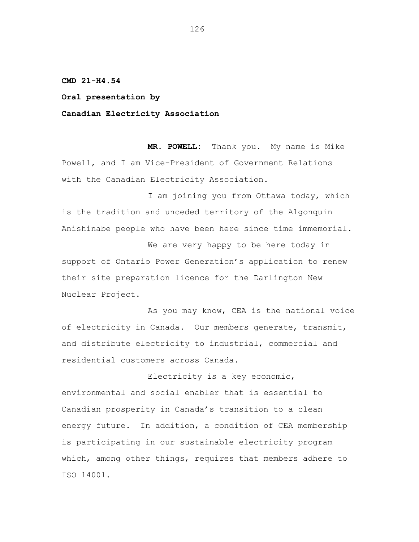**CMD 21-H4.54**

**Oral presentation by**

**Canadian Electricity Association**

**MR. POWELL:** Thank you. My name is Mike Powell, and I am Vice-President of Government Relations with the Canadian Electricity Association.

I am joining you from Ottawa today, which is the tradition and unceded territory of the Algonquin Anishinabe people who have been here since time immemorial.

We are very happy to be here today in support of Ontario Power Generation's application to renew their site preparation licence for the Darlington New Nuclear Project.

As you may know, CEA is the national voice of electricity in Canada. Our members generate, transmit, and distribute electricity to industrial, commercial and residential customers across Canada.

Electricity is a key economic, environmental and social enabler that is essential to Canadian prosperity in Canada's transition to a clean energy future. In addition, a condition of CEA membership is participating in our sustainable electricity program which, among other things, requires that members adhere to ISO 14001.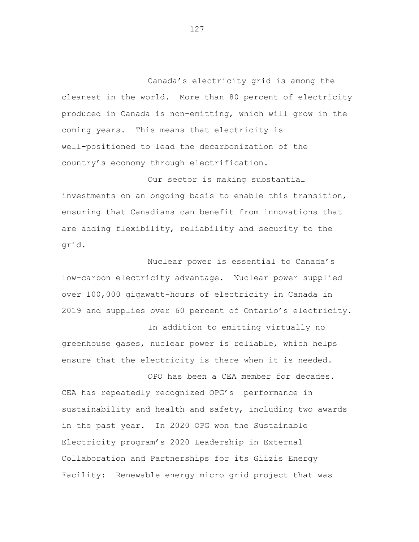Canada's electricity grid is among the cleanest in the world. More than 80 percent of electricity produced in Canada is non-emitting, which will grow in the coming years. This means that electricity is well-positioned to lead the decarbonization of the country's economy through electrification.

Our sector is making substantial investments on an ongoing basis to enable this transition, ensuring that Canadians can benefit from innovations that are adding flexibility, reliability and security to the grid.

Nuclear power is essential to Canada's low-carbon electricity advantage. Nuclear power supplied over 100,000 gigawatt-hours of electricity in Canada in 2019 and supplies over 60 percent of Ontario's electricity.

In addition to emitting virtually no greenhouse gases, nuclear power is reliable, which helps ensure that the electricity is there when it is needed.

OPO has been a CEA member for decades.

CEA has repeatedly recognized OPG's performance in sustainability and health and safety, including two awards in the past year. In 2020 OPG won the Sustainable Electricity program's 2020 Leadership in External Collaboration and Partnerships for its Giizis Energy Facility: Renewable energy micro grid project that was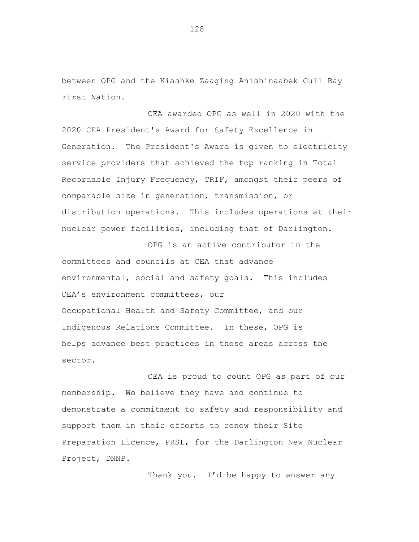between OPG and the Kiashke Zaaging Anishinaabek Gull Bay First Nation**.**

CEA awarded OPG as well in 2020 with the 2020 CEA President's Award for Safety Excellence in Generation. The President's Award is given to electricity service providers that achieved the top ranking in Total Recordable Injury Frequency, TRIF, amongst their peers of comparable size in generation, transmission, or distribution operations. This includes operations at their nuclear power facilities, including that of Darlington.

OPG is an active contributor in the committees and councils at CEA that advance environmental, social and safety goals. This includes CEA's environment committees, our Occupational Health and Safety Committee, and our Indigenous Relations Committee. In these, OPG is helps advance best practices in these areas across the sector.

CEA is proud to count OPG as part of our membership. We believe they have and continue to demonstrate a commitment to safety and responsibility and support them in their efforts to renew their Site Preparation Licence, PRSL, for the Darlington New Nuclear Project, DNNP.

Thank you. I'd be happy to answer any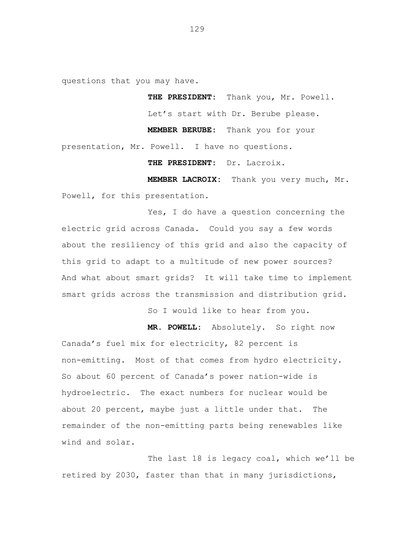questions that you may have.

**THE PRESIDENT:** Thank you, Mr. Powell. Let's start with Dr. Berube please.

**MEMBER BERUBE:** Thank you for your presentation, Mr. Powell. I have no questions.

**THE PRESIDENT:** Dr. Lacroix.

**MEMBER LACROIX:** Thank you very much, Mr. Powell, for this presentation.

Yes, I do have a question concerning the electric grid across Canada. Could you say a few words about the resiliency of this grid and also the capacity of this grid to adapt to a multitude of new power sources? And what about smart grids? It will take time to implement smart grids across the transmission and distribution grid.

So I would like to hear from you.

**MR. POWELL:** Absolutely. So right now Canada's fuel mix for electricity, 82 percent is non-emitting. Most of that comes from hydro electricity. So about 60 percent of Canada's power nation-wide is hydroelectric. The exact numbers for nuclear would be about 20 percent, maybe just a little under that. The remainder of the non-emitting parts being renewables like wind and solar.

The last 18 is legacy coal, which we'll be retired by 2030, faster than that in many jurisdictions,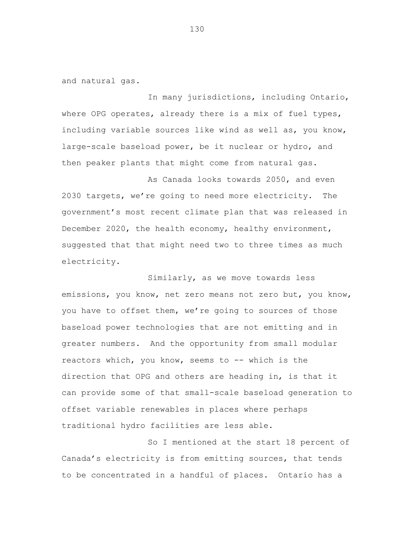and natural gas.

In many jurisdictions, including Ontario, where OPG operates, already there is a mix of fuel types, including variable sources like wind as well as, you know, large-scale baseload power, be it nuclear or hydro, and then peaker plants that might come from natural gas.

As Canada looks towards 2050, and even 2030 targets, we're going to need more electricity. The government's most recent climate plan that was released in December 2020, the health economy, healthy environment, suggested that that might need two to three times as much electricity.

Similarly, as we move towards less emissions, you know, net zero means not zero but, you know, you have to offset them, we're going to sources of those baseload power technologies that are not emitting and in greater numbers. And the opportunity from small modular reactors which, you know, seems to -- which is the direction that OPG and others are heading in, is that it can provide some of that small-scale baseload generation to offset variable renewables in places where perhaps traditional hydro facilities are less able.

So I mentioned at the start 18 percent of Canada's electricity is from emitting sources, that tends to be concentrated in a handful of places. Ontario has a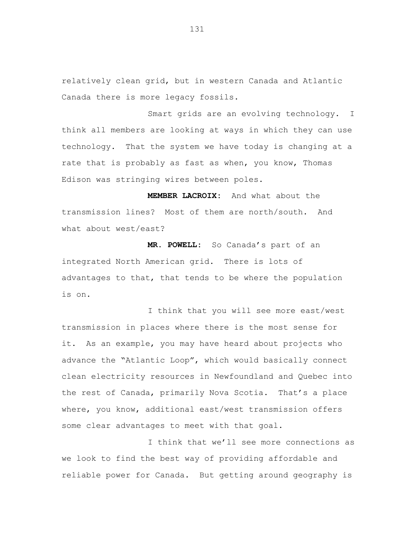relatively clean grid, but in western Canada and Atlantic Canada there is more legacy fossils.

Smart grids are an evolving technology. I think all members are looking at ways in which they can use technology. That the system we have today is changing at a rate that is probably as fast as when, you know, Thomas Edison was stringing wires between poles.

**MEMBER LACROIX:** And what about the transmission lines? Most of them are north/south. And what about west/east?

**MR. POWELL:** So Canada's part of an integrated North American grid. There is lots of advantages to that, that tends to be where the population is on.

I think that you will see more east/west transmission in places where there is the most sense for it. As an example, you may have heard about projects who advance the "Atlantic Loop", which would basically connect clean electricity resources in Newfoundland and Quebec into the rest of Canada, primarily Nova Scotia. That's a place where, you know, additional east/west transmission offers some clear advantages to meet with that goal.

I think that we'll see more connections as we look to find the best way of providing affordable and reliable power for Canada. But getting around geography is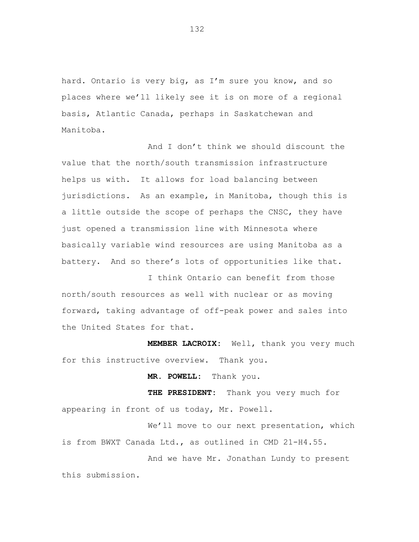hard. Ontario is very big, as I'm sure you know, and so places where we'll likely see it is on more of a regional basis, Atlantic Canada, perhaps in Saskatchewan and Manitoba.

And I don't think we should discount the value that the north/south transmission infrastructure helps us with. It allows for load balancing between jurisdictions. As an example, in Manitoba, though this is a little outside the scope of perhaps the CNSC, they have just opened a transmission line with Minnesota where basically variable wind resources are using Manitoba as a battery. And so there's lots of opportunities like that.

I think Ontario can benefit from those north/south resources as well with nuclear or as moving forward, taking advantage of off-peak power and sales into the United States for that.

**MEMBER LACROIX:** Well, thank you very much for this instructive overview. Thank you.

**MR. POWELL:** Thank you.

**THE PRESIDENT:** Thank you very much for appearing in front of us today, Mr. Powell.

We'll move to our next presentation, which is from BWXT Canada Ltd., as outlined in CMD 21-H4.55.

And we have Mr. Jonathan Lundy to present this submission.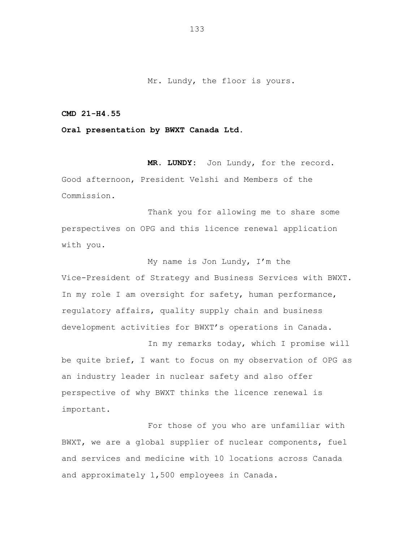Mr. Lundy, the floor is yours.

## **CMD 21-H4.55**

**Oral presentation by BWXT Canada Ltd.**

**MR. LUNDY:** Jon Lundy, for the record. Good afternoon, President Velshi and Members of the Commission.

Thank you for allowing me to share some perspectives on OPG and this licence renewal application with you.

My name is Jon Lundy, I'm the Vice-President of Strategy and Business Services with BWXT. In my role I am oversight for safety, human performance, regulatory affairs, quality supply chain and business development activities for BWXT's operations in Canada.

In my remarks today, which I promise will be quite brief, I want to focus on my observation of OPG as an industry leader in nuclear safety and also offer perspective of why BWXT thinks the licence renewal is important.

For those of you who are unfamiliar with BWXT, we are a global supplier of nuclear components, fuel and services and medicine with 10 locations across Canada and approximately 1,500 employees in Canada.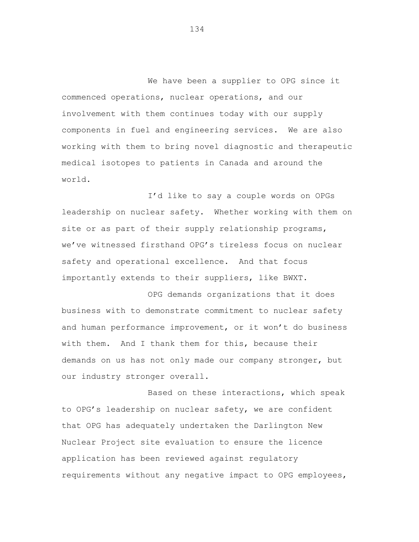We have been a supplier to OPG since it commenced operations, nuclear operations, and our involvement with them continues today with our supply components in fuel and engineering services. We are also working with them to bring novel diagnostic and therapeutic medical isotopes to patients in Canada and around the world.

I'd like to say a couple words on OPGs leadership on nuclear safety. Whether working with them on site or as part of their supply relationship programs, we've witnessed firsthand OPG's tireless focus on nuclear safety and operational excellence. And that focus importantly extends to their suppliers, like BWXT.

OPG demands organizations that it does business with to demonstrate commitment to nuclear safety and human performance improvement, or it won't do business with them. And I thank them for this, because their demands on us has not only made our company stronger, but our industry stronger overall.

Based on these interactions, which speak to OPG's leadership on nuclear safety, we are confident that OPG has adequately undertaken the Darlington New Nuclear Project site evaluation to ensure the licence application has been reviewed against regulatory requirements without any negative impact to OPG employees,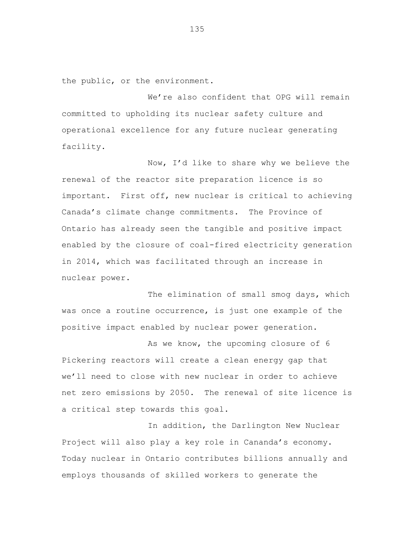the public, or the environment.

We're also confident that OPG will remain committed to upholding its nuclear safety culture and operational excellence for any future nuclear generating facility.

Now, I'd like to share why we believe the renewal of the reactor site preparation licence is so important. First off, new nuclear is critical to achieving Canada's climate change commitments. The Province of Ontario has already seen the tangible and positive impact enabled by the closure of coal-fired electricity generation in 2014, which was facilitated through an increase in nuclear power.

The elimination of small smog days, which was once a routine occurrence, is just one example of the positive impact enabled by nuclear power generation.

As we know, the upcoming closure of 6 Pickering reactors will create a clean energy gap that we'll need to close with new nuclear in order to achieve net zero emissions by 2050. The renewal of site licence is a critical step towards this goal.

In addition, the Darlington New Nuclear Project will also play a key role in Cananda's economy. Today nuclear in Ontario contributes billions annually and employs thousands of skilled workers to generate the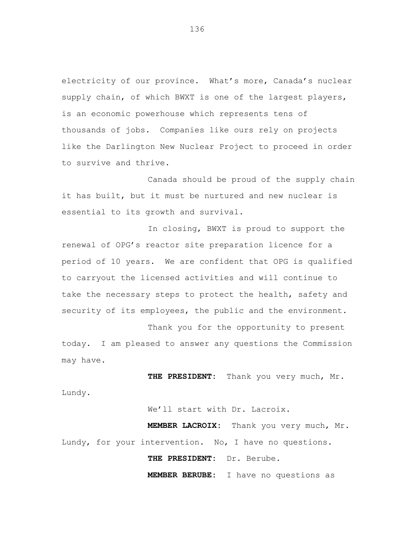electricity of our province. What's more, Canada's nuclear supply chain, of which BWXT is one of the largest players, is an economic powerhouse which represents tens of thousands of jobs. Companies like ours rely on projects like the Darlington New Nuclear Project to proceed in order to survive and thrive.

Canada should be proud of the supply chain it has built, but it must be nurtured and new nuclear is essential to its growth and survival.

In closing, BWXT is proud to support the renewal of OPG's reactor site preparation licence for a period of 10 years. We are confident that OPG is qualified to carryout the licensed activities and will continue to take the necessary steps to protect the health, safety and security of its employees, the public and the environment.

Thank you for the opportunity to present today. I am pleased to answer any questions the Commission may have.

**THE PRESIDENT:** Thank you very much, Mr.

Lundy.

We'll start with Dr. Lacroix.

**MEMBER LACROIX:** Thank you very much, Mr. Lundy, for your intervention. No, I have no questions.

**THE PRESIDENT:** Dr. Berube.

**MEMBER BERUBE:** I have no questions as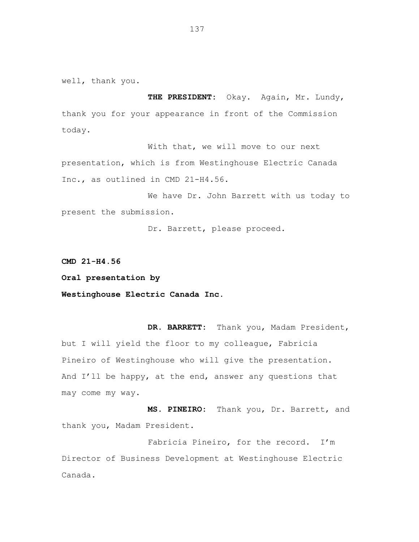well, thank you.

**THE PRESIDENT:** Okay. Again, Mr. Lundy, thank you for your appearance in front of the Commission today.

With that, we will move to our next presentation, which is from Westinghouse Electric Canada Inc., as outlined in CMD 21-H4.56.

We have Dr. John Barrett with us today to present the submission.

Dr. Barrett, please proceed.

**CMD 21-H4.56**

**Oral presentation by**

**Westinghouse Electric Canada Inc.**

**DR. BARRETT:** Thank you, Madam President, but I will yield the floor to my colleague, Fabricia Pineiro of Westinghouse who will give the presentation. And I'll be happy, at the end, answer any questions that may come my way.

**MS. PINEIRO:** Thank you, Dr. Barrett, and thank you, Madam President.

Fabricia Pineiro, for the record. I'm Director of Business Development at Westinghouse Electric Canada.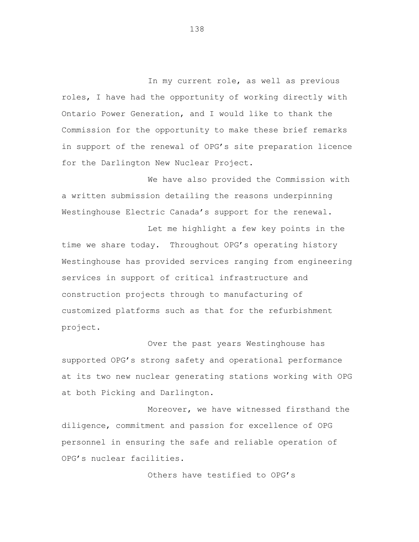In my current role, as well as previous roles, I have had the opportunity of working directly with Ontario Power Generation, and I would like to thank the Commission for the opportunity to make these brief remarks in support of the renewal of OPG's site preparation licence for the Darlington New Nuclear Project.

We have also provided the Commission with a written submission detailing the reasons underpinning Westinghouse Electric Canada's support for the renewal.

Let me highlight a few key points in the time we share today. Throughout OPG's operating history Westinghouse has provided services ranging from engineering services in support of critical infrastructure and construction projects through to manufacturing of customized platforms such as that for the refurbishment project.

Over the past years Westinghouse has supported OPG's strong safety and operational performance at its two new nuclear generating stations working with OPG at both Picking and Darlington.

Moreover, we have witnessed firsthand the diligence, commitment and passion for excellence of OPG personnel in ensuring the safe and reliable operation of OPG's nuclear facilities.

Others have testified to OPG's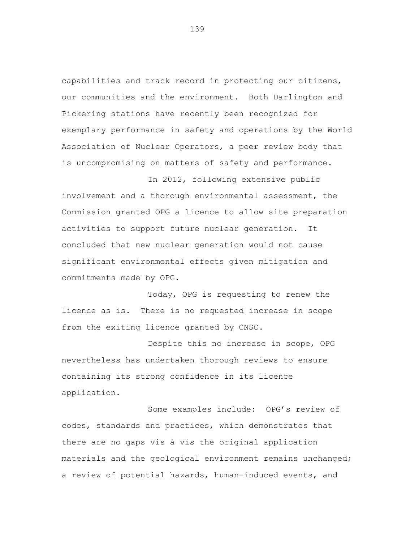capabilities and track record in protecting our citizens, our communities and the environment. Both Darlington and Pickering stations have recently been recognized for exemplary performance in safety and operations by the World Association of Nuclear Operators, a peer review body that is uncompromising on matters of safety and performance.

In 2012, following extensive public involvement and a thorough environmental assessment, the Commission granted OPG a licence to allow site preparation activities to support future nuclear generation. It concluded that new nuclear generation would not cause significant environmental effects given mitigation and commitments made by OPG.

Today, OPG is requesting to renew the licence as is. There is no requested increase in scope from the exiting licence granted by CNSC.

Despite this no increase in scope, OPG nevertheless has undertaken thorough reviews to ensure containing its strong confidence in its licence application.

Some examples include: OPG's review of codes, standards and practices, which demonstrates that there are no gaps vis à vis the original application materials and the geological environment remains unchanged; a review of potential hazards, human-induced events, and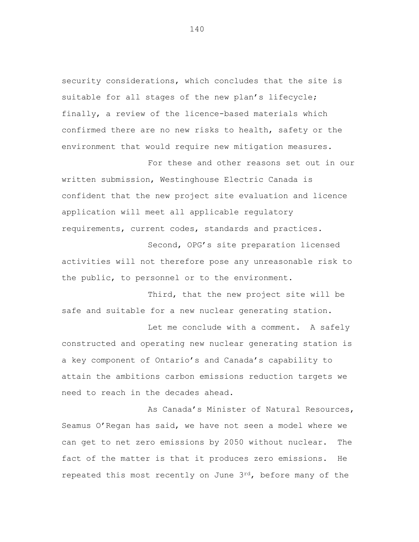security considerations, which concludes that the site is suitable for all stages of the new plan's lifecycle; finally, a review of the licence-based materials which confirmed there are no new risks to health, safety or the environment that would require new mitigation measures.

For these and other reasons set out in our written submission, Westinghouse Electric Canada is confident that the new project site evaluation and licence application will meet all applicable regulatory requirements, current codes, standards and practices.

Second, OPG's site preparation licensed activities will not therefore pose any unreasonable risk to the public, to personnel or to the environment.

Third, that the new project site will be safe and suitable for a new nuclear generating station.

Let me conclude with a comment. A safely constructed and operating new nuclear generating station is a key component of Ontario's and Canada's capability to attain the ambitions carbon emissions reduction targets we need to reach in the decades ahead.

As Canada's Minister of Natural Resources, Seamus O'Regan has said, we have not seen a model where we can get to net zero emissions by 2050 without nuclear. The fact of the matter is that it produces zero emissions. He repeated this most recently on June 3rd, before many of the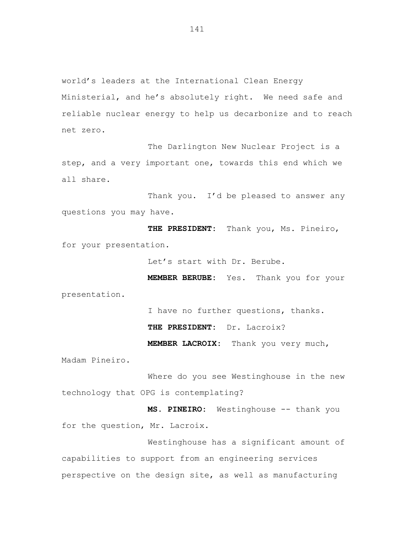world's leaders at the International Clean Energy Ministerial, and he's absolutely right. We need safe and reliable nuclear energy to help us decarbonize and to reach net zero.

The Darlington New Nuclear Project is a step, and a very important one, towards this end which we all share.

Thank you. I'd be pleased to answer any questions you may have.

**THE PRESIDENT:** Thank you, Ms. Pineiro, for your presentation.

Let's start with Dr. Berube.

**MEMBER BERUBE:** Yes. Thank you for your

presentation.

I have no further questions, thanks.

**THE PRESIDENT:** Dr. Lacroix?

**MEMBER LACROIX:** Thank you very much,

Madam Pineiro.

Where do you see Westinghouse in the new technology that OPG is contemplating?

**MS. PINEIRO:** Westinghouse -- thank you for the question, Mr. Lacroix.

Westinghouse has a significant amount of capabilities to support from an engineering services perspective on the design site, as well as manufacturing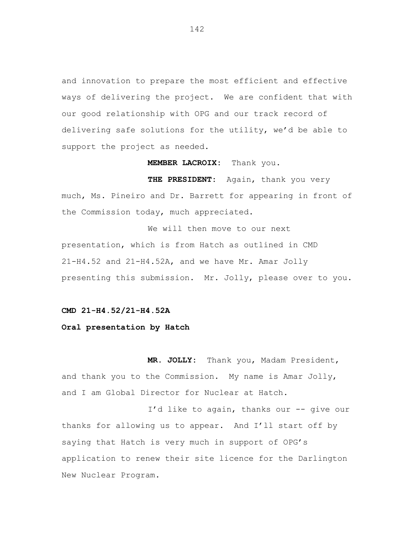and innovation to prepare the most efficient and effective ways of delivering the project. We are confident that with our good relationship with OPG and our track record of delivering safe solutions for the utility, we'd be able to support the project as needed.

**MEMBER LACROIX:** Thank you.

**THE PRESIDENT:** Again, thank you very much, Ms. Pineiro and Dr. Barrett for appearing in front of the Commission today, much appreciated.

We will then move to our next presentation, which is from Hatch as outlined in CMD 21-H4.52 and 21-H4.52A, and we have Mr. Amar Jolly presenting this submission. Mr. Jolly, please over to you.

**CMD 21-H4.52/21-H4.52A**

**Oral presentation by Hatch**

**MR. JOLLY:** Thank you, Madam President, and thank you to the Commission. My name is Amar Jolly, and I am Global Director for Nuclear at Hatch.

I'd like to again, thanks our -- give our thanks for allowing us to appear. And I'll start off by saying that Hatch is very much in support of OPG's application to renew their site licence for the Darlington New Nuclear Program.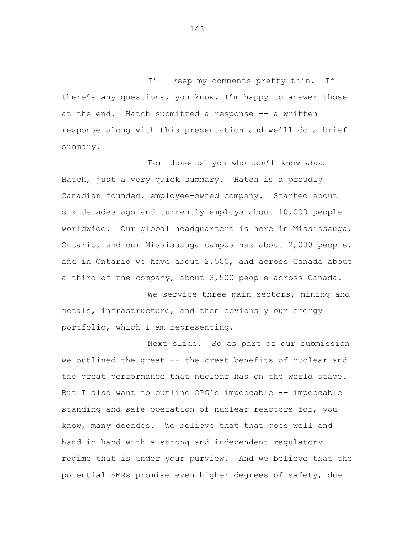I'll keep my comments pretty thin. If there's any questions, you know, I'm happy to answer those at the end. Hatch submitted a response -- a written response along with this presentation and we'll do a brief summary.

For those of you who don't know about Hatch, just a very quick summary. Hatch is a proudly Canadian founded, employee-owned company. Started about six decades ago and currently employs about 10,000 people worldwide. Our global headquarters is here in Mississauga, Ontario, and our Mississauga campus has about 2,000 people, and in Ontario we have about 2,500, and across Canada about a third of the company, about 3,500 people across Canada.

We service three main sectors, mining and metals, infrastructure, and then obviously our energy portfolio, which I am representing.

Next slide. So as part of our submission we outlined the great -- the great benefits of nuclear and the great performance that nuclear has on the world stage. But I also want to outline OPG's impeccable -- impeccable standing and safe operation of nuclear reactors for, you know, many decades. We believe that that goes well and hand in hand with a strong and independent regulatory regime that is under your purview. And we believe that the potential SMRs promise even higher degrees of safety, due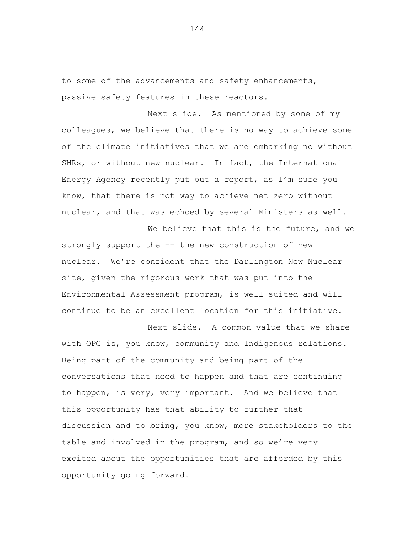to some of the advancements and safety enhancements, passive safety features in these reactors.

Next slide. As mentioned by some of my colleagues, we believe that there is no way to achieve some of the climate initiatives that we are embarking no without SMRs, or without new nuclear. In fact, the International Energy Agency recently put out a report, as I'm sure you know, that there is not way to achieve net zero without nuclear, and that was echoed by several Ministers as well.

We believe that this is the future, and we strongly support the -- the new construction of new nuclear. We're confident that the Darlington New Nuclear site, given the rigorous work that was put into the Environmental Assessment program, is well suited and will continue to be an excellent location for this initiative.

Next slide. A common value that we share with OPG is, you know, community and Indigenous relations. Being part of the community and being part of the conversations that need to happen and that are continuing to happen, is very, very important. And we believe that this opportunity has that ability to further that discussion and to bring, you know, more stakeholders to the table and involved in the program, and so we're very excited about the opportunities that are afforded by this opportunity going forward.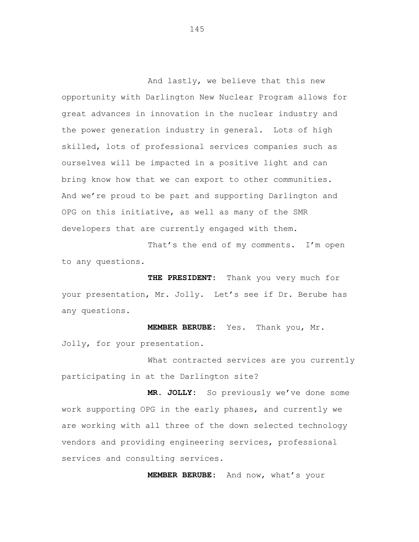And lastly, we believe that this new opportunity with Darlington New Nuclear Program allows for great advances in innovation in the nuclear industry and the power generation industry in general. Lots of high skilled, lots of professional services companies such as ourselves will be impacted in a positive light and can bring know how that we can export to other communities. And we're proud to be part and supporting Darlington and OPG on this initiative, as well as many of the SMR developers that are currently engaged with them.

That's the end of my comments. I'm open to any questions.

**THE PRESIDENT:** Thank you very much for your presentation, Mr. Jolly. Let's see if Dr. Berube has any questions.

**MEMBER BERUBE:** Yes. Thank you, Mr. Jolly, for your presentation.

What contracted services are you currently participating in at the Darlington site?

**MR. JOLLY:** So previously we've done some work supporting OPG in the early phases, and currently we are working with all three of the down selected technology vendors and providing engineering services, professional services and consulting services.

**MEMBER BERUBE:** And now, what's your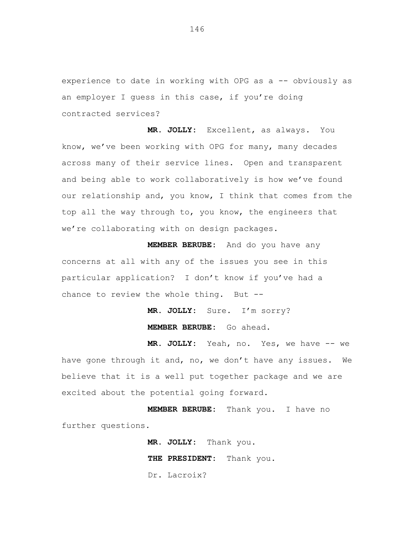experience to date in working with OPG as a -- obviously as an employer I guess in this case, if you're doing contracted services?

**MR. JOLLY:** Excellent, as always. You know, we've been working with OPG for many, many decades across many of their service lines. Open and transparent and being able to work collaboratively is how we've found our relationship and, you know, I think that comes from the top all the way through to, you know, the engineers that we're collaborating with on design packages.

**MEMBER BERUBE:** And do you have any concerns at all with any of the issues you see in this particular application? I don't know if you've had a chance to review the whole thing. But --

> **MR. JOLLY:** Sure. I'm sorry? **MEMBER BERUBE:** Go ahead.

**MR. JOLLY:** Yeah, no. Yes, we have -- we have gone through it and, no, we don't have any issues. We believe that it is a well put together package and we are excited about the potential going forward.

**MEMBER BERUBE:** Thank you. I have no further questions.

> **MR. JOLLY:** Thank you. **THE PRESIDENT:** Thank you. Dr. Lacroix?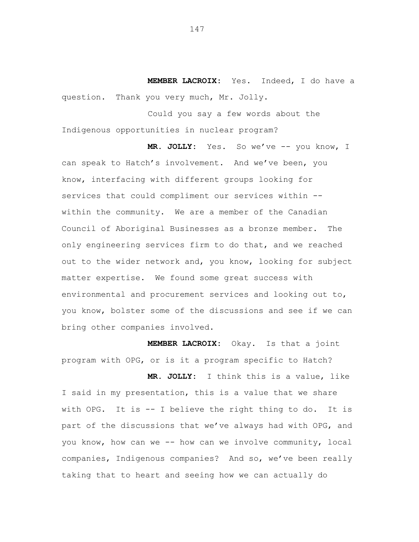**MEMBER LACROIX:** Yes. Indeed, I do have a question. Thank you very much, Mr. Jolly.

Could you say a few words about the Indigenous opportunities in nuclear program?

**MR. JOLLY:** Yes. So we've -- you know, I can speak to Hatch's involvement. And we've been, you know, interfacing with different groups looking for services that could compliment our services within -within the community. We are a member of the Canadian Council of Aboriginal Businesses as a bronze member. The only engineering services firm to do that, and we reached out to the wider network and, you know, looking for subject matter expertise. We found some great success with environmental and procurement services and looking out to, you know, bolster some of the discussions and see if we can bring other companies involved.

**MEMBER LACROIX:** Okay. Is that a joint program with OPG, or is it a program specific to Hatch?

**MR. JOLLY:** I think this is a value, like I said in my presentation, this is a value that we share with OPG. It is -- I believe the right thing to do. It is part of the discussions that we've always had with OPG, and you know, how can we -- how can we involve community, local companies, Indigenous companies? And so, we've been really taking that to heart and seeing how we can actually do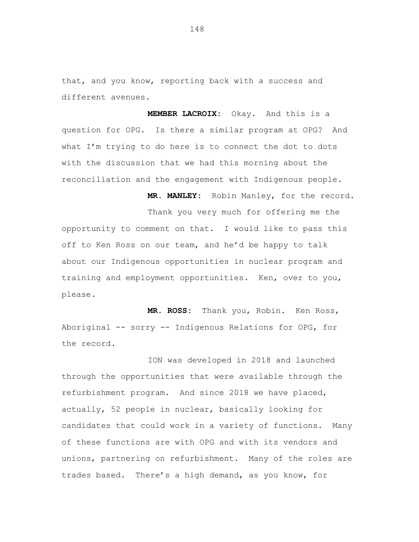that, and you know, reporting back with a success and different avenues.

**MEMBER LACROIX:** Okay. And this is a question for OPG. Is there a similar program at OPG? And what I'm trying to do here is to connect the dot to dots with the discussion that we had this morning about the reconciliation and the engagement with Indigenous people.

**MR. MANLEY:** Robin Manley, for the record.

Thank you very much for offering me the opportunity to comment on that. I would like to pass this off to Ken Ross on our team, and he'd be happy to talk about our Indigenous opportunities in nuclear program and training and employment opportunities. Ken, over to you, please.

**MR. ROSS:** Thank you, Robin. Ken Ross, Aboriginal -- sorry -- Indigenous Relations for OPG, for the record.

ION was developed in 2018 and launched through the opportunities that were available through the refurbishment program. And since 2018 we have placed, actually, 52 people in nuclear, basically looking for candidates that could work in a variety of functions. Many of these functions are with OPG and with its vendors and unions, partnering on refurbishment. Many of the roles are trades based. There's a high demand, as you know, for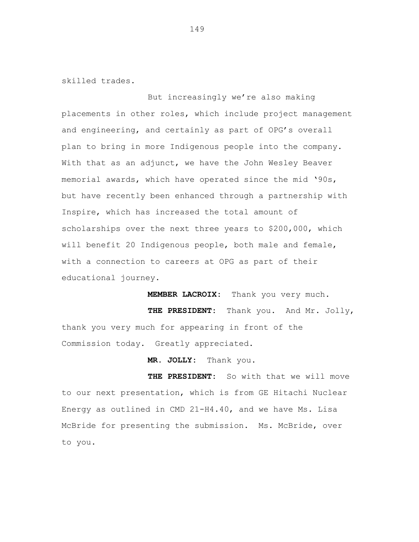skilled trades.

But increasingly we're also making placements in other roles, which include project management and engineering, and certainly as part of OPG's overall plan to bring in more Indigenous people into the company. With that as an adjunct, we have the John Wesley Beaver memorial awards, which have operated since the mid '90s, but have recently been enhanced through a partnership with Inspire, which has increased the total amount of scholarships over the next three years to \$200,000, which will benefit 20 Indigenous people, both male and female, with a connection to careers at OPG as part of their educational journey.

**MEMBER LACROIX:** Thank you very much.

**THE PRESIDENT:** Thank you. And Mr. Jolly, thank you very much for appearing in front of the Commission today. Greatly appreciated.

**MR. JOLLY:** Thank you.

**THE PRESIDENT:** So with that we will move to our next presentation, which is from GE Hitachi Nuclear Energy as outlined in CMD 21-H4.40, and we have Ms. Lisa McBride for presenting the submission. Ms. McBride, over to you.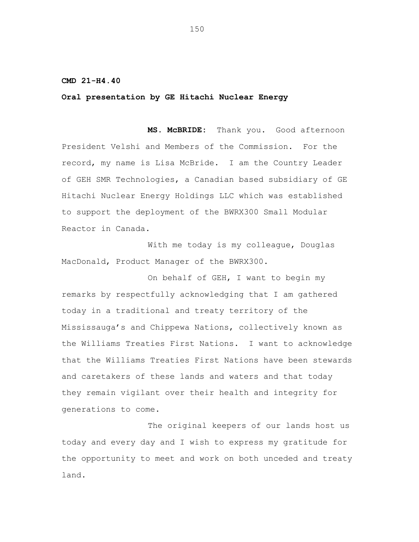## **CMD 21-H4.40**

## **Oral presentation by GE Hitachi Nuclear Energy**

**MS. McBRIDE:** Thank you. Good afternoon President Velshi and Members of the Commission. For the record, my name is Lisa McBride. I am the Country Leader of GEH SMR Technologies, a Canadian based subsidiary of GE Hitachi Nuclear Energy Holdings LLC which was established to support the deployment of the BWRX300 Small Modular Reactor in Canada.

With me today is my colleague, Douglas MacDonald, Product Manager of the BWRX300.

On behalf of GEH, I want to begin my remarks by respectfully acknowledging that I am gathered today in a traditional and treaty territory of the Mississauga's and Chippewa Nations, collectively known as the Williams Treaties First Nations. I want to acknowledge that the Williams Treaties First Nations have been stewards and caretakers of these lands and waters and that today they remain vigilant over their health and integrity for generations to come.

The original keepers of our lands host us today and every day and I wish to express my gratitude for the opportunity to meet and work on both unceded and treaty land.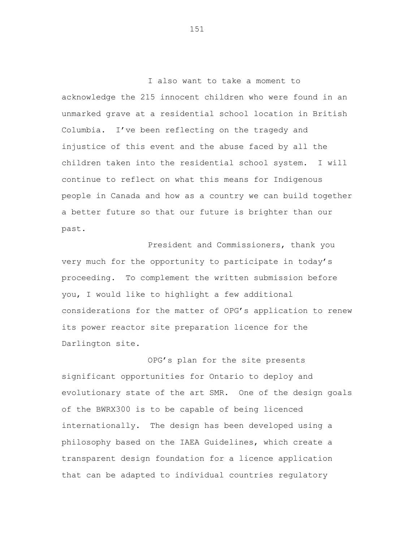I also want to take a moment to acknowledge the 215 innocent children who were found in an unmarked grave at a residential school location in British Columbia. I've been reflecting on the tragedy and injustice of this event and the abuse faced by all the children taken into the residential school system. I will continue to reflect on what this means for Indigenous people in Canada and how as a country we can build together a better future so that our future is brighter than our past.

President and Commissioners, thank you very much for the opportunity to participate in today's proceeding. To complement the written submission before you, I would like to highlight a few additional considerations for the matter of OPG's application to renew its power reactor site preparation licence for the Darlington site.

OPG's plan for the site presents significant opportunities for Ontario to deploy and evolutionary state of the art SMR. One of the design goals of the BWRX300 is to be capable of being licenced internationally. The design has been developed using a philosophy based on the IAEA Guidelines, which create a transparent design foundation for a licence application that can be adapted to individual countries regulatory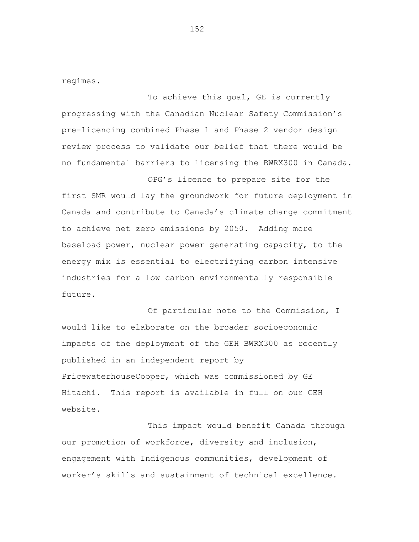regimes.

To achieve this goal, GE is currently progressing with the Canadian Nuclear Safety Commission's pre-licencing combined Phase 1 and Phase 2 vendor design review process to validate our belief that there would be no fundamental barriers to licensing the BWRX300 in Canada.

OPG's licence to prepare site for the first SMR would lay the groundwork for future deployment in Canada and contribute to Canada's climate change commitment to achieve net zero emissions by 2050. Adding more baseload power, nuclear power generating capacity, to the energy mix is essential to electrifying carbon intensive industries for a low carbon environmentally responsible future.

Of particular note to the Commission, I would like to elaborate on the broader socioeconomic impacts of the deployment of the GEH BWRX300 as recently published in an independent report by PricewaterhouseCooper, which was commissioned by GE Hitachi. This report is available in full on our GEH website.

This impact would benefit Canada through our promotion of workforce, diversity and inclusion, engagement with Indigenous communities, development of worker's skills and sustainment of technical excellence.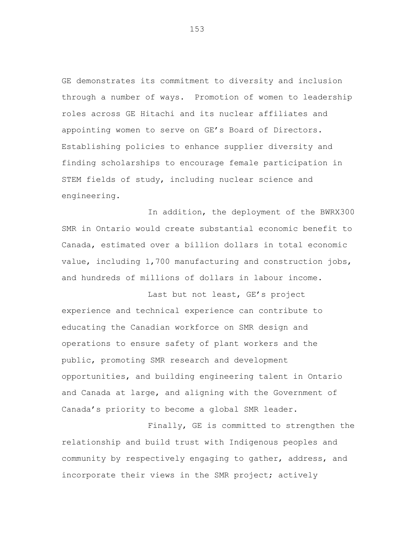GE demonstrates its commitment to diversity and inclusion through a number of ways. Promotion of women to leadership roles across GE Hitachi and its nuclear affiliates and appointing women to serve on GE's Board of Directors. Establishing policies to enhance supplier diversity and finding scholarships to encourage female participation in STEM fields of study, including nuclear science and engineering.

In addition, the deployment of the BWRX300 SMR in Ontario would create substantial economic benefit to Canada, estimated over a billion dollars in total economic value, including 1,700 manufacturing and construction jobs, and hundreds of millions of dollars in labour income.

Last but not least, GE's project experience and technical experience can contribute to educating the Canadian workforce on SMR design and operations to ensure safety of plant workers and the public, promoting SMR research and development opportunities, and building engineering talent in Ontario and Canada at large, and aligning with the Government of Canada's priority to become a global SMR leader.

Finally, GE is committed to strengthen the relationship and build trust with Indigenous peoples and community by respectively engaging to gather, address, and incorporate their views in the SMR project; actively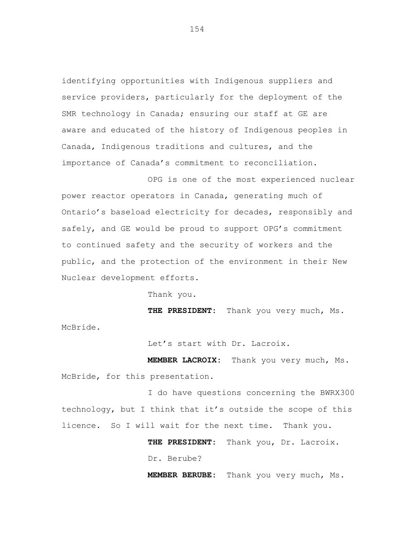identifying opportunities with Indigenous suppliers and service providers, particularly for the deployment of the SMR technology in Canada; ensuring our staff at GE are aware and educated of the history of Indigenous peoples in Canada, Indigenous traditions and cultures, and the importance of Canada's commitment to reconciliation.

OPG is one of the most experienced nuclear power reactor operators in Canada, generating much of Ontario's baseload electricity for decades, responsibly and safely, and GE would be proud to support OPG's commitment to continued safety and the security of workers and the public, and the protection of the environment in their New Nuclear development efforts.

Thank you.

**THE PRESIDENT:** Thank you very much, Ms.

McBride.

Let's start with Dr. Lacroix.

**MEMBER LACROIX:** Thank you very much, Ms. McBride, for this presentation.

I do have questions concerning the BWRX300 technology, but I think that it's outside the scope of this licence. So I will wait for the next time. Thank you.

> **THE PRESIDENT:** Thank you, Dr. Lacroix. Dr. Berube?

**MEMBER BERUBE:** Thank you very much, Ms.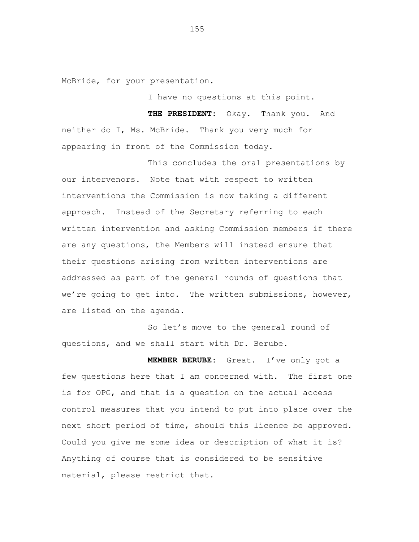McBride, for your presentation.

I have no questions at this point.

**THE PRESIDENT:** Okay. Thank you. And neither do I, Ms. McBride. Thank you very much for appearing in front of the Commission today.

This concludes the oral presentations by our intervenors. Note that with respect to written interventions the Commission is now taking a different approach. Instead of the Secretary referring to each written intervention and asking Commission members if there are any questions, the Members will instead ensure that their questions arising from written interventions are addressed as part of the general rounds of questions that we're going to get into. The written submissions, however, are listed on the agenda.

So let's move to the general round of questions, and we shall start with Dr. Berube.

**MEMBER BERUBE:** Great. I've only got a few questions here that I am concerned with. The first one is for OPG, and that is a question on the actual access control measures that you intend to put into place over the next short period of time, should this licence be approved. Could you give me some idea or description of what it is? Anything of course that is considered to be sensitive material, please restrict that.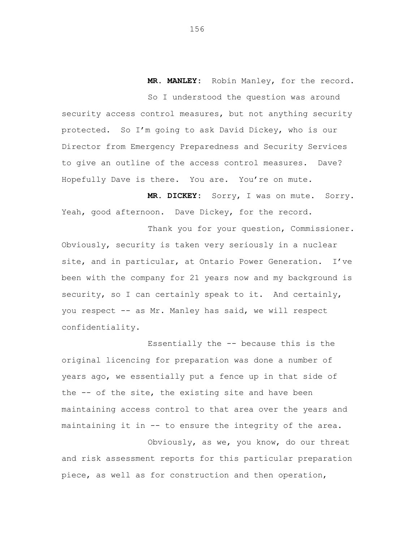**MR. MANLEY:** Robin Manley, for the record.

So I understood the question was around security access control measures, but not anything security protected. So I'm going to ask David Dickey, who is our Director from Emergency Preparedness and Security Services to give an outline of the access control measures. Dave? Hopefully Dave is there. You are. You're on mute.

**MR. DICKEY:** Sorry, I was on mute. Sorry. Yeah, good afternoon. Dave Dickey, for the record.

Thank you for your question, Commissioner. Obviously, security is taken very seriously in a nuclear site, and in particular, at Ontario Power Generation. I've been with the company for 21 years now and my background is security, so I can certainly speak to it. And certainly, you respect -- as Mr. Manley has said, we will respect confidentiality.

Essentially the -- because this is the original licencing for preparation was done a number of years ago, we essentially put a fence up in that side of the -- of the site, the existing site and have been maintaining access control to that area over the years and maintaining it in -- to ensure the integrity of the area.

Obviously, as we, you know, do our threat and risk assessment reports for this particular preparation piece, as well as for construction and then operation,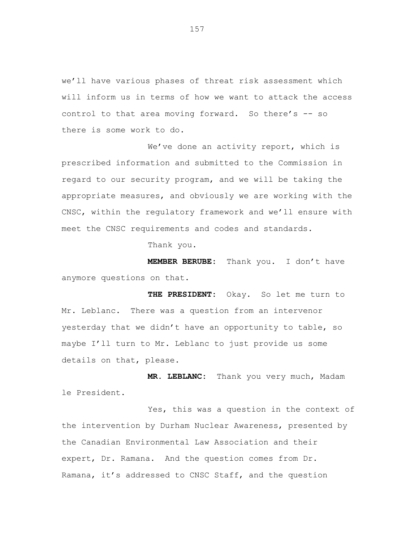we'll have various phases of threat risk assessment which will inform us in terms of how we want to attack the access control to that area moving forward. So there's -- so there is some work to do.

We've done an activity report, which is prescribed information and submitted to the Commission in regard to our security program, and we will be taking the appropriate measures, and obviously we are working with the CNSC, within the regulatory framework and we'll ensure with meet the CNSC requirements and codes and standards.

Thank you.

**MEMBER BERUBE:** Thank you. I don't have anymore questions on that.

THE PRESIDENT: Okay. So let me turn to Mr. Leblanc. There was a question from an intervenor yesterday that we didn't have an opportunity to table, so maybe I'll turn to Mr. Leblanc to just provide us some details on that, please.

**MR. LEBLANC:** Thank you very much, Madam le President.

Yes, this was a question in the context of the intervention by Durham Nuclear Awareness, presented by the Canadian Environmental Law Association and their expert, Dr. Ramana. And the question comes from Dr. Ramana, it's addressed to CNSC Staff, and the question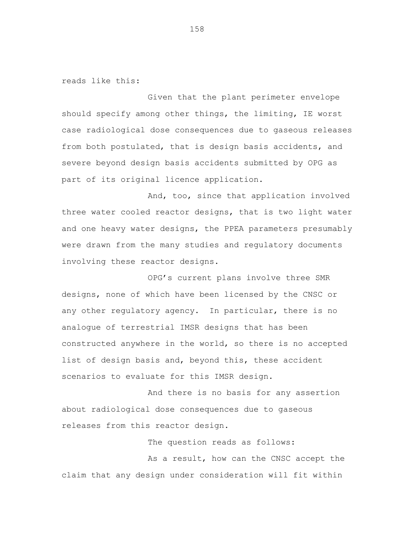reads like this:

Given that the plant perimeter envelope should specify among other things, the limiting, IE worst case radiological dose consequences due to gaseous releases from both postulated, that is design basis accidents, and severe beyond design basis accidents submitted by OPG as part of its original licence application.

And, too, since that application involved three water cooled reactor designs, that is two light water and one heavy water designs, the PPEA parameters presumably were drawn from the many studies and regulatory documents involving these reactor designs.

OPG's current plans involve three SMR designs, none of which have been licensed by the CNSC or any other regulatory agency. In particular, there is no analogue of terrestrial IMSR designs that has been constructed anywhere in the world, so there is no accepted list of design basis and, beyond this, these accident scenarios to evaluate for this IMSR design.

And there is no basis for any assertion about radiological dose consequences due to gaseous releases from this reactor design.

The question reads as follows: As a result, how can the CNSC accept the claim that any design under consideration will fit within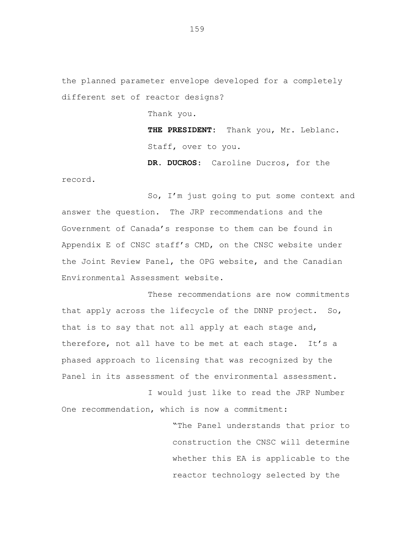the planned parameter envelope developed for a completely different set of reactor designs?

Thank you.

**THE PRESIDENT:** Thank you, Mr. Leblanc. Staff, over to you.

**DR. DUCROS**: Caroline Ducros, for the

record.

So, I'm just going to put some context and answer the question. The JRP recommendations and the Government of Canada's response to them can be found in Appendix E of CNSC staff's CMD, on the CNSC website under the Joint Review Panel, the OPG website, and the Canadian Environmental Assessment website.

These recommendations are now commitments that apply across the lifecycle of the DNNP project. So, that is to say that not all apply at each stage and, therefore, not all have to be met at each stage. It's a phased approach to licensing that was recognized by the Panel in its assessment of the environmental assessment.

I would just like to read the JRP Number One recommendation, which is now a commitment:

> "The Panel understands that prior to construction the CNSC will determine whether this EA is applicable to the reactor technology selected by the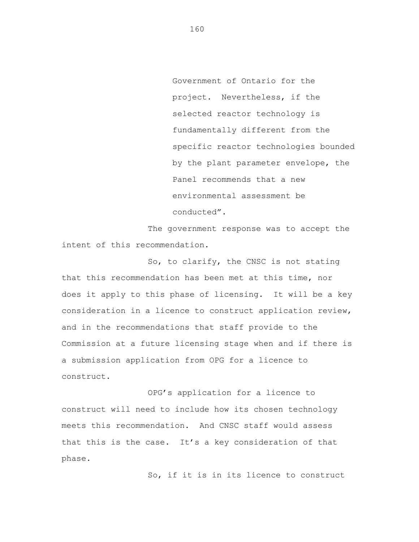Government of Ontario for the project. Nevertheless, if the selected reactor technology is fundamentally different from the specific reactor technologies bounded by the plant parameter envelope, the Panel recommends that a new environmental assessment be conducted".

The government response was to accept the intent of this recommendation.

So, to clarify, the CNSC is not stating that this recommendation has been met at this time, nor does it apply to this phase of licensing. It will be a key consideration in a licence to construct application review, and in the recommendations that staff provide to the Commission at a future licensing stage when and if there is a submission application from OPG for a licence to construct.

OPG's application for a licence to construct will need to include how its chosen technology meets this recommendation. And CNSC staff would assess that this is the case. It's a key consideration of that phase.

So, if it is in its licence to construct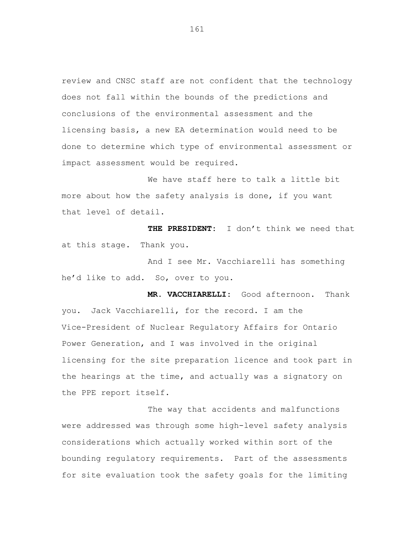review and CNSC staff are not confident that the technology does not fall within the bounds of the predictions and conclusions of the environmental assessment and the licensing basis, a new EA determination would need to be done to determine which type of environmental assessment or impact assessment would be required.

We have staff here to talk a little bit more about how the safety analysis is done, if you want that level of detail.

**THE PRESIDENT:** I don't think we need that at this stage. Thank you.

And I see Mr. Vacchiarelli has something he'd like to add. So, over to you.

**MR. VACCHIARELLI:** Good afternoon. Thank you. Jack Vacchiarelli, for the record. I am the Vice-President of Nuclear Regulatory Affairs for Ontario Power Generation, and I was involved in the original licensing for the site preparation licence and took part in the hearings at the time, and actually was a signatory on the PPE report itself.

The way that accidents and malfunctions were addressed was through some high-level safety analysis considerations which actually worked within sort of the bounding regulatory requirements. Part of the assessments for site evaluation took the safety goals for the limiting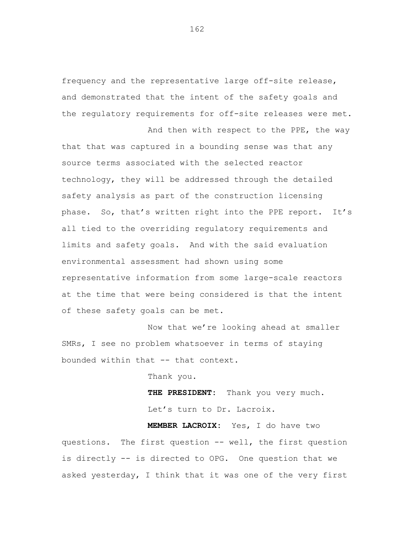frequency and the representative large off-site release, and demonstrated that the intent of the safety goals and the regulatory requirements for off-site releases were met.

And then with respect to the PPE, the way that that was captured in a bounding sense was that any source terms associated with the selected reactor technology, they will be addressed through the detailed safety analysis as part of the construction licensing phase. So, that's written right into the PPE report. It's all tied to the overriding regulatory requirements and limits and safety goals. And with the said evaluation environmental assessment had shown using some representative information from some large-scale reactors at the time that were being considered is that the intent of these safety goals can be met.

Now that we're looking ahead at smaller SMRs, I see no problem whatsoever in terms of staying bounded within that -- that context.

Thank you.

**THE PRESIDENT:** Thank you very much. Let's turn to Dr. Lacroix.

**MEMBER LACROIX:** Yes, I do have two questions. The first question -- well, the first question is directly -- is directed to OPG. One question that we asked yesterday, I think that it was one of the very first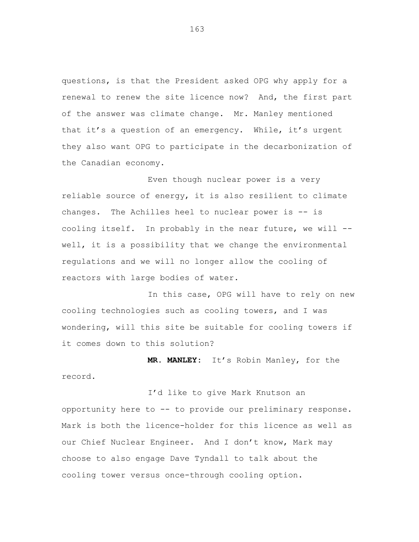questions, is that the President asked OPG why apply for a renewal to renew the site licence now? And, the first part of the answer was climate change. Mr. Manley mentioned that it's a question of an emergency. While, it's urgent they also want OPG to participate in the decarbonization of the Canadian economy.

Even though nuclear power is a very reliable source of energy, it is also resilient to climate changes. The Achilles heel to nuclear power is -- is cooling itself. In probably in the near future, we will - well, it is a possibility that we change the environmental regulations and we will no longer allow the cooling of reactors with large bodies of water.

In this case, OPG will have to rely on new cooling technologies such as cooling towers, and I was wondering, will this site be suitable for cooling towers if it comes down to this solution?

**MR. MANLEY:** It's Robin Manley, for the record.

I'd like to give Mark Knutson an opportunity here to -- to provide our preliminary response. Mark is both the licence-holder for this licence as well as our Chief Nuclear Engineer. And I don't know, Mark may choose to also engage Dave Tyndall to talk about the cooling tower versus once-through cooling option.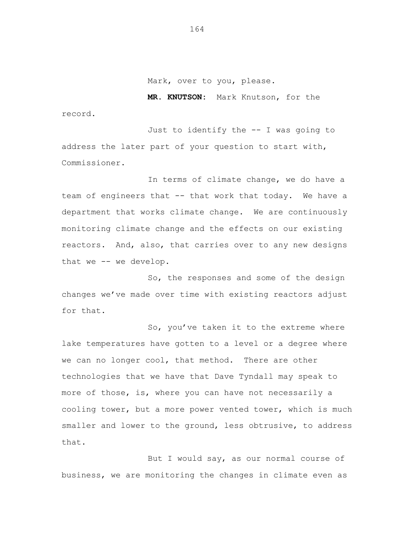Mark, over to you, please.

**MR. KNUTSON:** Mark Knutson, for the record.

Just to identify the -- I was going to address the later part of your question to start with, Commissioner.

In terms of climate change, we do have a team of engineers that -- that work that today. We have a department that works climate change. We are continuously monitoring climate change and the effects on our existing reactors. And, also, that carries over to any new designs that we -- we develop.

So, the responses and some of the design changes we've made over time with existing reactors adjust for that.

So, you've taken it to the extreme where lake temperatures have gotten to a level or a degree where we can no longer cool, that method. There are other technologies that we have that Dave Tyndall may speak to more of those, is, where you can have not necessarily a cooling tower, but a more power vented tower, which is much smaller and lower to the ground, less obtrusive, to address that.

But I would say, as our normal course of business, we are monitoring the changes in climate even as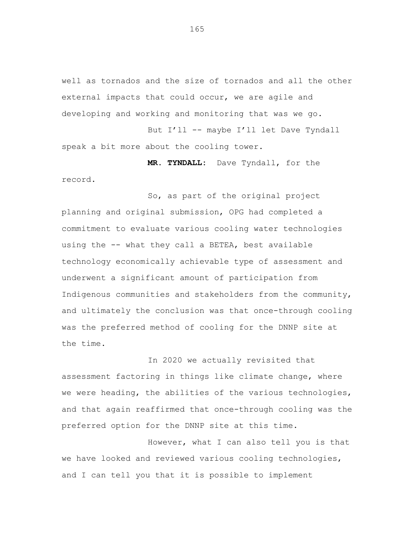well as tornados and the size of tornados and all the other external impacts that could occur, we are agile and developing and working and monitoring that was we go.

But I'll -- maybe I'll let Dave Tyndall speak a bit more about the cooling tower.

**MR. TYNDALL:** Dave Tyndall, for the record.

So, as part of the original project planning and original submission, OPG had completed a commitment to evaluate various cooling water technologies using the -- what they call a BETEA, best available technology economically achievable type of assessment and underwent a significant amount of participation from Indigenous communities and stakeholders from the community, and ultimately the conclusion was that once-through cooling was the preferred method of cooling for the DNNP site at the time.

In 2020 we actually revisited that assessment factoring in things like climate change, where we were heading, the abilities of the various technologies, and that again reaffirmed that once-through cooling was the preferred option for the DNNP site at this time.

However, what I can also tell you is that we have looked and reviewed various cooling technologies, and I can tell you that it is possible to implement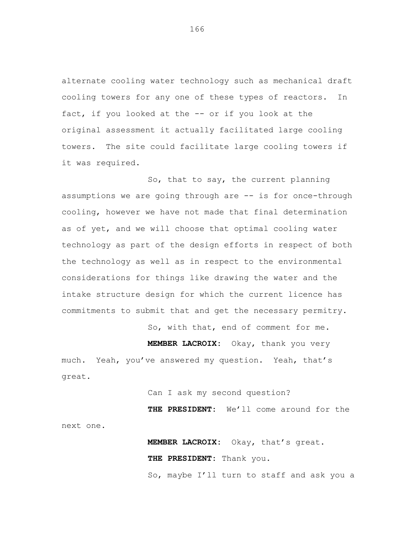alternate cooling water technology such as mechanical draft cooling towers for any one of these types of reactors. In fact, if you looked at the -- or if you look at the original assessment it actually facilitated large cooling towers. The site could facilitate large cooling towers if it was required.

So, that to say, the current planning assumptions we are going through are -- is for once-through cooling, however we have not made that final determination as of yet, and we will choose that optimal cooling water technology as part of the design efforts in respect of both the technology as well as in respect to the environmental considerations for things like drawing the water and the intake structure design for which the current licence has commitments to submit that and get the necessary permitry.

So, with that, end of comment for me.

**MEMBER LACROIX:** Okay, thank you very much. Yeah, you've answered my question. Yeah, that's great.

Can I ask my second question?

**THE PRESIDENT:** We'll come around for the next one.

> **MEMBER LACROIX:** Okay, that's great. **THE PRESIDENT:** Thank you.

So, maybe I'll turn to staff and ask you a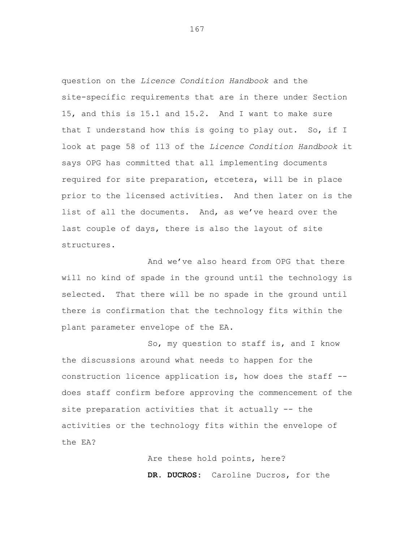question on the *Licence Condition Handbook* and the site-specific requirements that are in there under Section 15, and this is 15.1 and 15.2. And I want to make sure that I understand how this is going to play out. So, if I look at page 58 of 113 of the *Licence Condition Handbook* it says OPG has committed that all implementing documents required for site preparation, etcetera, will be in place prior to the licensed activities. And then later on is the list of all the documents. And, as we've heard over the last couple of days, there is also the layout of site structures.

And we've also heard from OPG that there will no kind of spade in the ground until the technology is selected. That there will be no spade in the ground until there is confirmation that the technology fits within the plant parameter envelope of the EA.

So, my question to staff is, and I know the discussions around what needs to happen for the construction licence application is, how does the staff - does staff confirm before approving the commencement of the site preparation activities that it actually -- the activities or the technology fits within the envelope of the EA?

> Are these hold points, here? **DR. DUCROS:** Caroline Ducros, for the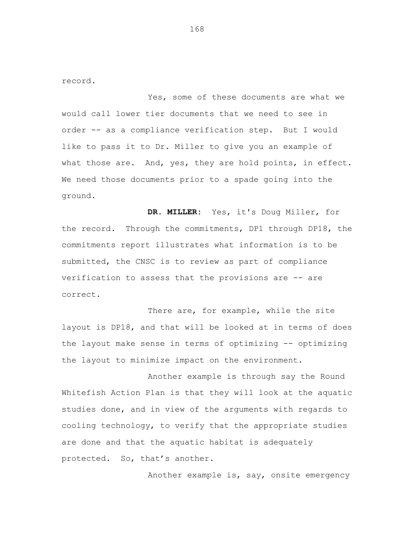record.

Yes, some of these documents are what we would call lower tier documents that we need to see in order -- as a compliance verification step. But I would like to pass it to Dr. Miller to give you an example of what those are. And, yes, they are hold points, in effect. We need those documents prior to a spade going into the ground.

**DR. MILLER:** Yes, it's Doug Miller, for the record. Through the commitments, DP1 through DP18, the commitments report illustrates what information is to be submitted, the CNSC is to review as part of compliance verification to assess that the provisions are -- are correct.

There are, for example, while the site layout is DP18, and that will be looked at in terms of does the layout make sense in terms of optimizing -- optimizing the layout to minimize impact on the environment.

Another example is through say the Round Whitefish Action Plan is that they will look at the aquatic studies done, and in view of the arguments with regards to cooling technology, to verify that the appropriate studies are done and that the aquatic habitat is adequately protected. So, that's another.

Another example is, say, onsite emergency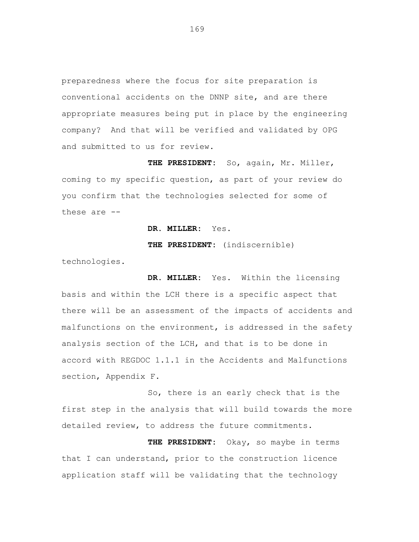preparedness where the focus for site preparation is conventional accidents on the DNNP site, and are there appropriate measures being put in place by the engineering company? And that will be verified and validated by OPG and submitted to us for review.

**THE PRESIDENT:** So, again, Mr. Miller, coming to my specific question, as part of your review do you confirm that the technologies selected for some of these are --

**DR. MILLER:** Yes.

**THE PRESIDENT:** (indiscernible)

technologies.

**DR. MILLER:** Yes. Within the licensing basis and within the LCH there is a specific aspect that there will be an assessment of the impacts of accidents and malfunctions on the environment, is addressed in the safety analysis section of the LCH, and that is to be done in accord with REGDOC 1.1.1 in the Accidents and Malfunctions section, Appendix F.

So, there is an early check that is the first step in the analysis that will build towards the more detailed review, to address the future commitments.

**THE PRESIDENT:** Okay, so maybe in terms that I can understand, prior to the construction licence application staff will be validating that the technology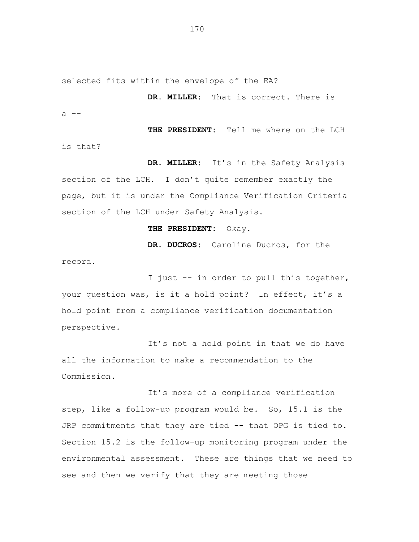selected fits within the envelope of the EA?

**DR. MILLER:** That is correct**.** There is a --

**THE PRESIDENT:** Tell me where on the LCH is that?

**DR. MILLER:** It's in the Safety Analysis section of the LCH. I don't quite remember exactly the page, but it is under the Compliance Verification Criteria section of the LCH under Safety Analysis.

## **THE PRESIDENT:** Okay.

record.

**DR. DUCROS:** Caroline Ducros, for the

I just -- in order to pull this together, your question was, is it a hold point? In effect, it's a hold point from a compliance verification documentation perspective.

It's not a hold point in that we do have all the information to make a recommendation to the Commission.

It's more of a compliance verification step, like a follow-up program would be. So, 15.1 is the JRP commitments that they are tied -- that OPG is tied to. Section 15.2 is the follow-up monitoring program under the environmental assessment. These are things that we need to see and then we verify that they are meeting those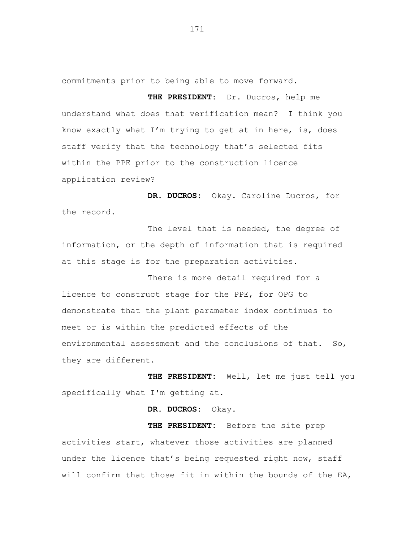commitments prior to being able to move forward.

**THE PRESIDENT:** Dr. Ducros, help me understand what does that verification mean? I think you know exactly what I'm trying to get at in here, is, does staff verify that the technology that's selected fits within the PPE prior to the construction licence application review?

**DR. DUCROS:** Okay. Caroline Ducros, for the record.

The level that is needed, the degree of information, or the depth of information that is required at this stage is for the preparation activities.

There is more detail required for a licence to construct stage for the PPE, for OPG to demonstrate that the plant parameter index continues to meet or is within the predicted effects of the environmental assessment and the conclusions of that. So, they are different.

**THE PRESIDENT:** Well, let me just tell you specifically what I'm getting at.

**DR. DUCROS:** Okay.

**THE PRESIDENT:** Before the site prep activities start, whatever those activities are planned under the licence that's being requested right now, staff will confirm that those fit in within the bounds of the EA,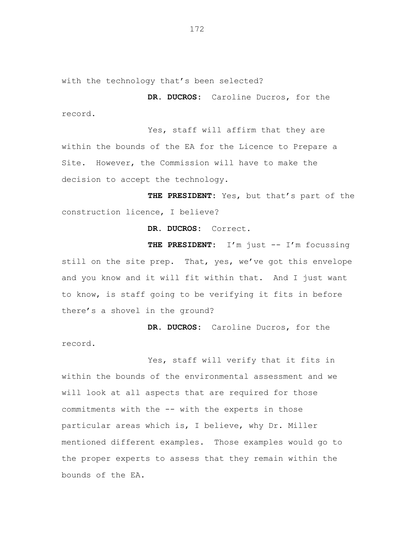with the technology that's been selected?

**DR. DUCROS:** Caroline Ducros, for the record.

Yes, staff will affirm that they are within the bounds of the EA for the Licence to Prepare a Site. However, the Commission will have to make the decision to accept the technology.

**THE PRESIDENT:** Yes, but that's part of the construction licence, I believe?

**DR. DUCROS:** Correct.

THE PRESIDENT: I'm just -- I'm focussing still on the site prep. That, yes, we've got this envelope and you know and it will fit within that. And I just want to know, is staff going to be verifying it fits in before there's a shovel in the ground?

**DR. DUCROS:** Caroline Ducros, for the record.

Yes, staff will verify that it fits in within the bounds of the environmental assessment and we will look at all aspects that are required for those commitments with the -- with the experts in those particular areas which is, I believe, why Dr. Miller mentioned different examples. Those examples would go to the proper experts to assess that they remain within the bounds of the EA.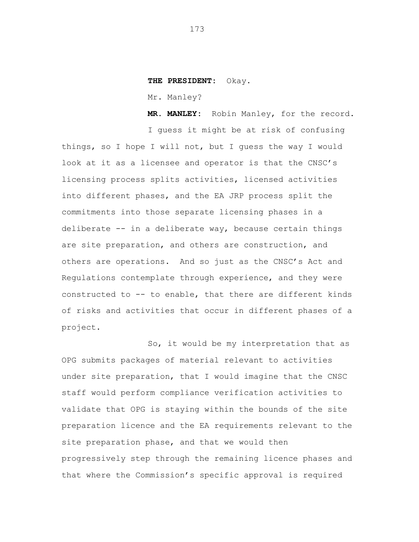## **THE PRESIDENT:** Okay.

Mr. Manley?

**MR. MANLEY:** Robin Manley, for the record.

I guess it might be at risk of confusing things, so I hope I will not, but I guess the way I would look at it as a licensee and operator is that the CNSC's licensing process splits activities, licensed activities into different phases, and the EA JRP process split the commitments into those separate licensing phases in a deliberate -- in a deliberate way, because certain things are site preparation, and others are construction, and others are operations. And so just as the CNSC's Act and Regulations contemplate through experience, and they were constructed to -- to enable, that there are different kinds of risks and activities that occur in different phases of a project.

So, it would be my interpretation that as OPG submits packages of material relevant to activities under site preparation, that I would imagine that the CNSC staff would perform compliance verification activities to validate that OPG is staying within the bounds of the site preparation licence and the EA requirements relevant to the site preparation phase, and that we would then progressively step through the remaining licence phases and that where the Commission's specific approval is required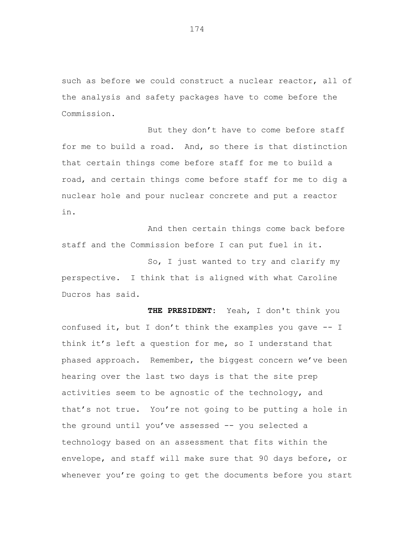such as before we could construct a nuclear reactor, all of the analysis and safety packages have to come before the Commission.

But they don't have to come before staff for me to build a road. And, so there is that distinction that certain things come before staff for me to build a road, and certain things come before staff for me to dig a nuclear hole and pour nuclear concrete and put a reactor in.

And then certain things come back before staff and the Commission before I can put fuel in it.

So, I just wanted to try and clarify my perspective. I think that is aligned with what Caroline Ducros has said.

**THE PRESIDENT:** Yeah, I don't think you confused it, but I don't think the examples you gave -- I think it's left a question for me, so I understand that phased approach. Remember, the biggest concern we've been hearing over the last two days is that the site prep activities seem to be agnostic of the technology, and that's not true. You're not going to be putting a hole in the ground until you've assessed -- you selected a technology based on an assessment that fits within the envelope, and staff will make sure that 90 days before, or whenever you're going to get the documents before you start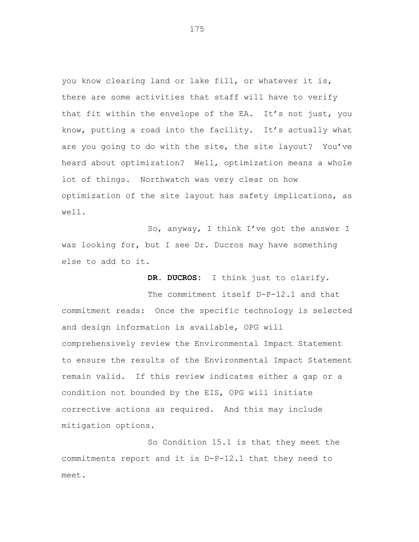you know clearing land or lake fill, or whatever it is, there are some activities that staff will have to verify that fit within the envelope of the EA. It's not just, you know, putting a road into the facility. It's actually what are you going to do with the site, the site layout? You've heard about optimization? Well, optimization means a whole lot of things. Northwatch was very clear on how optimization of the site layout has safety implications, as well.

So, anyway, I think I've got the answer I was looking for, but I see Dr. Ducros may have something else to add to it.

**DR. DUCROS:** I think just to clarify.

The commitment itself D-P-12.1 and that commitment reads: Once the specific technology is selected and design information is available, OPG will comprehensively review the Environmental Impact Statement to ensure the results of the Environmental Impact Statement remain valid. If this review indicates either a gap or a condition not bounded by the EIS, OPG will initiate corrective actions as required. And this may include mitigation options.

So Condition 15.1 is that they meet the commitments report and it is D-P-12.1 that they need to meet.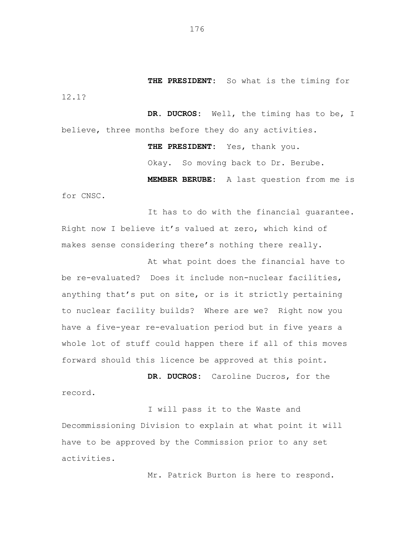**THE PRESIDENT:** So what is the timing for 12.1?

**DR. DUCROS:** Well, the timing has to be, I believe, three months before they do any activities.

> **THE PRESIDENT:** Yes, thank you. Okay. So moving back to Dr. Berube. **MEMBER BERUBE:** A last question from me is

for CNSC.

It has to do with the financial guarantee. Right now I believe it's valued at zero, which kind of makes sense considering there's nothing there really.

At what point does the financial have to be re-evaluated? Does it include non-nuclear facilities, anything that's put on site, or is it strictly pertaining to nuclear facility builds? Where are we? Right now you have a five-year re-evaluation period but in five years a whole lot of stuff could happen there if all of this moves forward should this licence be approved at this point.

**DR. DUCROS:** Caroline Ducros, for the record.

I will pass it to the Waste and Decommissioning Division to explain at what point it will have to be approved by the Commission prior to any set activities.

Mr. Patrick Burton is here to respond.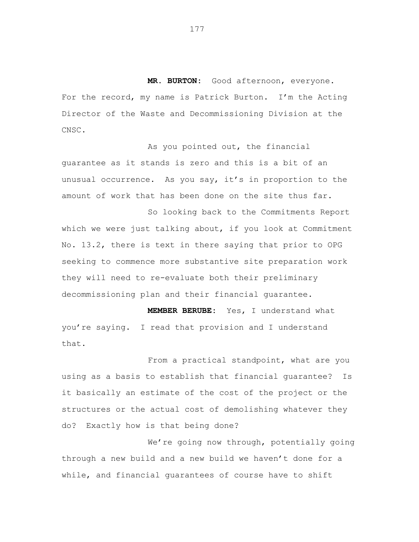**MR. BURTON:** Good afternoon, everyone. For the record, my name is Patrick Burton. I'm the Acting Director of the Waste and Decommissioning Division at the CNSC.

As you pointed out, the financial guarantee as it stands is zero and this is a bit of an unusual occurrence. As you say, it's in proportion to the amount of work that has been done on the site thus far.

So looking back to the Commitments Report which we were just talking about, if you look at Commitment No. 13.2, there is text in there saying that prior to OPG seeking to commence more substantive site preparation work they will need to re-evaluate both their preliminary decommissioning plan and their financial guarantee.

**MEMBER BERUBE:** Yes, I understand what you're saying. I read that provision and I understand that.

From a practical standpoint, what are you using as a basis to establish that financial guarantee? Is it basically an estimate of the cost of the project or the structures or the actual cost of demolishing whatever they do? Exactly how is that being done?

We're going now through, potentially going through a new build and a new build we haven't done for a while, and financial guarantees of course have to shift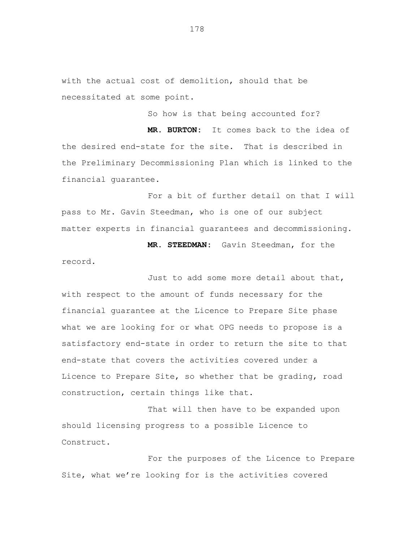with the actual cost of demolition, should that be necessitated at some point.

So how is that being accounted for?

**MR. BURTON:** It comes back to the idea of the desired end-state for the site. That is described in the Preliminary Decommissioning Plan which is linked to the financial guarantee.

For a bit of further detail on that I will pass to Mr. Gavin Steedman, who is one of our subject matter experts in financial guarantees and decommissioning.

**MR. STEEDMAN:** Gavin Steedman, for the record.

Just to add some more detail about that, with respect to the amount of funds necessary for the financial guarantee at the Licence to Prepare Site phase what we are looking for or what OPG needs to propose is a satisfactory end-state in order to return the site to that end-state that covers the activities covered under a Licence to Prepare Site, so whether that be grading, road construction, certain things like that.

That will then have to be expanded upon should licensing progress to a possible Licence to Construct.

For the purposes of the Licence to Prepare Site, what we're looking for is the activities covered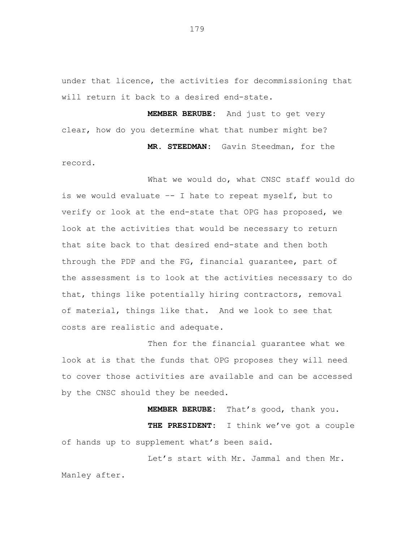under that licence, the activities for decommissioning that will return it back to a desired end-state.

**MEMBER BERUBE:** And just to get very clear, how do you determine what that number might be? **MR. STEEDMAN:** Gavin Steedman, for the

record.

What we would do, what CNSC staff would do is we would evaluate –- I hate to repeat myself, but to verify or look at the end-state that OPG has proposed, we look at the activities that would be necessary to return that site back to that desired end-state and then both through the PDP and the FG, financial guarantee, part of the assessment is to look at the activities necessary to do that, things like potentially hiring contractors, removal of material, things like that. And we look to see that costs are realistic and adequate.

Then for the financial guarantee what we look at is that the funds that OPG proposes they will need to cover those activities are available and can be accessed by the CNSC should they be needed.

**MEMBER BERUBE:** That's good, thank you.

**THE PRESIDENT:** I think we've got a couple of hands up to supplement what's been said.

Let's start with Mr. Jammal and then Mr. Manley after.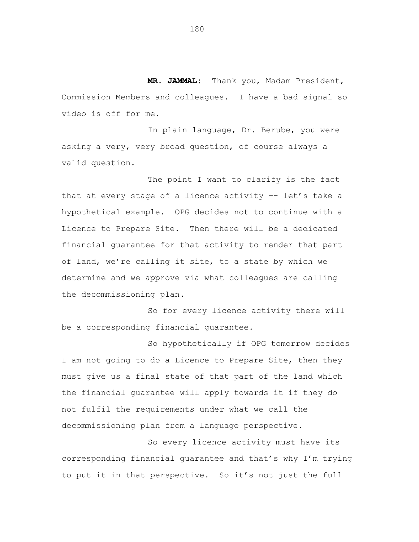**MR. JAMMAL:** Thank you, Madam President, Commission Members and colleagues. I have a bad signal so video is off for me.

In plain language, Dr. Berube, you were asking a very, very broad question, of course always a valid question.

The point I want to clarify is the fact that at every stage of a licence activity –- let's take a hypothetical example. OPG decides not to continue with a Licence to Prepare Site. Then there will be a dedicated financial guarantee for that activity to render that part of land, we're calling it site, to a state by which we determine and we approve via what colleagues are calling the decommissioning plan.

So for every licence activity there will be a corresponding financial guarantee.

So hypothetically if OPG tomorrow decides I am not going to do a Licence to Prepare Site, then they must give us a final state of that part of the land which the financial guarantee will apply towards it if they do not fulfil the requirements under what we call the decommissioning plan from a language perspective.

So every licence activity must have its corresponding financial guarantee and that's why I'm trying to put it in that perspective. So it's not just the full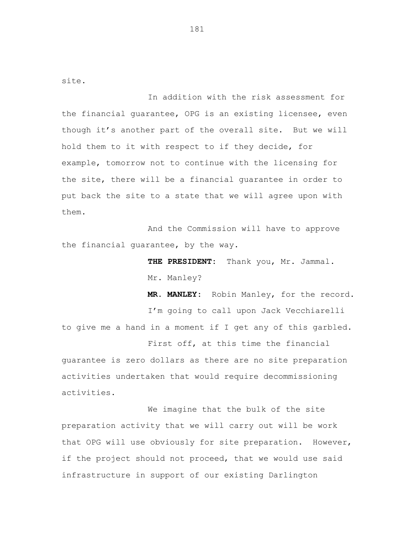site.

In addition with the risk assessment for the financial guarantee, OPG is an existing licensee, even though it's another part of the overall site. But we will hold them to it with respect to if they decide, for example, tomorrow not to continue with the licensing for the site, there will be a financial guarantee in order to put back the site to a state that we will agree upon with them.

And the Commission will have to approve the financial guarantee, by the way.

> **THE PRESIDENT:** Thank you, Mr. Jammal. Mr. Manley?

**MR. MANLEY:** Robin Manley, for the record. I'm going to call upon Jack Vecchiarelli to give me a hand in a moment if I get any of this garbled. First off, at this time the financial guarantee is zero dollars as there are no site preparation

activities undertaken that would require decommissioning activities.

We imagine that the bulk of the site preparation activity that we will carry out will be work that OPG will use obviously for site preparation. However, if the project should not proceed, that we would use said infrastructure in support of our existing Darlington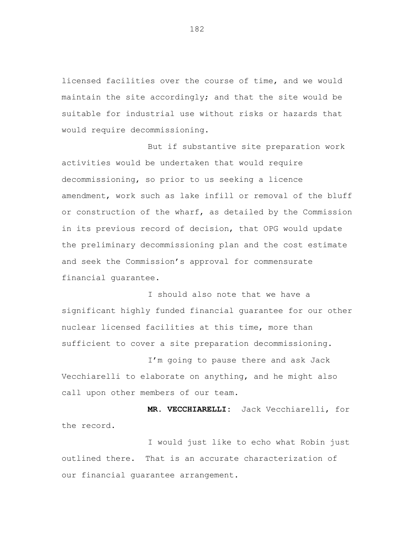licensed facilities over the course of time, and we would maintain the site accordingly; and that the site would be suitable for industrial use without risks or hazards that would require decommissioning.

But if substantive site preparation work activities would be undertaken that would require decommissioning, so prior to us seeking a licence amendment, work such as lake infill or removal of the bluff or construction of the wharf, as detailed by the Commission in its previous record of decision, that OPG would update the preliminary decommissioning plan and the cost estimate and seek the Commission's approval for commensurate financial guarantee.

I should also note that we have a significant highly funded financial guarantee for our other nuclear licensed facilities at this time, more than sufficient to cover a site preparation decommissioning.

I'm going to pause there and ask Jack Vecchiarelli to elaborate on anything, and he might also call upon other members of our team.

**MR. VECCHIARELLI:** Jack Vecchiarelli, for the record.

I would just like to echo what Robin just outlined there. That is an accurate characterization of our financial guarantee arrangement.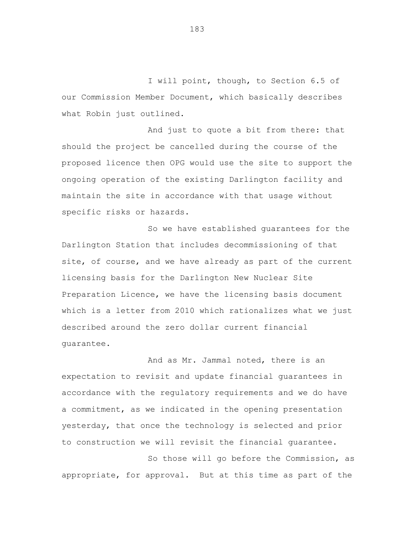I will point, though, to Section 6.5 of our Commission Member Document, which basically describes what Robin just outlined.

And just to quote a bit from there: that should the project be cancelled during the course of the proposed licence then OPG would use the site to support the ongoing operation of the existing Darlington facility and maintain the site in accordance with that usage without specific risks or hazards.

So we have established guarantees for the Darlington Station that includes decommissioning of that site, of course, and we have already as part of the current licensing basis for the Darlington New Nuclear Site Preparation Licence, we have the licensing basis document which is a letter from 2010 which rationalizes what we just described around the zero dollar current financial guarantee.

And as Mr. Jammal noted, there is an expectation to revisit and update financial guarantees in accordance with the regulatory requirements and we do have a commitment, as we indicated in the opening presentation yesterday, that once the technology is selected and prior to construction we will revisit the financial guarantee.

So those will go before the Commission, as appropriate, for approval. But at this time as part of the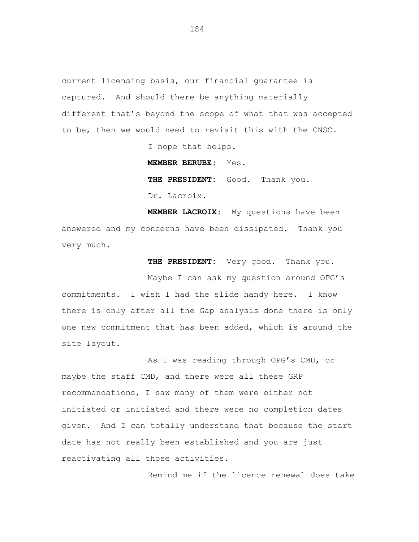current licensing basis, our financial guarantee is captured. And should there be anything materially different that's beyond the scope of what that was accepted to be, then we would need to revisit this with the CNSC.

I hope that helps.

**MEMBER BERUBE:** Yes.

THE PRESIDENT: Good. Thank you. Dr. Lacroix.

**MEMBER LACROIX:** My questions have been answered and my concerns have been dissipated. Thank you very much.

**THE PRESIDENT:** Very good. Thank you.

Maybe I can ask my question around OPG's commitments. I wish I had the slide handy here. I know there is only after all the Gap analysis done there is only one new commitment that has been added, which is around the site layout.

As I was reading through OPG's CMD, or maybe the staff CMD, and there were all these GRP recommendations, I saw many of them were either not initiated or initiated and there were no completion dates given. And I can totally understand that because the start date has not really been established and you are just reactivating all those activities.

Remind me if the licence renewal does take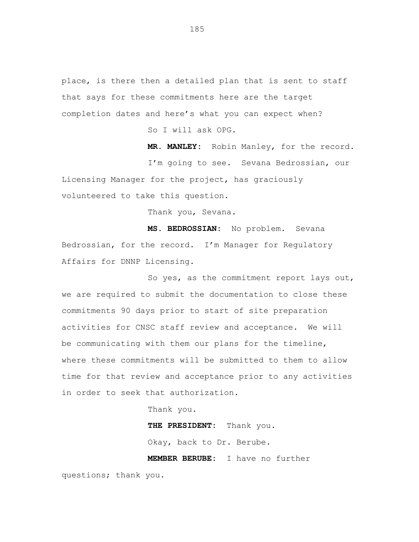place, is there then a detailed plan that is sent to staff that says for these commitments here are the target completion dates and here's what you can expect when?

So I will ask OPG.

**MR. MANLEY:** Robin Manley, for the record.

I'm going to see. Sevana Bedrossian, our Licensing Manager for the project, has graciously volunteered to take this question.

Thank you, Sevana.

**MS. BEDROSSIAN:** No problem. Sevana Bedrossian, for the record. I'm Manager for Regulatory Affairs for DNNP Licensing.

So yes, as the commitment report lays out, we are required to submit the documentation to close these commitments 90 days prior to start of site preparation activities for CNSC staff review and acceptance. We will be communicating with them our plans for the timeline, where these commitments will be submitted to them to allow time for that review and acceptance prior to any activities in order to seek that authorization.

Thank you.

**THE PRESIDENT:** Thank you.

Okay, back to Dr. Berube.

**MEMBER BERUBE:** I have no further

questions; thank you.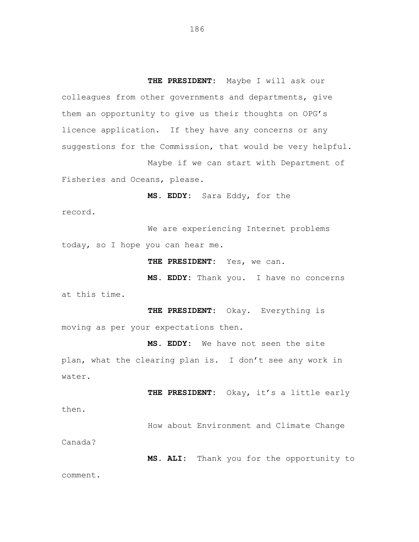suggestions for the Commission, that would be very helpful. licence application. If they have any concerns or any them an opportunity to give us their thoughts on OPG's colleagues from other governments and departments, give **THE PRESIDENT:** Maybe I will ask our

Fisheries and Oceans, please. Maybe if we can start with Department of

**MS. EDDY:** Sara Eddy, for the

record.

today, so I hope you can hear me. We are experiencing Internet problems

**THE PRESIDENT:** Yes, we can.

at this time. **MS. EDDY:** Thank you. I have no concerns

moving as per your expectations then. **THE PRESIDENT:** Okay. Everything is

water. plan, what the clearing plan is. I don't see any work in **MS. EDDY:** We have not seen the site

**THE PRESIDENT:** Okay, it's a little early then.

How about Environment and Climate Change

Canada?

**MS. ALI:** Thank you for the opportunity to comment.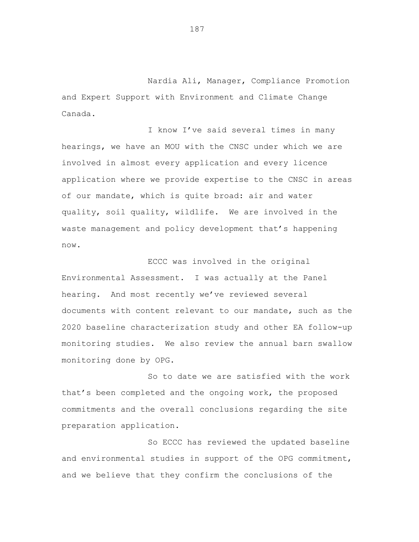Nardia Ali, Manager, Compliance Promotion and Expert Support with Environment and Climate Change Canada.

I know I've said several times in many hearings, we have an MOU with the CNSC under which we are involved in almost every application and every licence application where we provide expertise to the CNSC in areas of our mandate, which is quite broad: air and water quality, soil quality, wildlife. We are involved in the waste management and policy development that's happening now.

ECCC was involved in the original Environmental Assessment. I was actually at the Panel hearing. And most recently we've reviewed several documents with content relevant to our mandate, such as the 2020 baseline characterization study and other EA follow-up monitoring studies. We also review the annual barn swallow monitoring done by OPG.

So to date we are satisfied with the work that's been completed and the ongoing work, the proposed commitments and the overall conclusions regarding the site preparation application.

So ECCC has reviewed the updated baseline and environmental studies in support of the OPG commitment, and we believe that they confirm the conclusions of the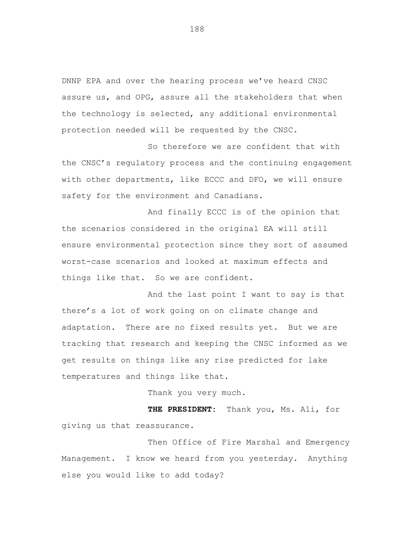DNNP EPA and over the hearing process we've heard CNSC assure us, and OPG, assure all the stakeholders that when the technology is selected, any additional environmental protection needed will be requested by the CNSC.

So therefore we are confident that with the CNSC's regulatory process and the continuing engagement with other departments, like ECCC and DFO, we will ensure safety for the environment and Canadians.

And finally ECCC is of the opinion that the scenarios considered in the original EA will still ensure environmental protection since they sort of assumed worst-case scenarios and looked at maximum effects and things like that. So we are confident.

And the last point I want to say is that there's a lot of work going on on climate change and adaptation. There are no fixed results yet. But we are tracking that research and keeping the CNSC informed as we get results on things like any rise predicted for lake temperatures and things like that.

Thank you very much.

**THE PRESIDENT:** Thank you, Ms. Ali, for giving us that reassurance.

Then Office of Fire Marshal and Emergency Management. I know we heard from you yesterday. Anything else you would like to add today?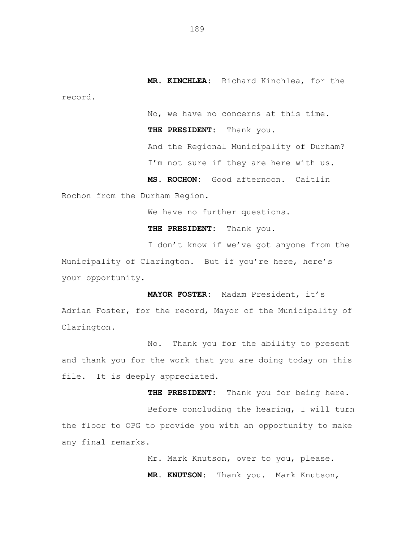**MR. KINCHLEA:** Richard Kinchlea, for the record.

No, we have no concerns at this time.

**THE PRESIDENT:** Thank you.

And the Regional Municipality of Durham? I'm not sure if they are here with us.

**MS. ROCHON:** Good afternoon. Caitlin Rochon from the Durham Region.

We have no further questions.

**THE PRESIDENT:** Thank you.

I don't know if we've got anyone from the Municipality of Clarington. But if you're here, here's your opportunity.

**MAYOR FOSTER:** Madam President, it's Adrian Foster, for the record, Mayor of the Municipality of Clarington.

No. Thank you for the ability to present and thank you for the work that you are doing today on this file. It is deeply appreciated.

**THE PRESIDENT:** Thank you for being here. Before concluding the hearing, I will turn the floor to OPG to provide you with an opportunity to make

any final remarks.

Mr. Mark Knutson, over to you, please. **MR. KNUTSON:** Thank you. Mark Knutson,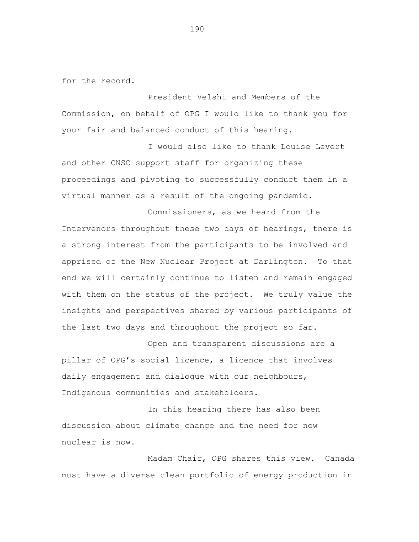for the record.

President Velshi and Members of the Commission, on behalf of OPG I would like to thank you for your fair and balanced conduct of this hearing.

I would also like to thank Louise Levert and other CNSC support staff for organizing these proceedings and pivoting to successfully conduct them in a virtual manner as a result of the ongoing pandemic.

Commissioners, as we heard from the Intervenors throughout these two days of hearings, there is a strong interest from the participants to be involved and apprised of the New Nuclear Project at Darlington. To that end we will certainly continue to listen and remain engaged with them on the status of the project. We truly value the insights and perspectives shared by various participants of the last two days and throughout the project so far.

Open and transparent discussions are a pillar of OPG's social licence, a licence that involves daily engagement and dialogue with our neighbours, Indigenous communities and stakeholders.

In this hearing there has also been discussion about climate change and the need for new nuclear is now.

Madam Chair, OPG shares this view. Canada must have a diverse clean portfolio of energy production in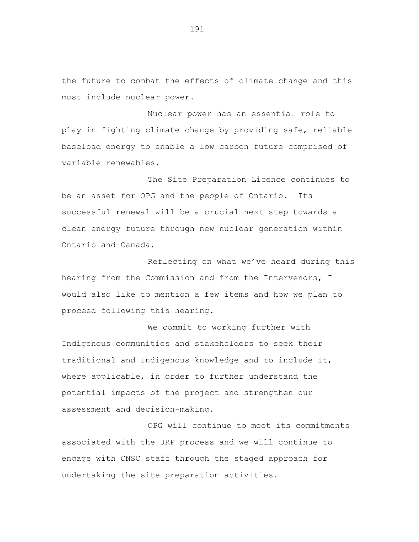the future to combat the effects of climate change and this must include nuclear power.

Nuclear power has an essential role to play in fighting climate change by providing safe, reliable baseload energy to enable a low carbon future comprised of variable renewables.

The Site Preparation Licence continues to be an asset for OPG and the people of Ontario. Its successful renewal will be a crucial next step towards a clean energy future through new nuclear generation within Ontario and Canada.

Reflecting on what we've heard during this hearing from the Commission and from the Intervenors, I would also like to mention a few items and how we plan to proceed following this hearing.

We commit to working further with Indigenous communities and stakeholders to seek their traditional and Indigenous knowledge and to include it, where applicable, in order to further understand the potential impacts of the project and strengthen our assessment and decision-making.

OPG will continue to meet its commitments associated with the JRP process and we will continue to engage with CNSC staff through the staged approach for undertaking the site preparation activities.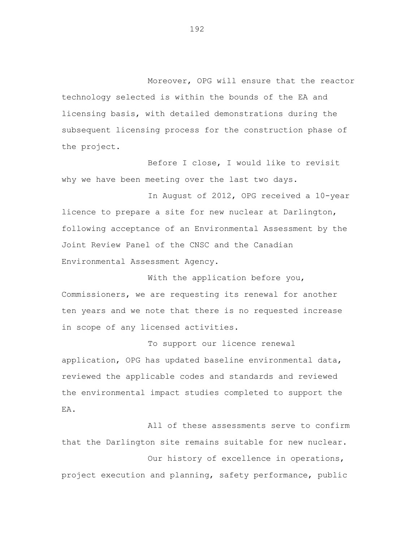Moreover, OPG will ensure that the reactor technology selected is within the bounds of the EA and licensing basis, with detailed demonstrations during the subsequent licensing process for the construction phase of the project.

Before I close, I would like to revisit why we have been meeting over the last two days.

In August of 2012, OPG received a 10-year licence to prepare a site for new nuclear at Darlington, following acceptance of an Environmental Assessment by the Joint Review Panel of the CNSC and the Canadian Environmental Assessment Agency.

With the application before you, Commissioners, we are requesting its renewal for another ten years and we note that there is no requested increase in scope of any licensed activities.

To support our licence renewal application, OPG has updated baseline environmental data, reviewed the applicable codes and standards and reviewed the environmental impact studies completed to support the EA.

All of these assessments serve to confirm that the Darlington site remains suitable for new nuclear.

Our history of excellence in operations, project execution and planning, safety performance, public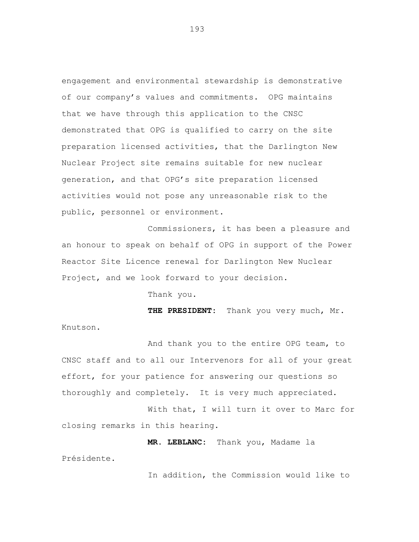engagement and environmental stewardship is demonstrative of our company's values and commitments. OPG maintains that we have through this application to the CNSC demonstrated that OPG is qualified to carry on the site preparation licensed activities, that the Darlington New Nuclear Project site remains suitable for new nuclear generation, and that OPG's site preparation licensed activities would not pose any unreasonable risk to the public, personnel or environment.

Commissioners, it has been a pleasure and an honour to speak on behalf of OPG in support of the Power Reactor Site Licence renewal for Darlington New Nuclear Project, and we look forward to your decision.

Thank you.

Présidente.

**THE PRESIDENT:** Thank you very much, Mr. Knutson.

And thank you to the entire OPG team, to CNSC staff and to all our Intervenors for all of your great effort, for your patience for answering our questions so thoroughly and completely. It is very much appreciated.

With that, I will turn it over to Marc for closing remarks in this hearing.

**MR. LEBLANC:** Thank you, Madame la

In addition, the Commission would like to